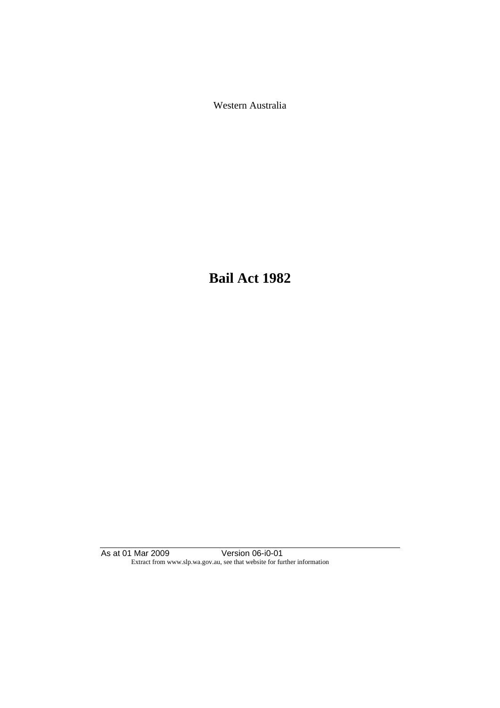Western Australia

**Bail Act 1982**

As at 01 Mar 2009 Version 06-i0-01 Extract from www.slp.wa.gov.au, see that website for further information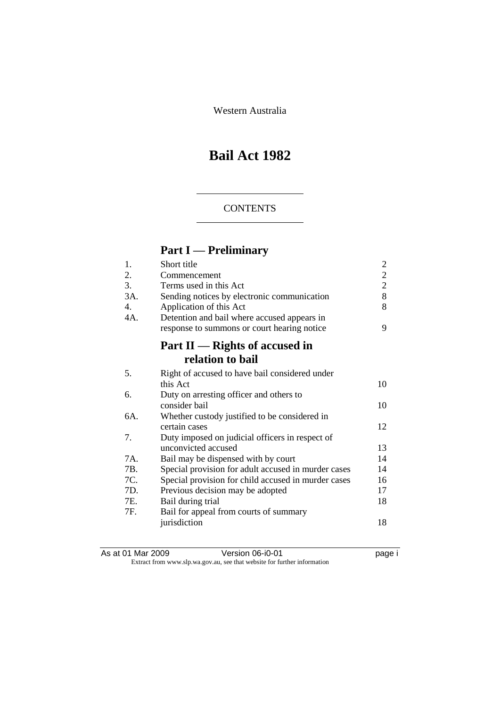Western Australia

# **Bail Act 1982**

# **CONTENTS**

# **Part I — Preliminary**

| 1.             | Short title                                         | 2              |
|----------------|-----------------------------------------------------|----------------|
| 2.             | Commencement                                        | $\overline{2}$ |
| 3.             | Terms used in this Act                              | $\overline{2}$ |
| 3A.            | Sending notices by electronic communication         | 8              |
| $\mathbf{4}$ . | Application of this Act                             | 8              |
| 4A.            | Detention and bail where accused appears in         |                |
|                | response to summons or court hearing notice         | 9              |
|                | Part II — Rights of accused in                      |                |
|                | relation to bail                                    |                |
| 5.             | Right of accused to have bail considered under      |                |
|                | this Act                                            | 10             |
| 6.             | Duty on arresting officer and others to             |                |
|                | consider bail                                       | 10             |
| 6A.            | Whether custody justified to be considered in       |                |
|                | certain cases                                       | 12             |
| 7.             | Duty imposed on judicial officers in respect of     |                |
|                | unconvicted accused                                 | 13             |
| 7A.            | Bail may be dispensed with by court                 | 14             |
| 7B.            | Special provision for adult accused in murder cases | 14             |
| 7C.            | Special provision for child accused in murder cases | 16             |
| 7D.            | Previous decision may be adopted                    | 17             |
| 7E.            | Bail during trial                                   | 18             |
| 7F.            | Bail for appeal from courts of summary              |                |
|                | jurisdiction                                        | 18             |
|                |                                                     |                |

As at 01 Mar 2009 Version 06-i0-01 page i Extract from www.slp.wa.gov.au, see that website for further information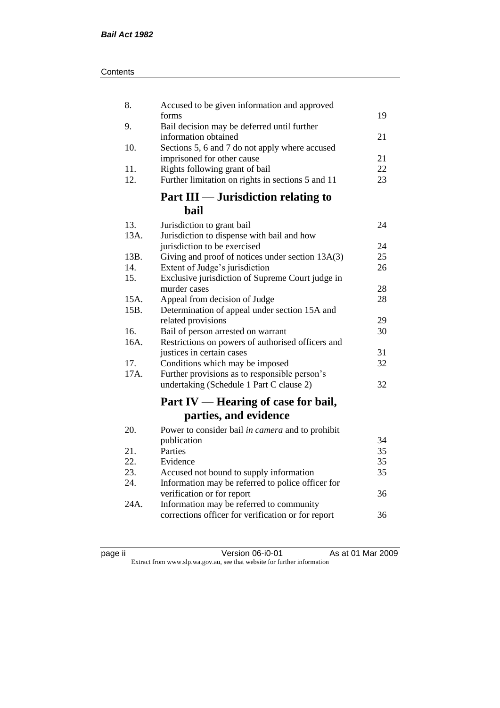| Contents |
|----------|
|----------|

| 8.   | Accused to be given information and approved                                        |          |
|------|-------------------------------------------------------------------------------------|----------|
| 9.   | forms<br>Bail decision may be deferred until further                                | 19       |
|      | information obtained                                                                | 21       |
| 10.  | Sections 5, 6 and 7 do not apply where accused                                      |          |
| 11.  | imprisoned for other cause                                                          | 21<br>22 |
| 12.  | Rights following grant of bail<br>Further limitation on rights in sections 5 and 11 | 23       |
|      | <b>Part III — Jurisdiction relating to</b>                                          |          |
|      | bail                                                                                |          |
| 13.  | Jurisdiction to grant bail                                                          | 24       |
| 13A. | Jurisdiction to dispense with bail and how                                          |          |
|      | jurisdiction to be exercised                                                        | 24       |
| 13B. | Giving and proof of notices under section 13A(3)                                    | 25       |
| 14.  | Extent of Judge's jurisdiction                                                      | 26       |
| 15.  | Exclusive jurisdiction of Supreme Court judge in                                    |          |
|      | murder cases                                                                        | 28       |
| 15A. | Appeal from decision of Judge                                                       | 28       |
| 15B. | Determination of appeal under section 15A and<br>related provisions                 | 29       |
| 16.  | Bail of person arrested on warrant                                                  | 30       |
| 16A. | Restrictions on powers of authorised officers and                                   |          |
|      | justices in certain cases                                                           | 31       |
| 17.  | Conditions which may be imposed                                                     | 32       |
| 17A. | Further provisions as to responsible person's                                       |          |
|      | undertaking (Schedule 1 Part C clause 2)                                            | 32       |
|      | Part IV — Hearing of case for bail,                                                 |          |
|      | parties, and evidence                                                               |          |
| 20.  | Power to consider bail in camera and to prohibit                                    |          |
|      | publication                                                                         | 34       |
| 21.  | Parties                                                                             | 35       |
| 22.  | Evidence                                                                            | 35       |
| 23.  | Accused not bound to supply information                                             | 35       |
| 24.  | Information may be referred to police officer for                                   |          |
|      | verification or for report                                                          | 36       |
| 24A. | Information may be referred to community                                            |          |
|      | corrections officer for verification or for report                                  | 36       |
|      |                                                                                     |          |

page ii Version 06-i0-01 As at 01 Mar 2009 Extract from www.slp.wa.gov.au, see that website for further information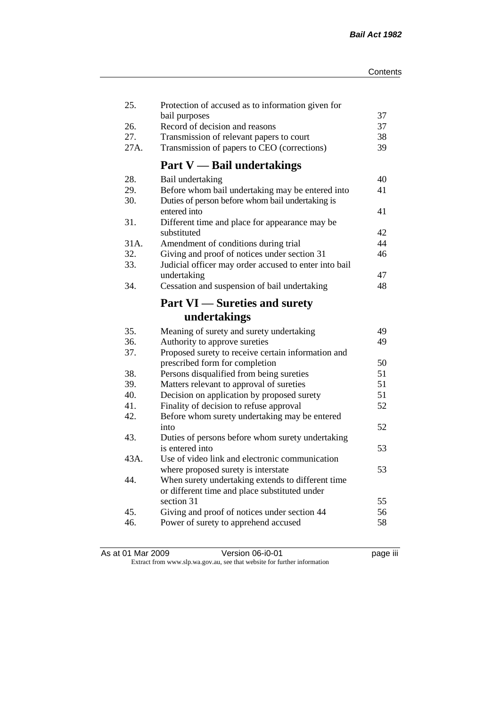| 25.  | Protection of accused as to information given for<br>bail purposes | 37 |
|------|--------------------------------------------------------------------|----|
| 26.  | Record of decision and reasons                                     | 37 |
| 27.  | Transmission of relevant papers to court                           | 38 |
| 27A. | Transmission of papers to CEO (corrections)                        | 39 |
|      |                                                                    |    |
|      | <b>Part V</b> — Bail undertakings                                  |    |
| 28.  | Bail undertaking                                                   | 40 |
| 29.  | Before whom bail undertaking may be entered into                   | 41 |
| 30.  | Duties of person before whom bail undertaking is                   |    |
|      | entered into                                                       | 41 |
| 31.  | Different time and place for appearance may be                     |    |
|      | substituted                                                        | 42 |
| 31A. | Amendment of conditions during trial                               | 44 |
| 32.  | Giving and proof of notices under section 31                       | 46 |
| 33.  | Judicial officer may order accused to enter into bail              |    |
|      | undertaking                                                        | 47 |
| 34.  | Cessation and suspension of bail undertaking                       | 48 |
|      | <b>Part VI</b> — Sureties and surety                               |    |
|      | undertakings                                                       |    |
| 35.  | Meaning of surety and surety undertaking                           | 49 |
| 36.  | Authority to approve sureties                                      | 49 |
| 37.  | Proposed surety to receive certain information and                 |    |
|      | prescribed form for completion                                     | 50 |
| 38.  | Persons disqualified from being sureties                           | 51 |
| 39.  | Matters relevant to approval of sureties                           | 51 |
| 40.  | Decision on application by proposed surety                         | 51 |
| 41.  | Finality of decision to refuse approval                            | 52 |
| 42.  | Before whom surety undertaking may be entered                      |    |
|      | into                                                               | 52 |
| 43.  | Duties of persons before whom surety undertaking                   |    |
|      | is entered into                                                    | 53 |
| 43A. | Use of video link and electronic communication                     |    |
|      | where proposed surety is interstate                                | 53 |
| 44.  | When surety undertaking extends to different time                  |    |
|      | or different time and place substituted under                      |    |
|      | section 31                                                         | 55 |
| 45.  | Giving and proof of notices under section 44                       | 56 |
| 46.  | Power of surety to apprehend accused                               | 58 |
|      |                                                                    |    |

| As at 01 Mar 2009 | Version 06-i0-01                                                         | <br>page III |
|-------------------|--------------------------------------------------------------------------|--------------|
|                   | Extract from www.slp.wa.gov.au, see that website for further information |              |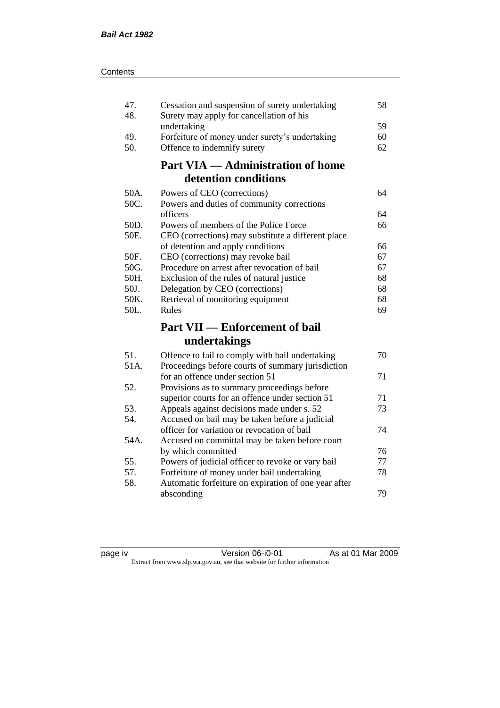| 47.<br>48. | Cessation and suspension of surety undertaking<br>Surety may apply for cancellation of his | 58 |
|------------|--------------------------------------------------------------------------------------------|----|
|            | undertaking                                                                                | 59 |
| 49.        | Forfeiture of money under surety's undertaking                                             | 60 |
| 50.        | Offence to indemnify surety                                                                | 62 |
|            | <b>Part VIA — Administration of home</b>                                                   |    |
|            | detention conditions                                                                       |    |
| 50A.       | Powers of CEO (corrections)                                                                | 64 |
| 50C.       | Powers and duties of community corrections                                                 |    |
|            | officers                                                                                   | 64 |
| 50D.       | Powers of members of the Police Force                                                      | 66 |
| 50E.       | CEO (corrections) may substitute a different place                                         |    |
|            | of detention and apply conditions                                                          | 66 |
| 50F.       | CEO (corrections) may revoke bail                                                          | 67 |
| 50G.       | Procedure on arrest after revocation of bail                                               | 67 |
| 50H.       | Exclusion of the rules of natural justice                                                  | 68 |
| 50J.       | Delegation by CEO (corrections)                                                            | 68 |
| 50K.       | Retrieval of monitoring equipment                                                          | 68 |
| 50L.       | Rules                                                                                      | 69 |
|            | <b>Part VII — Enforcement of bail</b>                                                      |    |
|            | undertakings                                                                               |    |
| 51.        | Offence to fail to comply with bail undertaking                                            | 70 |
| 51A.       | Proceedings before courts of summary jurisdiction                                          |    |
|            | for an offence under section 51                                                            | 71 |
| 52.        | Provisions as to summary proceedings before                                                |    |
|            | superior courts for an offence under section 51                                            | 71 |
| 53.        | Appeals against decisions made under s. 52                                                 | 73 |
| 54.        | Accused on bail may be taken before a judicial                                             |    |
|            | officer for variation or revocation of bail                                                | 74 |
| 54A.       | Accused on committal may be taken before court                                             |    |
|            | by which committed                                                                         | 76 |
| 55.        | Powers of judicial officer to revoke or vary bail                                          | 77 |
| 57.        | Forfeiture of money under bail undertaking                                                 | 78 |
| 58.        | Automatic forfeiture on expiration of one year after                                       |    |
|            |                                                                                            |    |

page iv Version 06-i0-01 As at 01 Mar 2009 Extract from www.slp.wa.gov.au, see that website for further information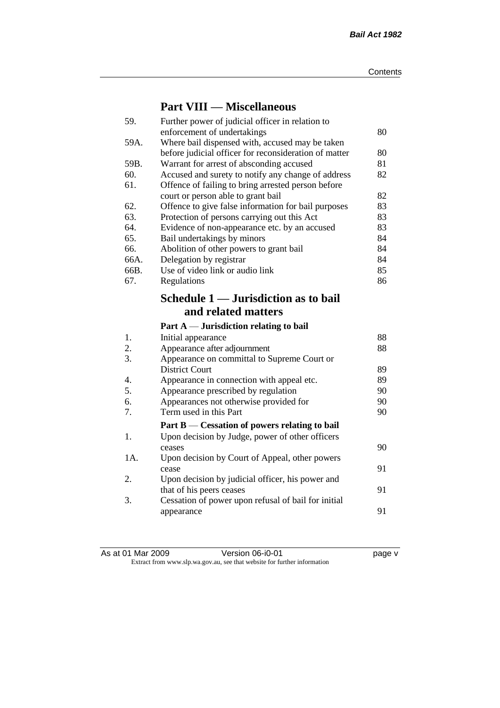# **Part VIII — Miscellaneous**

| 59.              | Further power of judicial officer in relation to          |    |
|------------------|-----------------------------------------------------------|----|
|                  | enforcement of undertakings                               | 80 |
| 59A.             | Where bail dispensed with, accused may be taken           |    |
|                  | before judicial officer for reconsideration of matter     | 80 |
| 59B.             | Warrant for arrest of absconding accused                  | 81 |
| 60.              | Accused and surety to notify any change of address        | 82 |
| 61.              | Offence of failing to bring arrested person before        |    |
|                  | court or person able to grant bail                        | 82 |
| 62.              | Offence to give false information for bail purposes       | 83 |
| 63.              | Protection of persons carrying out this Act               | 83 |
| 64.              | Evidence of non-appearance etc. by an accused             | 83 |
| 65.              | Bail undertakings by minors                               | 84 |
| 66.              | Abolition of other powers to grant bail                   | 84 |
| 66A.             | Delegation by registrar                                   | 84 |
| 66B.             | Use of video link or audio link                           | 85 |
| 67.              | Regulations                                               | 86 |
|                  | Schedule 1 — Jurisdiction as to bail                      |    |
|                  |                                                           |    |
|                  | and related matters                                       |    |
|                  |                                                           |    |
|                  | Part $A$ — Jurisdiction relating to bail                  |    |
| 1.               | Initial appearance                                        | 88 |
| 2.               | Appearance after adjournment                              | 88 |
| 3.               | Appearance on committal to Supreme Court or               |    |
|                  | <b>District Court</b>                                     | 89 |
| $\overline{4}$ . | Appearance in connection with appeal etc.                 | 89 |
| 5.               | Appearance prescribed by regulation                       | 90 |
| 6.               | Appearances not otherwise provided for                    | 90 |
| 7.               | Term used in this Part                                    | 90 |
|                  | Part $B$ — Cessation of powers relating to bail           |    |
| 1.               |                                                           |    |
|                  | Upon decision by Judge, power of other officers<br>ceases | 90 |
| 1A.              |                                                           |    |
|                  | Upon decision by Court of Appeal, other powers<br>cease   | 91 |
| 2.               | Upon decision by judicial officer, his power and          |    |
|                  | that of his peers ceases                                  | 91 |
| 3.               | Cessation of power upon refusal of bail for initial       |    |
|                  | appearance                                                | 91 |

As at 01 Mar 2009 Version 06-i0-01 page v Extract from www.slp.wa.gov.au, see that website for further information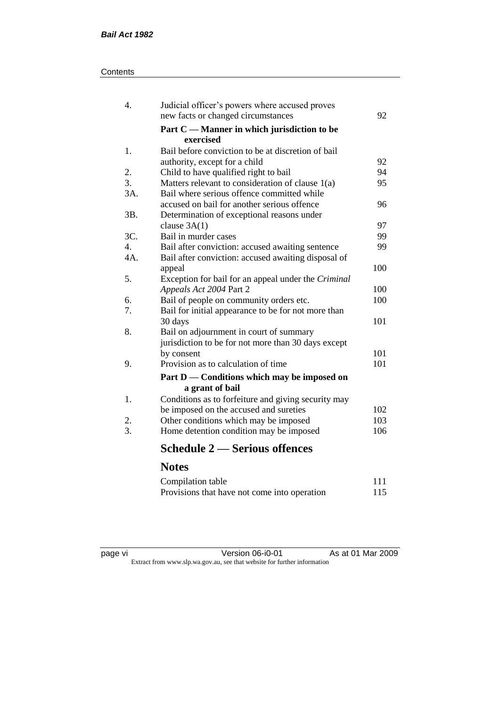# **Contents**

| 4.               | Judicial officer's powers where accused proves      |     |
|------------------|-----------------------------------------------------|-----|
|                  | new facts or changed circumstances                  | 92  |
|                  | Part C — Manner in which jurisdiction to be         |     |
|                  | exercised                                           |     |
| 1.               | Bail before conviction to be at discretion of bail  |     |
|                  | authority, except for a child                       | 92  |
| 2.               | Child to have qualified right to bail               | 94  |
| $\overline{3}$ . | Matters relevant to consideration of clause 1(a)    | 95  |
| 3A.              | Bail where serious offence committed while          |     |
|                  | accused on bail for another serious offence         | 96  |
| 3B.              | Determination of exceptional reasons under          |     |
|                  | clause $3A(1)$                                      | 97  |
| 3C.              | Bail in murder cases                                | 99  |
| 4.               | Bail after conviction: accused awaiting sentence    | 99  |
| 4A.              | Bail after conviction: accused awaiting disposal of |     |
|                  | appeal                                              | 100 |
| 5.               | Exception for bail for an appeal under the Criminal |     |
|                  | Appeals Act 2004 Part 2                             | 100 |
| 6.               | Bail of people on community orders etc.             | 100 |
| 7.               | Bail for initial appearance to be for not more than |     |
|                  | 30 days                                             | 101 |
| 8.               | Bail on adjournment in court of summary             |     |
|                  | jurisdiction to be for not more than 30 days except |     |
|                  | by consent                                          | 101 |
| 9.               | Provision as to calculation of time                 | 101 |
|                  | Part D — Conditions which may be imposed on         |     |
|                  | a grant of bail                                     |     |
| 1.               | Conditions as to forfeiture and giving security may |     |
|                  | be imposed on the accused and sureties              | 102 |
| 2.               | Other conditions which may be imposed               | 103 |
| 3.               | Home detention condition may be imposed             | 106 |
|                  | <b>Schedule 2 – Serious offences</b>                |     |
|                  | <b>Notes</b>                                        |     |
|                  | Compilation table                                   | 111 |

page vi Version 06-i0-01 As at 01 Mar 2009 Extract from www.slp.wa.gov.au, see that website for further information

Provisions that have not come into operation 115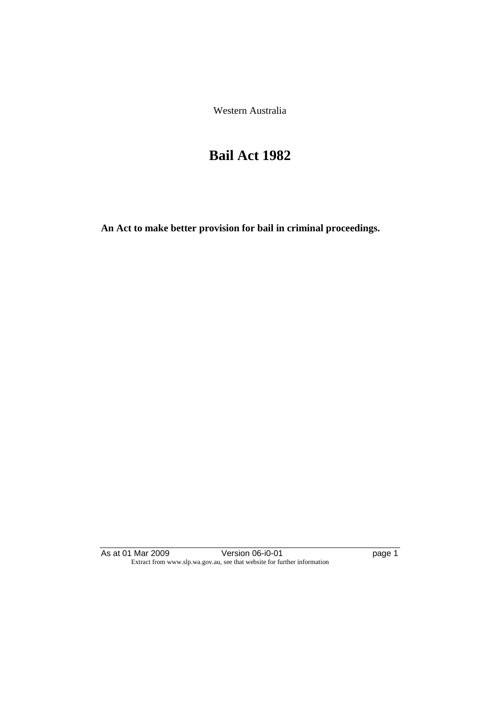Western Australia

# **Bail Act 1982**

**An Act to make better provision for bail in criminal proceedings.** 

As at 01 Mar 2009 Version 06-i0-01 page 1 Extract from www.slp.wa.gov.au, see that website for further information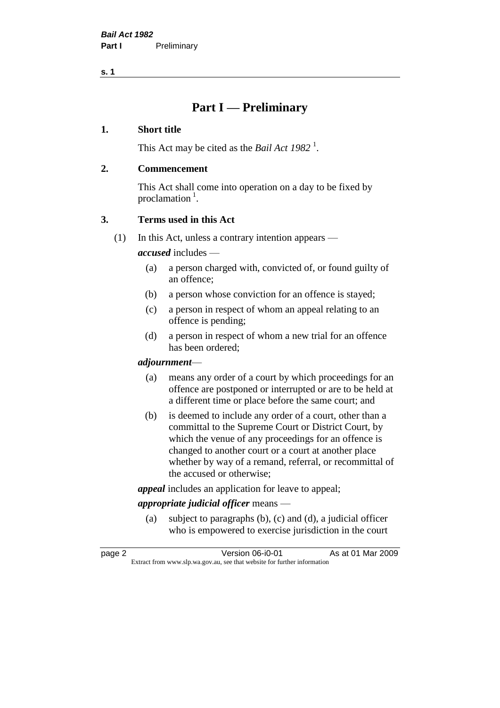# **Part I — Preliminary**

# **1. Short title**

This Act may be cited as the *Bail Act* 1982<sup>1</sup>.

# **2. Commencement**

This Act shall come into operation on a day to be fixed by proclamation  $<sup>1</sup>$ .</sup>

# **3. Terms used in this Act**

(1) In this Act, unless a contrary intention appears —

*accused* includes —

- (a) a person charged with, convicted of, or found guilty of an offence;
- (b) a person whose conviction for an offence is stayed;
- (c) a person in respect of whom an appeal relating to an offence is pending;
- (d) a person in respect of whom a new trial for an offence has been ordered;

### *adjournment*—

- (a) means any order of a court by which proceedings for an offence are postponed or interrupted or are to be held at a different time or place before the same court; and
- (b) is deemed to include any order of a court, other than a committal to the Supreme Court or District Court, by which the venue of any proceedings for an offence is changed to another court or a court at another place whether by way of a remand, referral, or recommittal of the accused or otherwise;

*appeal* includes an application for leave to appeal;

# *appropriate judicial officer* means —

(a) subject to paragraphs (b), (c) and (d), a judicial officer who is empowered to exercise jurisdiction in the court

| page 2 | Version 06-i0-01                                                         | As at 01 Mar 2009 |
|--------|--------------------------------------------------------------------------|-------------------|
|        | Extract from www.slp.wa.gov.au, see that website for further information |                   |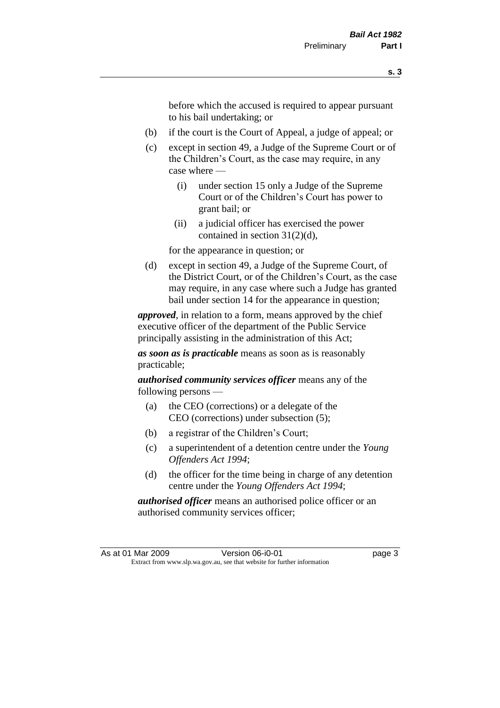before which the accused is required to appear pursuant to his bail undertaking; or

- (b) if the court is the Court of Appeal, a judge of appeal; or
- (c) except in section 49, a Judge of the Supreme Court or of the Children's Court, as the case may require, in any case where —
	- (i) under section 15 only a Judge of the Supreme Court or of the Children's Court has power to grant bail; or
	- (ii) a judicial officer has exercised the power contained in section 31(2)(d),

for the appearance in question; or

(d) except in section 49, a Judge of the Supreme Court, of the District Court, or of the Children's Court, as the case may require, in any case where such a Judge has granted bail under section 14 for the appearance in question;

*approved*, in relation to a form, means approved by the chief executive officer of the department of the Public Service principally assisting in the administration of this Act;

*as soon as is practicable* means as soon as is reasonably practicable;

*authorised community services officer* means any of the following persons —

- (a) the CEO (corrections) or a delegate of the CEO (corrections) under subsection (5);
- (b) a registrar of the Children's Court;
- (c) a superintendent of a detention centre under the *Young Offenders Act 1994*;
- (d) the officer for the time being in charge of any detention centre under the *Young Offenders Act 1994*;

*authorised officer* means an authorised police officer or an authorised community services officer;

As at 01 Mar 2009 Version 06-i0-01 page 3 Extract from www.slp.wa.gov.au, see that website for further information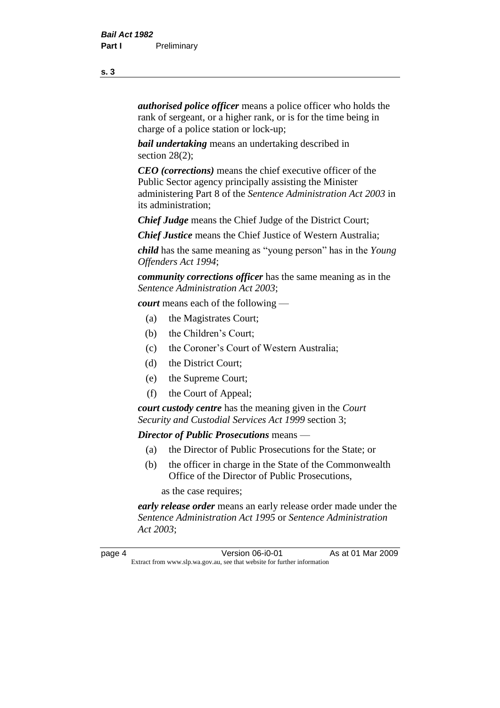*authorised police officer* means a police officer who holds the rank of sergeant, or a higher rank, or is for the time being in charge of a police station or lock-up;

*bail undertaking* means an undertaking described in section 28(2):

*CEO (corrections)* means the chief executive officer of the Public Sector agency principally assisting the Minister administering Part 8 of the *Sentence Administration Act 2003* in its administration;

*Chief Judge* means the Chief Judge of the District Court;

*Chief Justice* means the Chief Justice of Western Australia;

*child* has the same meaning as "young person" has in the *Young Offenders Act 1994*;

*community corrections officer* has the same meaning as in the *Sentence Administration Act 2003*;

*court* means each of the following —

- (a) the Magistrates Court;
- (b) the Children's Court;
- (c) the Coroner's Court of Western Australia;
- (d) the District Court;
- (e) the Supreme Court;
- (f) the Court of Appeal;

*court custody centre* has the meaning given in the *Court Security and Custodial Services Act 1999* section 3;

*Director of Public Prosecutions* means —

- (a) the Director of Public Prosecutions for the State; or
- (b) the officer in charge in the State of the Commonwealth Office of the Director of Public Prosecutions,

as the case requires;

*early release order* means an early release order made under the *Sentence Administration Act 1995* or *Sentence Administration Act 2003*;

page 4 Version 06-i0-01 As at 01 Mar 2009 Extract from www.slp.wa.gov.au, see that website for further information

#### **s. 3**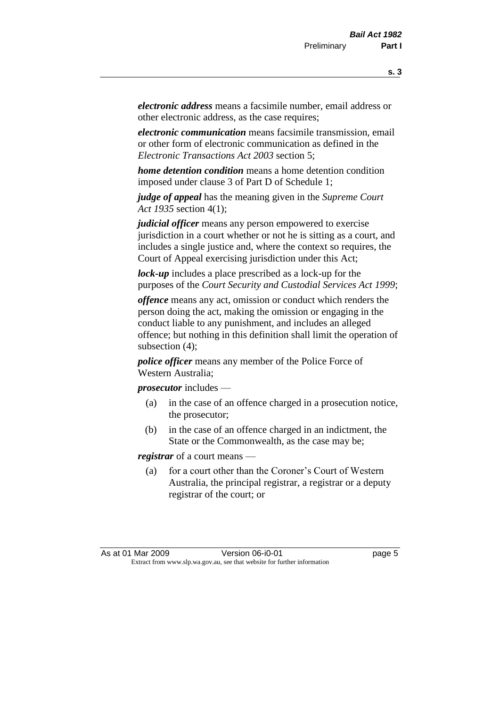*electronic address* means a facsimile number, email address or other electronic address, as the case requires;

*electronic communication* means facsimile transmission, email or other form of electronic communication as defined in the *Electronic Transactions Act 2003* section 5;

*home detention condition* means a home detention condition imposed under clause 3 of Part D of Schedule 1;

*judge of appeal* has the meaning given in the *Supreme Court Act 1935* section 4(1);

*judicial officer* means any person empowered to exercise jurisdiction in a court whether or not he is sitting as a court, and includes a single justice and, where the context so requires, the Court of Appeal exercising jurisdiction under this Act;

*lock-up* includes a place prescribed as a lock-up for the purposes of the *Court Security and Custodial Services Act 1999*;

*offence* means any act, omission or conduct which renders the person doing the act, making the omission or engaging in the conduct liable to any punishment, and includes an alleged offence; but nothing in this definition shall limit the operation of subsection (4);

*police officer* means any member of the Police Force of Western Australia;

*prosecutor* includes —

- (a) in the case of an offence charged in a prosecution notice, the prosecutor;
- (b) in the case of an offence charged in an indictment, the State or the Commonwealth, as the case may be;

*registrar* of a court means —

(a) for a court other than the Coroner's Court of Western Australia, the principal registrar, a registrar or a deputy registrar of the court; or

As at 01 Mar 2009 **Version 06-i0-01 Dage 5** Extract from www.slp.wa.gov.au, see that website for further information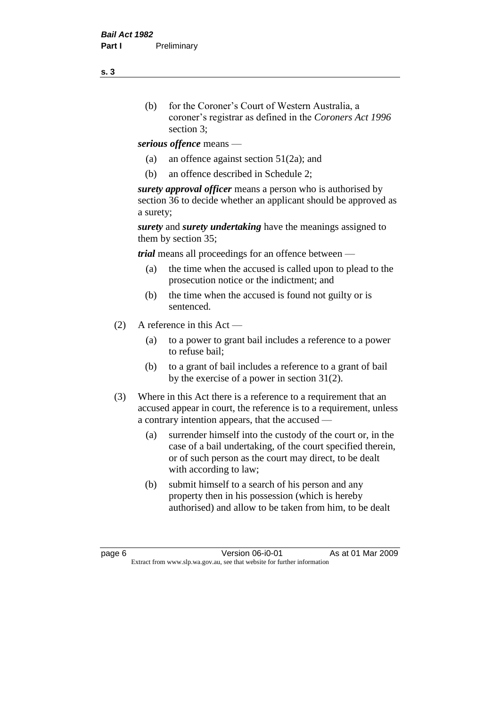- (b) for the Coroner's Court of Western Australia, a coroner's registrar as defined in the *Coroners Act 1996* section 3;
- *serious offence* means
	- (a) an offence against section 51(2a); and
	- (b) an offence described in Schedule 2;

*surety approval officer* means a person who is authorised by section 36 to decide whether an applicant should be approved as a surety;

*surety* and *surety undertaking* have the meanings assigned to them by section 35;

*trial* means all proceedings for an offence between —

- (a) the time when the accused is called upon to plead to the prosecution notice or the indictment; and
- (b) the time when the accused is found not guilty or is sentenced.
- (2) A reference in this Act
	- (a) to a power to grant bail includes a reference to a power to refuse bail;
	- (b) to a grant of bail includes a reference to a grant of bail by the exercise of a power in section 31(2).
- (3) Where in this Act there is a reference to a requirement that an accused appear in court, the reference is to a requirement, unless a contrary intention appears, that the accused —
	- (a) surrender himself into the custody of the court or, in the case of a bail undertaking, of the court specified therein, or of such person as the court may direct, to be dealt with according to law;
	- (b) submit himself to a search of his person and any property then in his possession (which is hereby authorised) and allow to be taken from him, to be dealt

page 6 Version 06-i0-01 As at 01 Mar 2009 Extract from www.slp.wa.gov.au, see that website for further information

**s. 3**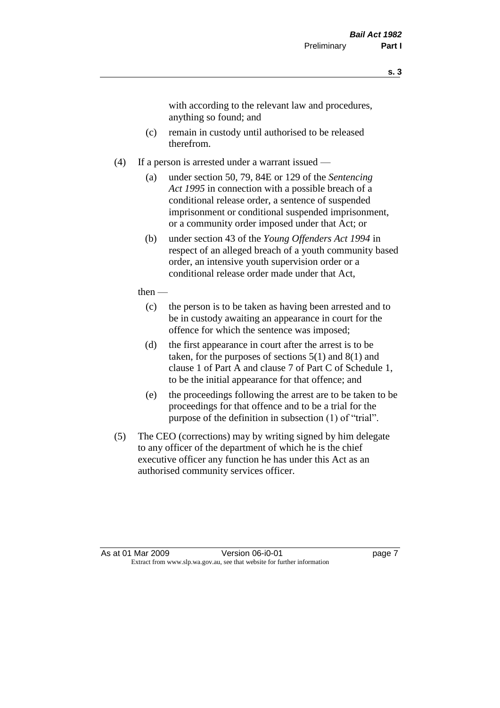with according to the relevant law and procedures, anything so found; and

- (c) remain in custody until authorised to be released therefrom.
- (4) If a person is arrested under a warrant issued
	- (a) under section 50, 79, 84E or 129 of the *Sentencing Act 1995* in connection with a possible breach of a conditional release order, a sentence of suspended imprisonment or conditional suspended imprisonment, or a community order imposed under that Act; or
	- (b) under section 43 of the *Young Offenders Act 1994* in respect of an alleged breach of a youth community based order, an intensive youth supervision order or a conditional release order made under that Act,
	- then
		- (c) the person is to be taken as having been arrested and to be in custody awaiting an appearance in court for the offence for which the sentence was imposed;
		- (d) the first appearance in court after the arrest is to be taken, for the purposes of sections  $5(1)$  and  $8(1)$  and clause 1 of Part A and clause 7 of Part C of Schedule 1, to be the initial appearance for that offence; and
		- (e) the proceedings following the arrest are to be taken to be proceedings for that offence and to be a trial for the purpose of the definition in subsection (1) of "trial".
- (5) The CEO (corrections) may by writing signed by him delegate to any officer of the department of which he is the chief executive officer any function he has under this Act as an authorised community services officer.

As at 01 Mar 2009 Version 06-i0-01 page 7 Extract from www.slp.wa.gov.au, see that website for further information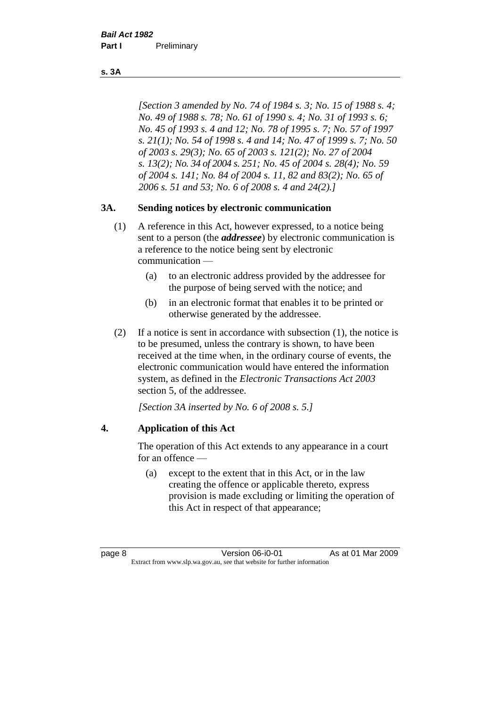#### **s. 3A**

*[Section 3 amended by No. 74 of 1984 s. 3; No. 15 of 1988 s. 4; No. 49 of 1988 s. 78; No. 61 of 1990 s. 4; No. 31 of 1993 s. 6; No. 45 of 1993 s. 4 and 12; No. 78 of 1995 s. 7; No. 57 of 1997 s. 21(1); No. 54 of 1998 s. 4 and 14; No. 47 of 1999 s. 7; No. 50 of 2003 s. 29(3); No. 65 of 2003 s. 121(2); No. 27 of 2004 s. 13(2); No. 34 of 2004 s. 251; No. 45 of 2004 s. 28(4); No. 59 of 2004 s. 141; No. 84 of 2004 s. 11, 82 and 83(2); No. 65 of 2006 s. 51 and 53; No. 6 of 2008 s. 4 and 24(2).]* 

# **3A. Sending notices by electronic communication**

- (1) A reference in this Act, however expressed, to a notice being sent to a person (the *addressee*) by electronic communication is a reference to the notice being sent by electronic communication —
	- (a) to an electronic address provided by the addressee for the purpose of being served with the notice; and
	- (b) in an electronic format that enables it to be printed or otherwise generated by the addressee.
- (2) If a notice is sent in accordance with subsection (1), the notice is to be presumed, unless the contrary is shown, to have been received at the time when, in the ordinary course of events, the electronic communication would have entered the information system, as defined in the *Electronic Transactions Act 2003* section 5, of the addressee.

*[Section 3A inserted by No. 6 of 2008 s. 5.]*

# **4. Application of this Act**

The operation of this Act extends to any appearance in a court for an offence —

(a) except to the extent that in this Act, or in the law creating the offence or applicable thereto, express provision is made excluding or limiting the operation of this Act in respect of that appearance;

page 8 Version 06-i0-01 As at 01 Mar 2009 Extract from www.slp.wa.gov.au, see that website for further information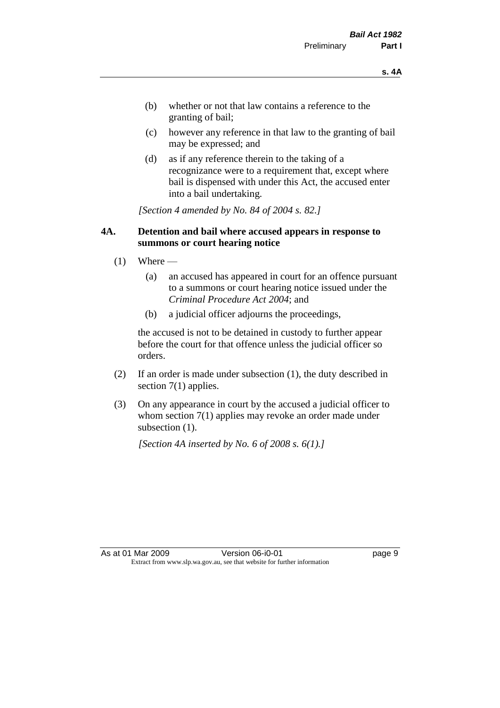- (b) whether or not that law contains a reference to the granting of bail;
- (c) however any reference in that law to the granting of bail may be expressed; and
- (d) as if any reference therein to the taking of a recognizance were to a requirement that, except where bail is dispensed with under this Act, the accused enter into a bail undertaking.

*[Section 4 amended by No. 84 of 2004 s. 82.]*

### **4A. Detention and bail where accused appears in response to summons or court hearing notice**

- $(1)$  Where
	- (a) an accused has appeared in court for an offence pursuant to a summons or court hearing notice issued under the *Criminal Procedure Act 2004*; and
	- (b) a judicial officer adjourns the proceedings,

the accused is not to be detained in custody to further appear before the court for that offence unless the judicial officer so orders.

- (2) If an order is made under subsection (1), the duty described in section 7(1) applies.
- (3) On any appearance in court by the accused a judicial officer to whom section 7(1) applies may revoke an order made under subsection  $(1)$ .

*[Section 4A inserted by No. 6 of 2008 s. 6(1).]*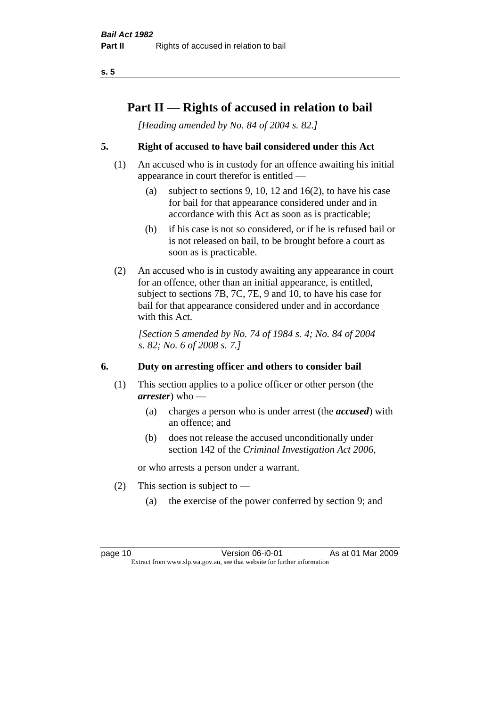# **Part II — Rights of accused in relation to bail**

*[Heading amended by No. 84 of 2004 s. 82.]* 

# **5. Right of accused to have bail considered under this Act**

- (1) An accused who is in custody for an offence awaiting his initial appearance in court therefor is entitled —
	- (a) subject to sections 9, 10, 12 and 16(2), to have his case for bail for that appearance considered under and in accordance with this Act as soon as is practicable;
	- (b) if his case is not so considered, or if he is refused bail or is not released on bail, to be brought before a court as soon as is practicable.
- (2) An accused who is in custody awaiting any appearance in court for an offence, other than an initial appearance, is entitled, subject to sections 7B, 7C, 7E, 9 and 10, to have his case for bail for that appearance considered under and in accordance with this Act.

*[Section 5 amended by No. 74 of 1984 s. 4; No. 84 of 2004 s. 82; No. 6 of 2008 s. 7.]* 

# **6. Duty on arresting officer and others to consider bail**

- (1) This section applies to a police officer or other person (the *arrester*) who —
	- (a) charges a person who is under arrest (the *accused*) with an offence; and
	- (b) does not release the accused unconditionally under section 142 of the *Criminal Investigation Act 2006*,

or who arrests a person under a warrant.

- (2) This section is subject to  $-$ 
	- (a) the exercise of the power conferred by section 9; and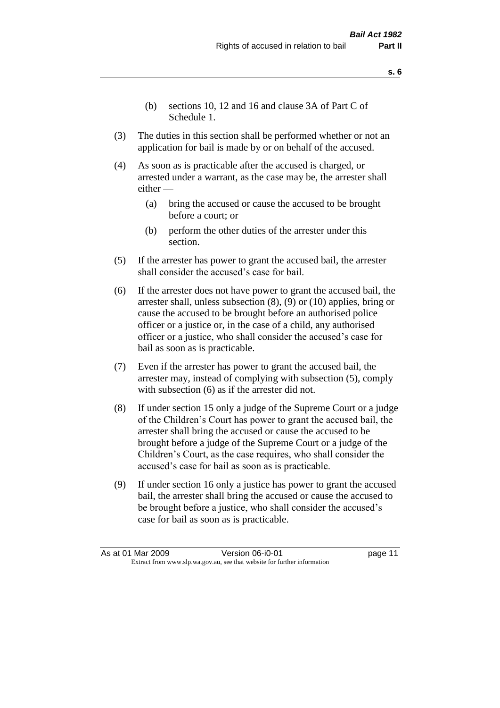- **s. 6**
- (b) sections 10, 12 and 16 and clause 3A of Part C of Schedule 1.
- (3) The duties in this section shall be performed whether or not an application for bail is made by or on behalf of the accused.
- (4) As soon as is practicable after the accused is charged, or arrested under a warrant, as the case may be, the arrester shall either —
	- (a) bring the accused or cause the accused to be brought before a court; or
	- (b) perform the other duties of the arrester under this section.
- (5) If the arrester has power to grant the accused bail, the arrester shall consider the accused's case for bail.
- (6) If the arrester does not have power to grant the accused bail, the arrester shall, unless subsection (8), (9) or (10) applies, bring or cause the accused to be brought before an authorised police officer or a justice or, in the case of a child, any authorised officer or a justice, who shall consider the accused's case for bail as soon as is practicable.
- (7) Even if the arrester has power to grant the accused bail, the arrester may, instead of complying with subsection (5), comply with subsection (6) as if the arrester did not.
- (8) If under section 15 only a judge of the Supreme Court or a judge of the Children's Court has power to grant the accused bail, the arrester shall bring the accused or cause the accused to be brought before a judge of the Supreme Court or a judge of the Children's Court, as the case requires, who shall consider the accused's case for bail as soon as is practicable.
- (9) If under section 16 only a justice has power to grant the accused bail, the arrester shall bring the accused or cause the accused to be brought before a justice, who shall consider the accused's case for bail as soon as is practicable.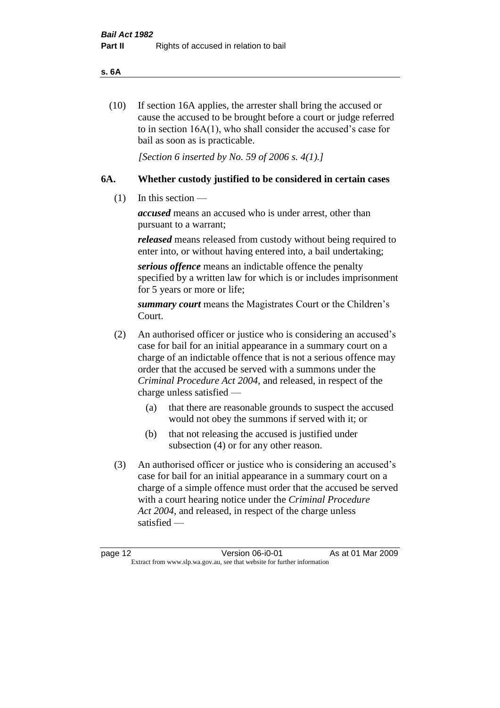#### **s. 6A**

(10) If section 16A applies, the arrester shall bring the accused or cause the accused to be brought before a court or judge referred to in section 16A(1), who shall consider the accused's case for bail as soon as is practicable.

*[Section 6 inserted by No. 59 of 2006 s. 4(1).]* 

# **6A. Whether custody justified to be considered in certain cases**

(1) In this section —

*accused* means an accused who is under arrest, other than pursuant to a warrant;

*released* means released from custody without being required to enter into, or without having entered into, a bail undertaking;

*serious offence* means an indictable offence the penalty specified by a written law for which is or includes imprisonment for 5 years or more or life;

*summary court* means the Magistrates Court or the Children's Court.

- (2) An authorised officer or justice who is considering an accused's case for bail for an initial appearance in a summary court on a charge of an indictable offence that is not a serious offence may order that the accused be served with a summons under the *Criminal Procedure Act 2004*, and released, in respect of the charge unless satisfied —
	- (a) that there are reasonable grounds to suspect the accused would not obey the summons if served with it; or
	- (b) that not releasing the accused is justified under subsection (4) or for any other reason.
- (3) An authorised officer or justice who is considering an accused's case for bail for an initial appearance in a summary court on a charge of a simple offence must order that the accused be served with a court hearing notice under the *Criminal Procedure Act 2004*, and released, in respect of the charge unless satisfied —

page 12 Version 06-i0-01 As at 01 Mar 2009 Extract from www.slp.wa.gov.au, see that website for further information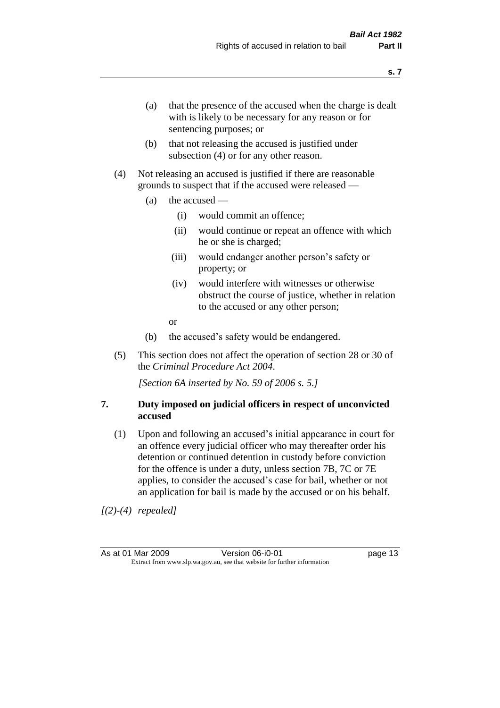- (a) that the presence of the accused when the charge is dealt with is likely to be necessary for any reason or for sentencing purposes; or
- (b) that not releasing the accused is justified under subsection (4) or for any other reason.
- (4) Not releasing an accused is justified if there are reasonable grounds to suspect that if the accused were released —
	- (a) the accused
		- (i) would commit an offence;
		- (ii) would continue or repeat an offence with which he or she is charged;
		- (iii) would endanger another person's safety or property; or
		- (iv) would interfere with witnesses or otherwise obstruct the course of justice, whether in relation to the accused or any other person;
		- or
	- (b) the accused's safety would be endangered.
- (5) This section does not affect the operation of section 28 or 30 of the *Criminal Procedure Act 2004*.

*[Section 6A inserted by No. 59 of 2006 s. 5.]* 

### **7. Duty imposed on judicial officers in respect of unconvicted accused**

(1) Upon and following an accused's initial appearance in court for an offence every judicial officer who may thereafter order his detention or continued detention in custody before conviction for the offence is under a duty, unless section 7B, 7C or 7E applies, to consider the accused's case for bail, whether or not an application for bail is made by the accused or on his behalf.

*[(2)-(4) repealed]*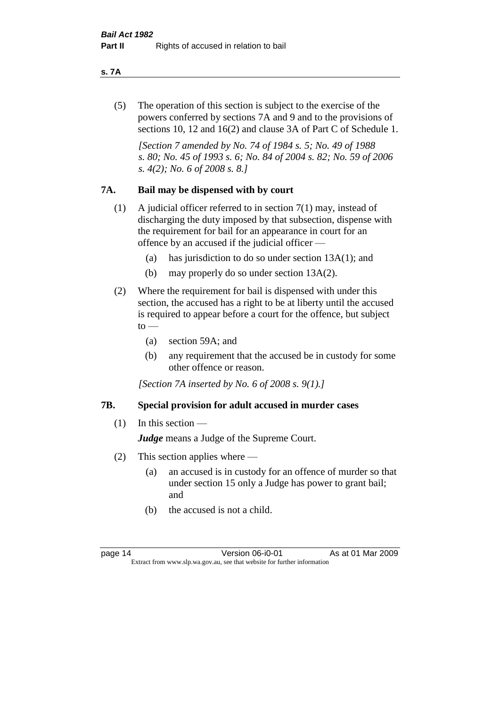#### **s. 7A**

(5) The operation of this section is subject to the exercise of the powers conferred by sections 7A and 9 and to the provisions of sections 10, 12 and 16(2) and clause 3A of Part C of Schedule 1.

*[Section 7 amended by No. 74 of 1984 s. 5; No. 49 of 1988 s. 80; No. 45 of 1993 s. 6; No. 84 of 2004 s. 82; No. 59 of 2006 s. 4(2); No. 6 of 2008 s. 8.]* 

### **7A. Bail may be dispensed with by court**

- (1) A judicial officer referred to in section 7(1) may, instead of discharging the duty imposed by that subsection, dispense with the requirement for bail for an appearance in court for an offence by an accused if the judicial officer —
	- (a) has jurisdiction to do so under section 13A(1); and
	- (b) may properly do so under section 13A(2).
- (2) Where the requirement for bail is dispensed with under this section, the accused has a right to be at liberty until the accused is required to appear before a court for the offence, but subject  $\mathrm{to}$  —
	- (a) section 59A; and
	- (b) any requirement that the accused be in custody for some other offence or reason.

*[Section 7A inserted by No. 6 of 2008 s. 9(1).]*

#### **7B. Special provision for adult accused in murder cases**

#### $(1)$  In this section —

*Judge* means a Judge of the Supreme Court.

- (2) This section applies where
	- (a) an accused is in custody for an offence of murder so that under section 15 only a Judge has power to grant bail; and
	- (b) the accused is not a child.

page 14 Version 06-i0-01 As at 01 Mar 2009 Extract from www.slp.wa.gov.au, see that website for further information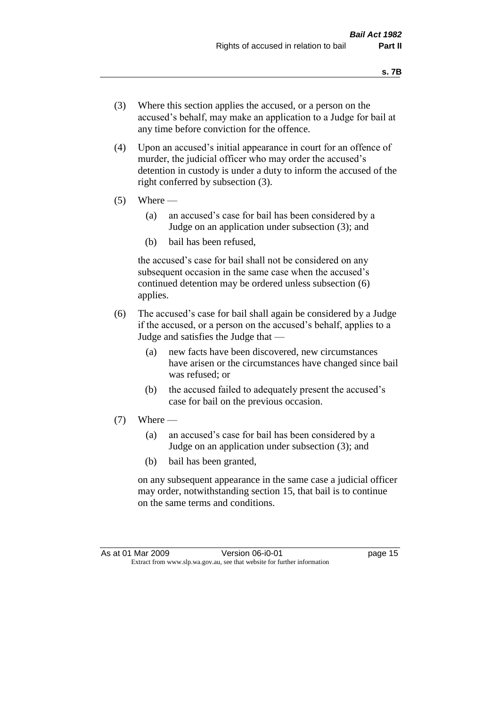- (3) Where this section applies the accused, or a person on the accused's behalf, may make an application to a Judge for bail at any time before conviction for the offence.
- (4) Upon an accused's initial appearance in court for an offence of murder, the judicial officer who may order the accused's detention in custody is under a duty to inform the accused of the right conferred by subsection (3).
- $(5)$  Where
	- (a) an accused's case for bail has been considered by a Judge on an application under subsection (3); and
	- (b) bail has been refused,

the accused's case for bail shall not be considered on any subsequent occasion in the same case when the accused's continued detention may be ordered unless subsection (6) applies.

- (6) The accused's case for bail shall again be considered by a Judge if the accused, or a person on the accused's behalf, applies to a Judge and satisfies the Judge that —
	- (a) new facts have been discovered, new circumstances have arisen or the circumstances have changed since bail was refused; or
	- (b) the accused failed to adequately present the accused's case for bail on the previous occasion.
- $(7)$  Where
	- (a) an accused's case for bail has been considered by a Judge on an application under subsection (3); and
	- (b) bail has been granted,

on any subsequent appearance in the same case a judicial officer may order, notwithstanding section 15, that bail is to continue on the same terms and conditions.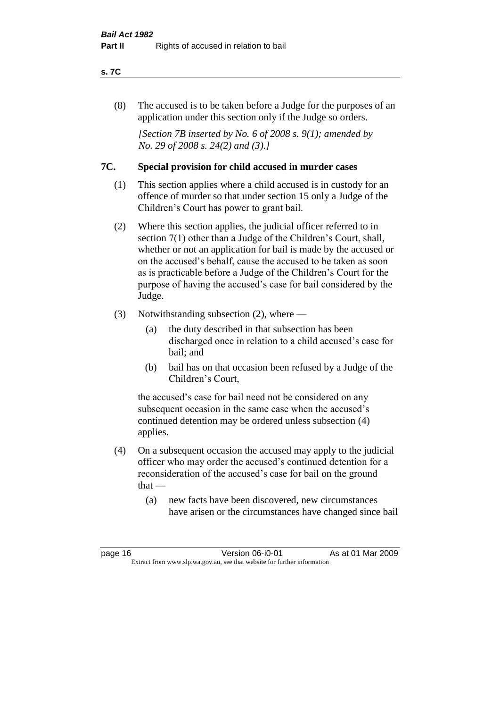#### **s. 7C**

(8) The accused is to be taken before a Judge for the purposes of an application under this section only if the Judge so orders.

*[Section 7B inserted by No. 6 of 2008 s. 9(1); amended by No. 29 of 2008 s. 24(2) and (3).]*

### **7C. Special provision for child accused in murder cases**

- (1) This section applies where a child accused is in custody for an offence of murder so that under section 15 only a Judge of the Children's Court has power to grant bail.
- (2) Where this section applies, the judicial officer referred to in section 7(1) other than a Judge of the Children's Court, shall, whether or not an application for bail is made by the accused or on the accused's behalf, cause the accused to be taken as soon as is practicable before a Judge of the Children's Court for the purpose of having the accused's case for bail considered by the Judge.
- (3) Notwithstanding subsection (2), where
	- (a) the duty described in that subsection has been discharged once in relation to a child accused's case for bail; and
	- (b) bail has on that occasion been refused by a Judge of the Children's Court,

the accused's case for bail need not be considered on any subsequent occasion in the same case when the accused's continued detention may be ordered unless subsection (4) applies.

- (4) On a subsequent occasion the accused may apply to the judicial officer who may order the accused's continued detention for a reconsideration of the accused's case for bail on the ground  $that -$ 
	- (a) new facts have been discovered, new circumstances have arisen or the circumstances have changed since bail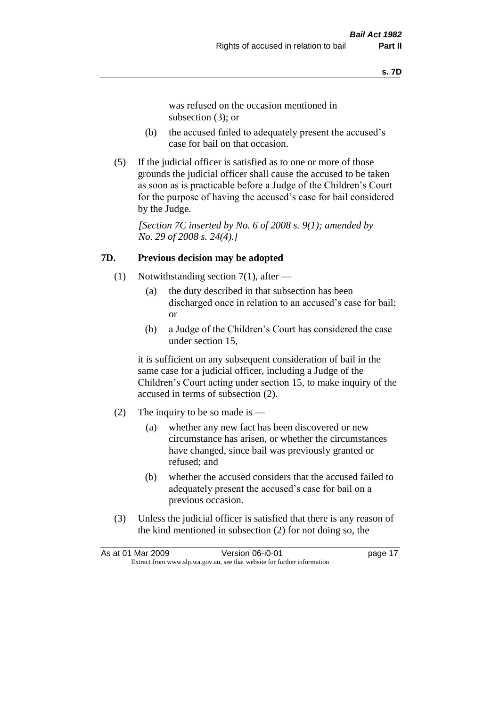was refused on the occasion mentioned in subsection (3); or

- (b) the accused failed to adequately present the accused's case for bail on that occasion.
- (5) If the judicial officer is satisfied as to one or more of those grounds the judicial officer shall cause the accused to be taken as soon as is practicable before a Judge of the Children's Court for the purpose of having the accused's case for bail considered by the Judge.

*[Section 7C inserted by No. 6 of 2008 s. 9(1); amended by No. 29 of 2008 s. 24(4).]*

### **7D. Previous decision may be adopted**

- (1) Notwithstanding section 7(1), after
	- (a) the duty described in that subsection has been discharged once in relation to an accused's case for bail; or
	- (b) a Judge of the Children's Court has considered the case under section 15,

it is sufficient on any subsequent consideration of bail in the same case for a judicial officer, including a Judge of the Children's Court acting under section 15, to make inquiry of the accused in terms of subsection (2).

- (2) The inquiry to be so made is  $-$ 
	- (a) whether any new fact has been discovered or new circumstance has arisen, or whether the circumstances have changed, since bail was previously granted or refused; and
	- (b) whether the accused considers that the accused failed to adequately present the accused's case for bail on a previous occasion.
- (3) Unless the judicial officer is satisfied that there is any reason of the kind mentioned in subsection (2) for not doing so, the

| As at 01 Mar 2009 | Version 06-i0-01                                                         | page 17 |
|-------------------|--------------------------------------------------------------------------|---------|
|                   | Extract from www.slp.wa.gov.au, see that website for further information |         |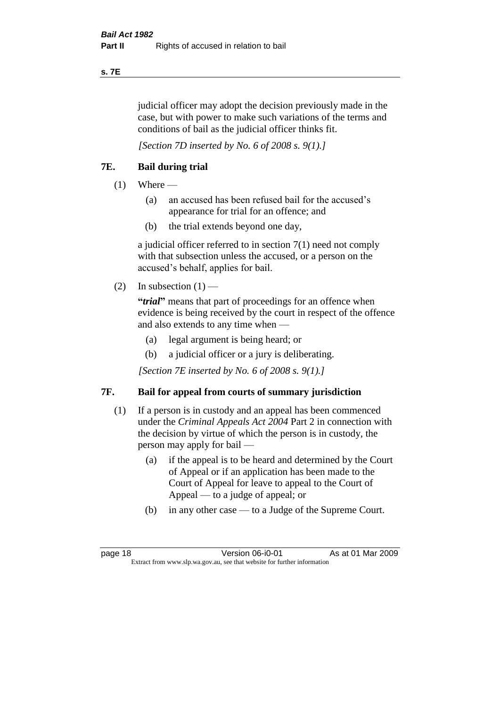#### **s. 7E**

judicial officer may adopt the decision previously made in the case, but with power to make such variations of the terms and conditions of bail as the judicial officer thinks fit.

*[Section 7D inserted by No. 6 of 2008 s. 9(1).]*

# **7E. Bail during trial**

- $(1)$  Where
	- (a) an accused has been refused bail for the accused's appearance for trial for an offence; and
	- (b) the trial extends beyond one day,

a judicial officer referred to in section 7(1) need not comply with that subsection unless the accused, or a person on the accused's behalf, applies for bail.

(2) In subsection  $(1)$  —

**"***trial***"** means that part of proceedings for an offence when evidence is being received by the court in respect of the offence and also extends to any time when —

- (a) legal argument is being heard; or
- (b) a judicial officer or a jury is deliberating.

*[Section 7E inserted by No. 6 of 2008 s. 9(1).]*

# **7F. Bail for appeal from courts of summary jurisdiction**

- (1) If a person is in custody and an appeal has been commenced under the *Criminal Appeals Act 2004* Part 2 in connection with the decision by virtue of which the person is in custody, the person may apply for bail —
	- (a) if the appeal is to be heard and determined by the Court of Appeal or if an application has been made to the Court of Appeal for leave to appeal to the Court of Appeal — to a judge of appeal; or
	- (b) in any other case to a Judge of the Supreme Court.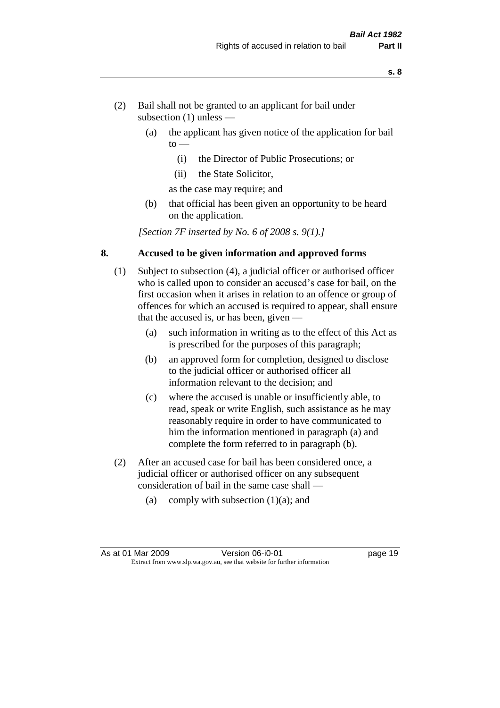- (2) Bail shall not be granted to an applicant for bail under subsection (1) unless —
	- (a) the applicant has given notice of the application for bail  $to -$ 
		- (i) the Director of Public Prosecutions; or
		- (ii) the State Solicitor,
		- as the case may require; and
	- (b) that official has been given an opportunity to be heard on the application.

*[Section 7F inserted by No. 6 of 2008 s. 9(1).]*

#### **8. Accused to be given information and approved forms**

- (1) Subject to subsection (4), a judicial officer or authorised officer who is called upon to consider an accused's case for bail, on the first occasion when it arises in relation to an offence or group of offences for which an accused is required to appear, shall ensure that the accused is, or has been, given —
	- (a) such information in writing as to the effect of this Act as is prescribed for the purposes of this paragraph;
	- (b) an approved form for completion, designed to disclose to the judicial officer or authorised officer all information relevant to the decision; and
	- (c) where the accused is unable or insufficiently able, to read, speak or write English, such assistance as he may reasonably require in order to have communicated to him the information mentioned in paragraph (a) and complete the form referred to in paragraph (b).
- (2) After an accused case for bail has been considered once, a judicial officer or authorised officer on any subsequent consideration of bail in the same case shall —
	- (a) comply with subsection  $(1)(a)$ ; and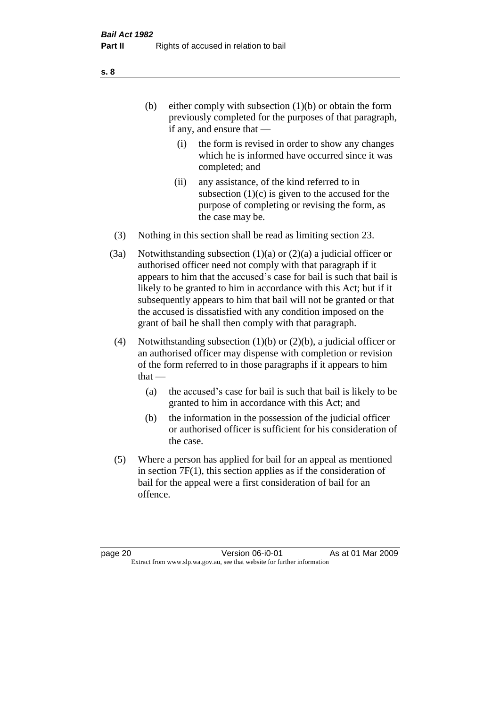- (b) either comply with subsection  $(1)(b)$  or obtain the form previously completed for the purposes of that paragraph, if any, and ensure that —
	- (i) the form is revised in order to show any changes which he is informed have occurred since it was completed; and
	- (ii) any assistance, of the kind referred to in subsection  $(1)(c)$  is given to the accused for the purpose of completing or revising the form, as the case may be.
- (3) Nothing in this section shall be read as limiting section 23.
- (3a) Notwithstanding subsection  $(1)(a)$  or  $(2)(a)$  a judicial officer or authorised officer need not comply with that paragraph if it appears to him that the accused's case for bail is such that bail is likely to be granted to him in accordance with this Act; but if it subsequently appears to him that bail will not be granted or that the accused is dissatisfied with any condition imposed on the grant of bail he shall then comply with that paragraph.
- (4) Notwithstanding subsection (1)(b) or (2)(b), a judicial officer or an authorised officer may dispense with completion or revision of the form referred to in those paragraphs if it appears to him  $that -$ 
	- (a) the accused's case for bail is such that bail is likely to be granted to him in accordance with this Act; and
	- (b) the information in the possession of the judicial officer or authorised officer is sufficient for his consideration of the case.
- (5) Where a person has applied for bail for an appeal as mentioned in section 7F(1), this section applies as if the consideration of bail for the appeal were a first consideration of bail for an offence.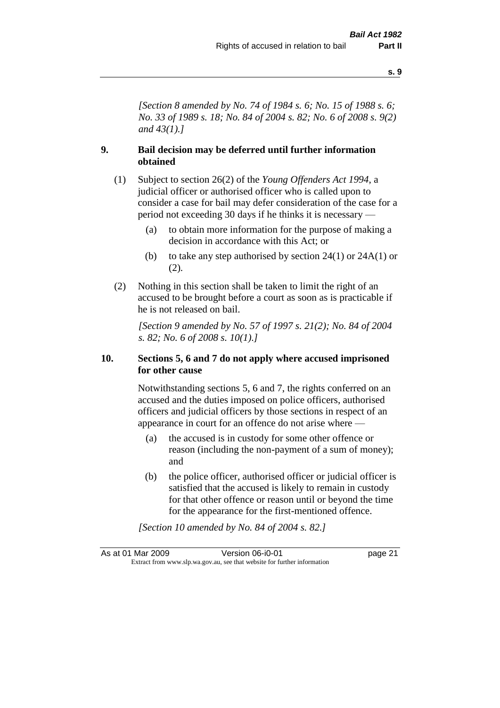*[Section 8 amended by No. 74 of 1984 s. 6; No. 15 of 1988 s. 6; No. 33 of 1989 s. 18; No. 84 of 2004 s. 82; No. 6 of 2008 s. 9(2) and 43(1).]* 

### **9. Bail decision may be deferred until further information obtained**

- (1) Subject to section 26(2) of the *Young Offenders Act 1994*, a judicial officer or authorised officer who is called upon to consider a case for bail may defer consideration of the case for a period not exceeding 30 days if he thinks it is necessary —
	- (a) to obtain more information for the purpose of making a decision in accordance with this Act; or
	- (b) to take any step authorised by section  $24(1)$  or  $24A(1)$  or (2).
- (2) Nothing in this section shall be taken to limit the right of an accused to be brought before a court as soon as is practicable if he is not released on bail.

*[Section 9 amended by No. 57 of 1997 s. 21(2); No. 84 of 2004 s. 82; No. 6 of 2008 s. 10(1).]*

#### **10. Sections 5, 6 and 7 do not apply where accused imprisoned for other cause**

Notwithstanding sections 5, 6 and 7, the rights conferred on an accused and the duties imposed on police officers, authorised officers and judicial officers by those sections in respect of an appearance in court for an offence do not arise where —

- (a) the accused is in custody for some other offence or reason (including the non-payment of a sum of money); and
- (b) the police officer, authorised officer or judicial officer is satisfied that the accused is likely to remain in custody for that other offence or reason until or beyond the time for the appearance for the first-mentioned offence.

*[Section 10 amended by No. 84 of 2004 s. 82.]*

As at 01 Mar 2009 Version 06-i0-01 page 21 Extract from www.slp.wa.gov.au, see that website for further information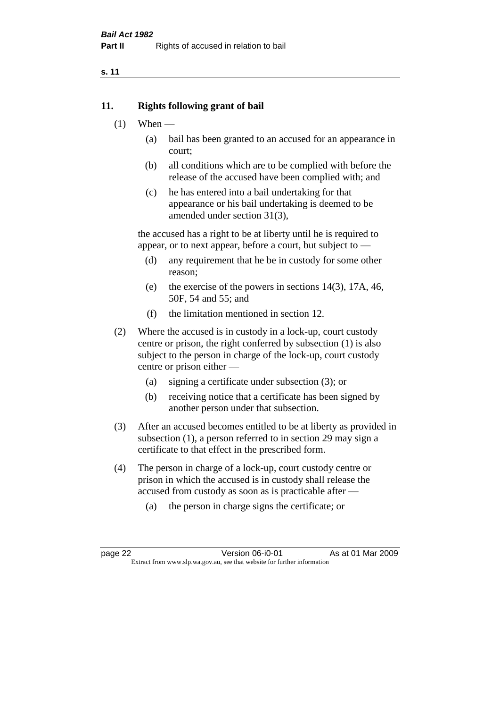### **11. Rights following grant of bail**

- $(1)$  When
	- (a) bail has been granted to an accused for an appearance in court;
	- (b) all conditions which are to be complied with before the release of the accused have been complied with; and
	- (c) he has entered into a bail undertaking for that appearance or his bail undertaking is deemed to be amended under section 31(3),

the accused has a right to be at liberty until he is required to appear, or to next appear, before a court, but subject to —

- (d) any requirement that he be in custody for some other reason;
- (e) the exercise of the powers in sections 14(3), 17A, 46, 50F, 54 and 55; and
- (f) the limitation mentioned in section 12.
- (2) Where the accused is in custody in a lock-up, court custody centre or prison, the right conferred by subsection (1) is also subject to the person in charge of the lock-up, court custody centre or prison either —
	- (a) signing a certificate under subsection (3); or
	- (b) receiving notice that a certificate has been signed by another person under that subsection.
- (3) After an accused becomes entitled to be at liberty as provided in subsection (1), a person referred to in section 29 may sign a certificate to that effect in the prescribed form.
- (4) The person in charge of a lock-up, court custody centre or prison in which the accused is in custody shall release the accused from custody as soon as is practicable after —
	- (a) the person in charge signs the certificate; or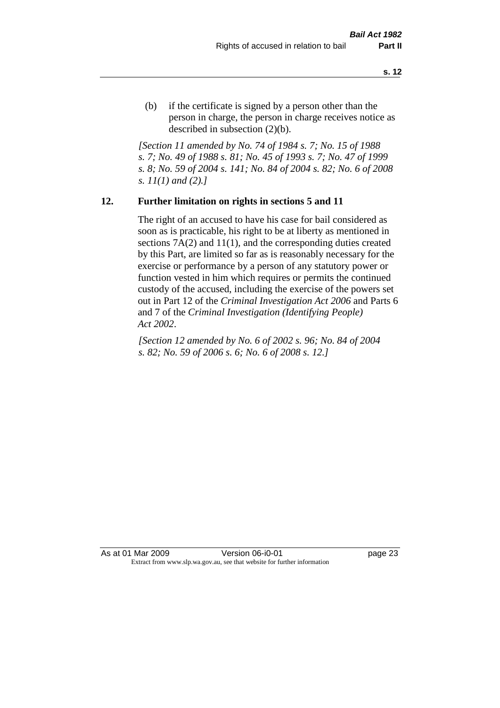(b) if the certificate is signed by a person other than the person in charge, the person in charge receives notice as described in subsection (2)(b).

*[Section 11 amended by No. 74 of 1984 s. 7; No. 15 of 1988 s. 7; No. 49 of 1988 s. 81; No. 45 of 1993 s. 7; No. 47 of 1999 s. 8; No. 59 of 2004 s. 141; No. 84 of 2004 s. 82; No. 6 of 2008 s. 11(1) and (2).]* 

#### **12. Further limitation on rights in sections 5 and 11**

The right of an accused to have his case for bail considered as soon as is practicable, his right to be at liberty as mentioned in sections 7A(2) and 11(1), and the corresponding duties created by this Part, are limited so far as is reasonably necessary for the exercise or performance by a person of any statutory power or function vested in him which requires or permits the continued custody of the accused, including the exercise of the powers set out in Part 12 of the *Criminal Investigation Act 2006* and Parts 6 and 7 of the *Criminal Investigation (Identifying People) Act 2002*.

*[Section 12 amended by No. 6 of 2002 s. 96; No. 84 of 2004 s. 82; No. 59 of 2006 s. 6; No. 6 of 2008 s. 12.]*

As at 01 Mar 2009 **Version 06-i0-01 Dage 23** Extract from www.slp.wa.gov.au, see that website for further information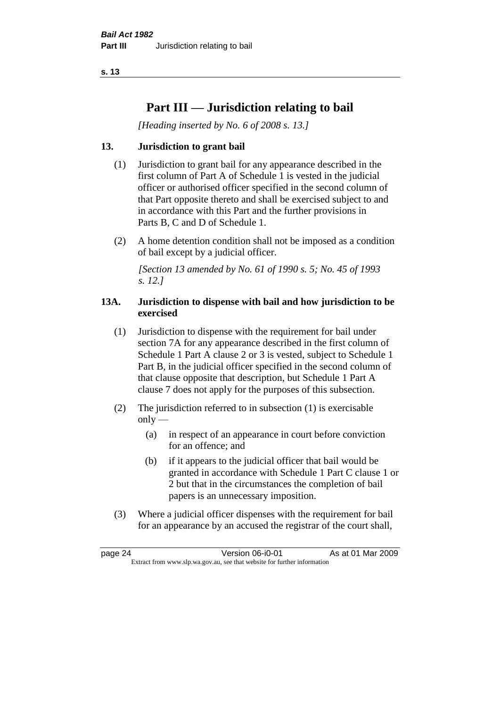# **Part III — Jurisdiction relating to bail**

*[Heading inserted by No. 6 of 2008 s. 13.]*

# **13. Jurisdiction to grant bail**

- (1) Jurisdiction to grant bail for any appearance described in the first column of Part A of Schedule 1 is vested in the judicial officer or authorised officer specified in the second column of that Part opposite thereto and shall be exercised subject to and in accordance with this Part and the further provisions in Parts B, C and D of Schedule 1.
- (2) A home detention condition shall not be imposed as a condition of bail except by a judicial officer.

*[Section 13 amended by No. 61 of 1990 s. 5; No. 45 of 1993 s. 12.]* 

# **13A. Jurisdiction to dispense with bail and how jurisdiction to be exercised**

- (1) Jurisdiction to dispense with the requirement for bail under section 7A for any appearance described in the first column of Schedule 1 Part A clause 2 or 3 is vested, subject to Schedule 1 Part B, in the judicial officer specified in the second column of that clause opposite that description, but Schedule 1 Part A clause 7 does not apply for the purposes of this subsection.
- (2) The jurisdiction referred to in subsection (1) is exercisable  $only$ —
	- (a) in respect of an appearance in court before conviction for an offence; and
	- (b) if it appears to the judicial officer that bail would be granted in accordance with Schedule 1 Part C clause 1 or 2 but that in the circumstances the completion of bail papers is an unnecessary imposition.
- (3) Where a judicial officer dispenses with the requirement for bail for an appearance by an accused the registrar of the court shall,

page 24 Version 06-i0-01 As at 01 Mar 2009 Extract from www.slp.wa.gov.au, see that website for further information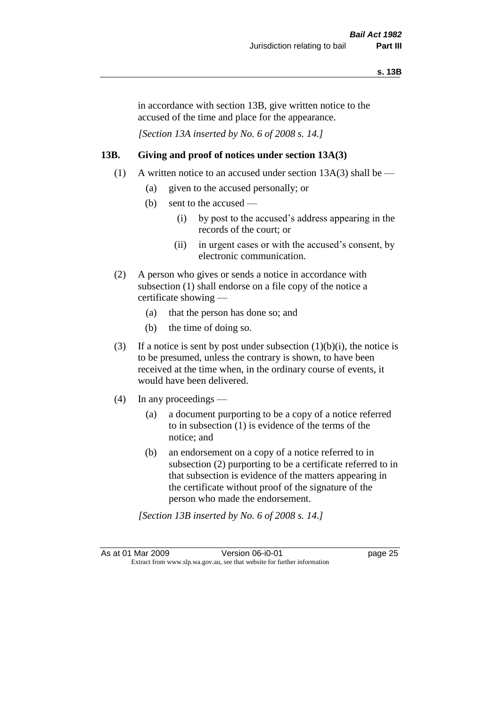in accordance with section 13B, give written notice to the accused of the time and place for the appearance.

*[Section 13A inserted by No. 6 of 2008 s. 14.]*

# **13B. Giving and proof of notices under section 13A(3)**

- (1) A written notice to an accused under section 13A(3) shall be
	- (a) given to the accused personally; or
	- (b) sent to the accused
		- (i) by post to the accused's address appearing in the records of the court; or
		- (ii) in urgent cases or with the accused's consent, by electronic communication.
- (2) A person who gives or sends a notice in accordance with subsection (1) shall endorse on a file copy of the notice a certificate showing —
	- (a) that the person has done so; and
	- (b) the time of doing so.
- (3) If a notice is sent by post under subsection  $(1)(b)(i)$ , the notice is to be presumed, unless the contrary is shown, to have been received at the time when, in the ordinary course of events, it would have been delivered.
- (4) In any proceedings
	- (a) a document purporting to be a copy of a notice referred to in subsection (1) is evidence of the terms of the notice; and
	- (b) an endorsement on a copy of a notice referred to in subsection (2) purporting to be a certificate referred to in that subsection is evidence of the matters appearing in the certificate without proof of the signature of the person who made the endorsement.

*[Section 13B inserted by No. 6 of 2008 s. 14.]*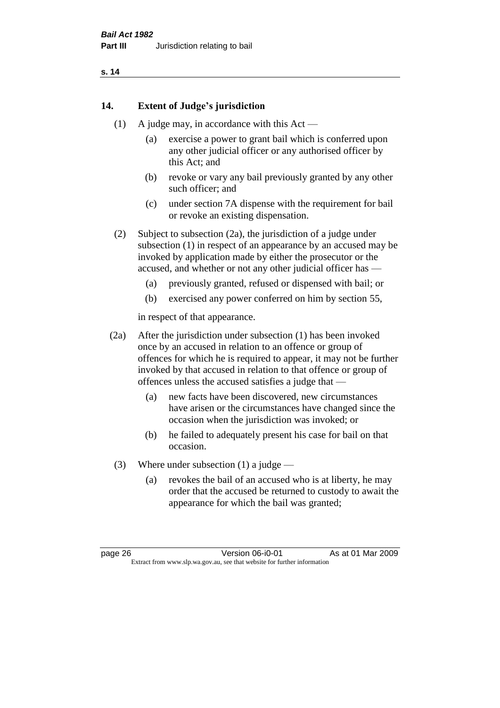# **14. Extent of Judge's jurisdiction**

- (1) A judge may, in accordance with this  $Act -$ 
	- (a) exercise a power to grant bail which is conferred upon any other judicial officer or any authorised officer by this Act; and
	- (b) revoke or vary any bail previously granted by any other such officer; and
	- (c) under section 7A dispense with the requirement for bail or revoke an existing dispensation.

(2) Subject to subsection (2a), the jurisdiction of a judge under subsection (1) in respect of an appearance by an accused may be invoked by application made by either the prosecutor or the accused, and whether or not any other judicial officer has —

- (a) previously granted, refused or dispensed with bail; or
- (b) exercised any power conferred on him by section 55,

in respect of that appearance.

(2a) After the jurisdiction under subsection (1) has been invoked once by an accused in relation to an offence or group of offences for which he is required to appear, it may not be further invoked by that accused in relation to that offence or group of offences unless the accused satisfies a judge that —

- (a) new facts have been discovered, new circumstances have arisen or the circumstances have changed since the occasion when the jurisdiction was invoked; or
- (b) he failed to adequately present his case for bail on that occasion.
- (3) Where under subsection (1) a judge
	- (a) revokes the bail of an accused who is at liberty, he may order that the accused be returned to custody to await the appearance for which the bail was granted;

page 26 Version 06-i0-01 As at 01 Mar 2009 Extract from www.slp.wa.gov.au, see that website for further information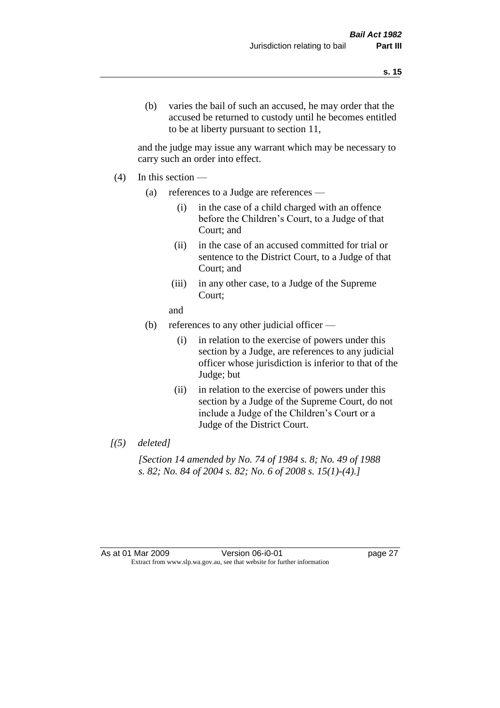(b) varies the bail of such an accused, he may order that the accused be returned to custody until he becomes entitled to be at liberty pursuant to section 11,

and the judge may issue any warrant which may be necessary to carry such an order into effect.

- $(4)$  In this section
	- (a) references to a Judge are references
		- (i) in the case of a child charged with an offence before the Children's Court, to a Judge of that Court; and
		- (ii) in the case of an accused committed for trial or sentence to the District Court, to a Judge of that Court; and
		- (iii) in any other case, to a Judge of the Supreme Court;
		- and
	- (b) references to any other judicial officer
		- (i) in relation to the exercise of powers under this section by a Judge, are references to any judicial officer whose jurisdiction is inferior to that of the Judge; but
		- (ii) in relation to the exercise of powers under this section by a Judge of the Supreme Court, do not include a Judge of the Children's Court or a Judge of the District Court.
- *[(5) deleted]*

*[Section 14 amended by No. 74 of 1984 s. 8; No. 49 of 1988 s. 82; No. 84 of 2004 s. 82; No. 6 of 2008 s. 15(1)-(4).]* 

As at 01 Mar 2009 Version 06-i0-01 page 27 Extract from www.slp.wa.gov.au, see that website for further information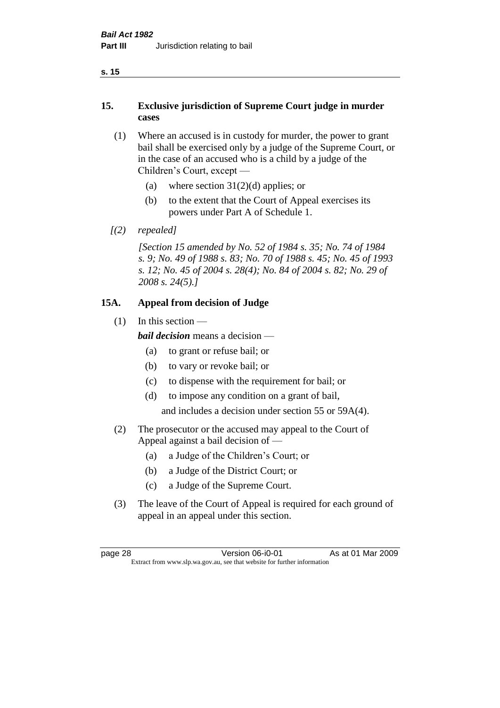# **15. Exclusive jurisdiction of Supreme Court judge in murder cases**

- (1) Where an accused is in custody for murder, the power to grant bail shall be exercised only by a judge of the Supreme Court, or in the case of an accused who is a child by a judge of the Children's Court, except —
	- (a) where section  $31(2)(d)$  applies; or
	- (b) to the extent that the Court of Appeal exercises its powers under Part A of Schedule 1.
- *[(2) repealed]*

*[Section 15 amended by No. 52 of 1984 s. 35; No. 74 of 1984 s. 9; No. 49 of 1988 s. 83; No. 70 of 1988 s. 45; No. 45 of 1993 s. 12; No. 45 of 2004 s. 28(4); No. 84 of 2004 s. 82; No. 29 of 2008 s. 24(5).]* 

# **15A. Appeal from decision of Judge**

 $(1)$  In this section —

*bail decision* means a decision —

- (a) to grant or refuse bail; or
- (b) to vary or revoke bail; or
- (c) to dispense with the requirement for bail; or
- (d) to impose any condition on a grant of bail,

and includes a decision under section 55 or 59A(4).

- (2) The prosecutor or the accused may appeal to the Court of Appeal against a bail decision of —
	- (a) a Judge of the Children's Court; or
	- (b) a Judge of the District Court; or
	- (c) a Judge of the Supreme Court.
- (3) The leave of the Court of Appeal is required for each ground of appeal in an appeal under this section.

page 28 Version 06-i0-01 As at 01 Mar 2009 Extract from www.slp.wa.gov.au, see that website for further information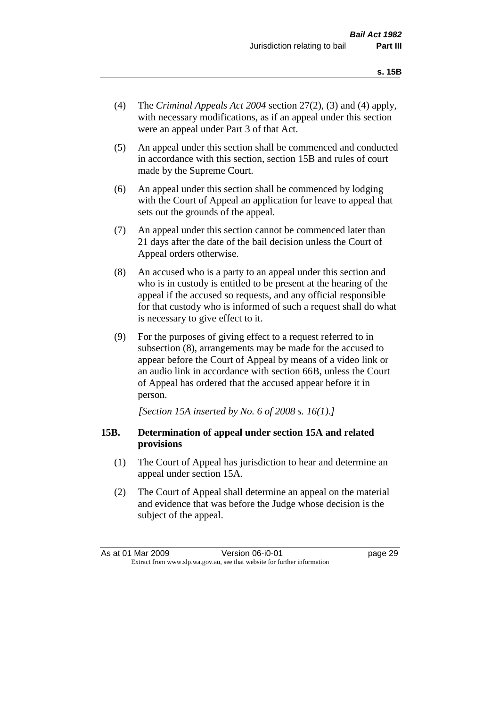- (4) The *Criminal Appeals Act 2004* section 27(2), (3) and (4) apply, with necessary modifications, as if an appeal under this section were an appeal under Part 3 of that Act.
- (5) An appeal under this section shall be commenced and conducted in accordance with this section, section 15B and rules of court made by the Supreme Court.
- (6) An appeal under this section shall be commenced by lodging with the Court of Appeal an application for leave to appeal that sets out the grounds of the appeal.
- (7) An appeal under this section cannot be commenced later than 21 days after the date of the bail decision unless the Court of Appeal orders otherwise.
- (8) An accused who is a party to an appeal under this section and who is in custody is entitled to be present at the hearing of the appeal if the accused so requests, and any official responsible for that custody who is informed of such a request shall do what is necessary to give effect to it.
- (9) For the purposes of giving effect to a request referred to in subsection (8), arrangements may be made for the accused to appear before the Court of Appeal by means of a video link or an audio link in accordance with section 66B, unless the Court of Appeal has ordered that the accused appear before it in person.

*[Section 15A inserted by No. 6 of 2008 s. 16(1).]*

#### **15B. Determination of appeal under section 15A and related provisions**

- (1) The Court of Appeal has jurisdiction to hear and determine an appeal under section 15A.
- (2) The Court of Appeal shall determine an appeal on the material and evidence that was before the Judge whose decision is the subject of the appeal.

As at 01 Mar 2009 Version 06-i0-01 page 29 Extract from www.slp.wa.gov.au, see that website for further information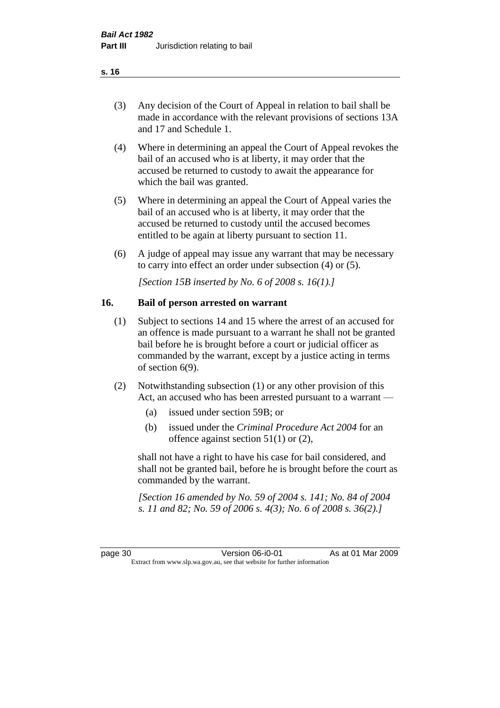| (3) | Any decision of the Court of Appeal in relation to bail shall be |
|-----|------------------------------------------------------------------|
|     | made in accordance with the relevant provisions of sections 13A  |
|     | and 17 and Schedule 1.                                           |

- (4) Where in determining an appeal the Court of Appeal revokes the bail of an accused who is at liberty, it may order that the accused be returned to custody to await the appearance for which the bail was granted.
- (5) Where in determining an appeal the Court of Appeal varies the bail of an accused who is at liberty, it may order that the accused be returned to custody until the accused becomes entitled to be again at liberty pursuant to section 11.
- (6) A judge of appeal may issue any warrant that may be necessary to carry into effect an order under subsection (4) or (5).

*[Section 15B inserted by No. 6 of 2008 s. 16(1).]*

#### **16. Bail of person arrested on warrant**

- (1) Subject to sections 14 and 15 where the arrest of an accused for an offence is made pursuant to a warrant he shall not be granted bail before he is brought before a court or judicial officer as commanded by the warrant, except by a justice acting in terms of section 6(9).
- (2) Notwithstanding subsection (1) or any other provision of this Act, an accused who has been arrested pursuant to a warrant —
	- (a) issued under section 59B; or
	- (b) issued under the *Criminal Procedure Act 2004* for an offence against section 51(1) or (2),

shall not have a right to have his case for bail considered, and shall not be granted bail, before he is brought before the court as commanded by the warrant.

*[Section 16 amended by No. 59 of 2004 s. 141; No. 84 of 2004 s. 11 and 82; No. 59 of 2006 s. 4(3); No. 6 of 2008 s. 36(2).]*

**s. 16**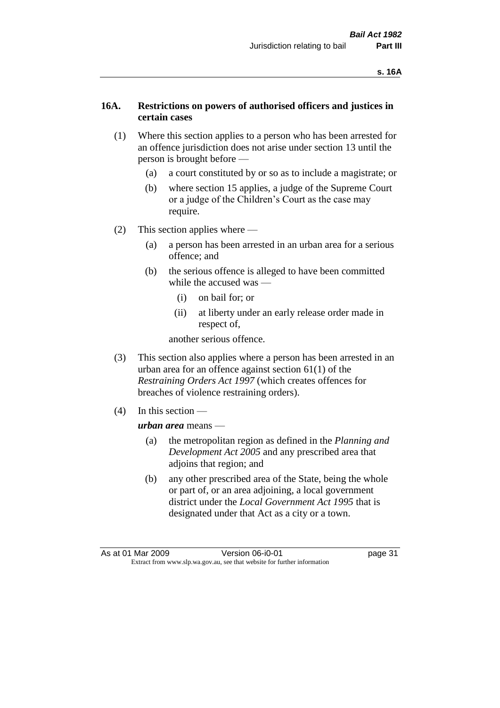#### **16A. Restrictions on powers of authorised officers and justices in certain cases**

- (1) Where this section applies to a person who has been arrested for an offence jurisdiction does not arise under section 13 until the person is brought before —
	- (a) a court constituted by or so as to include a magistrate; or
	- (b) where section 15 applies, a judge of the Supreme Court or a judge of the Children's Court as the case may require.
- (2) This section applies where
	- (a) a person has been arrested in an urban area for a serious offence; and
	- (b) the serious offence is alleged to have been committed while the accused was —
		- (i) on bail for; or
		- (ii) at liberty under an early release order made in respect of,

another serious offence.

- (3) This section also applies where a person has been arrested in an urban area for an offence against section 61(1) of the *Restraining Orders Act 1997* (which creates offences for breaches of violence restraining orders).
- (4) In this section —

#### *urban area* means —

- (a) the metropolitan region as defined in the *Planning and Development Act 2005* and any prescribed area that adjoins that region; and
- (b) any other prescribed area of the State, being the whole or part of, or an area adjoining, a local government district under the *Local Government Act 1995* that is designated under that Act as a city or a town.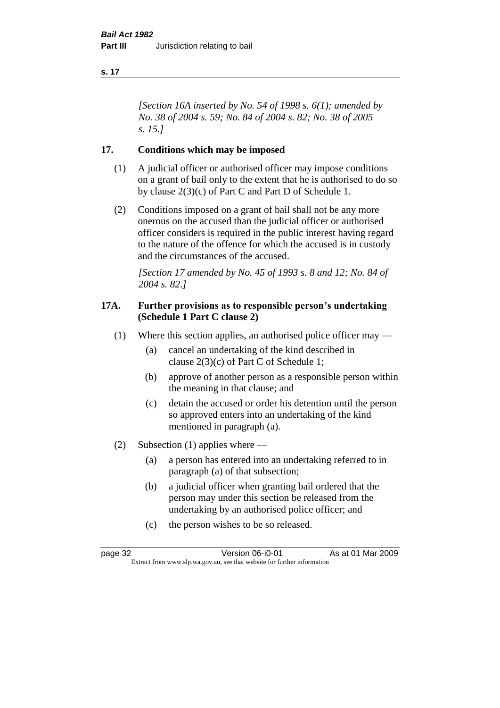*[Section 16A inserted by No. 54 of 1998 s. 6(1); amended by No. 38 of 2004 s. 59; No. 84 of 2004 s. 82; No. 38 of 2005 s. 15.]*

# **17. Conditions which may be imposed**

- (1) A judicial officer or authorised officer may impose conditions on a grant of bail only to the extent that he is authorised to do so by clause 2(3)(c) of Part C and Part D of Schedule 1.
- (2) Conditions imposed on a grant of bail shall not be any more onerous on the accused than the judicial officer or authorised officer considers is required in the public interest having regard to the nature of the offence for which the accused is in custody and the circumstances of the accused.

*[Section 17 amended by No. 45 of 1993 s. 8 and 12; No. 84 of 2004 s. 82.]* 

#### **17A. Further provisions as to responsible person's undertaking (Schedule 1 Part C clause 2)**

- (1) Where this section applies, an authorised police officer may
	- (a) cancel an undertaking of the kind described in clause 2(3)(c) of Part C of Schedule 1;
	- (b) approve of another person as a responsible person within the meaning in that clause; and
	- (c) detain the accused or order his detention until the person so approved enters into an undertaking of the kind mentioned in paragraph (a).
- (2) Subsection (1) applies where
	- (a) a person has entered into an undertaking referred to in paragraph (a) of that subsection;
	- (b) a judicial officer when granting bail ordered that the person may under this section be released from the undertaking by an authorised police officer; and
	- (c) the person wishes to be so released.

page 32 Version 06-i0-01 As at 01 Mar 2009 Extract from www.slp.wa.gov.au, see that website for further information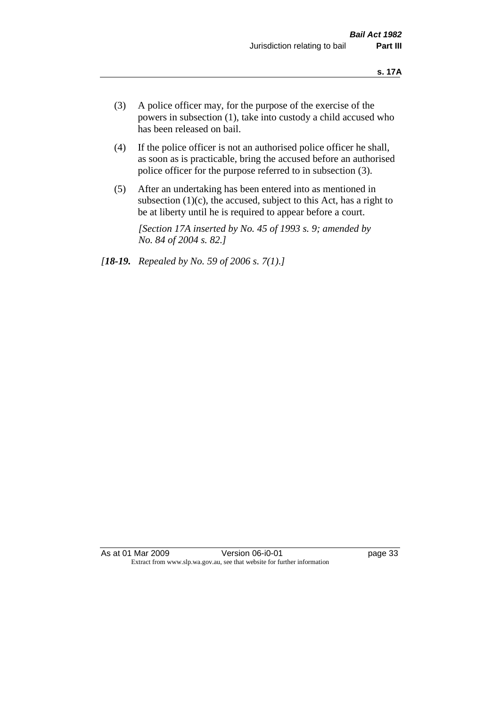- (3) A police officer may, for the purpose of the exercise of the powers in subsection (1), take into custody a child accused who has been released on bail.
- (4) If the police officer is not an authorised police officer he shall, as soon as is practicable, bring the accused before an authorised police officer for the purpose referred to in subsection (3).
- (5) After an undertaking has been entered into as mentioned in subsection  $(1)(c)$ , the accused, subject to this Act, has a right to be at liberty until he is required to appear before a court.

*[Section 17A inserted by No. 45 of 1993 s. 9; amended by No. 84 of 2004 s. 82.]* 

*[18-19. Repealed by No. 59 of 2006 s. 7(1).]*

As at 01 Mar 2009 **Version 06-i0-01 Depays** 23 Extract from www.slp.wa.gov.au, see that website for further information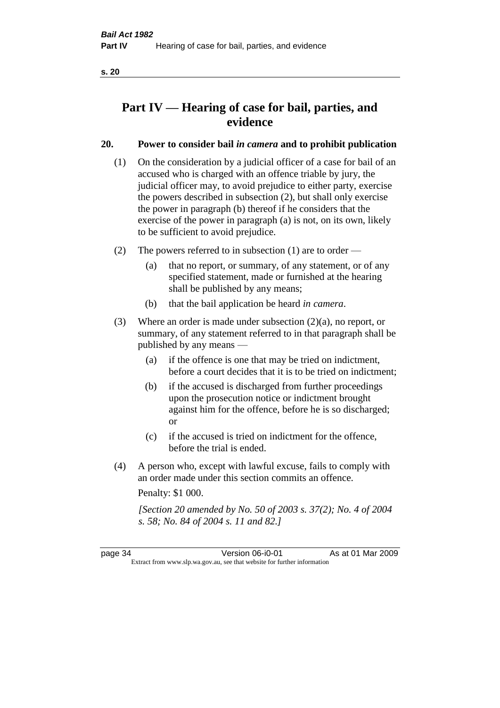# **Part IV — Hearing of case for bail, parties, and evidence**

# **20. Power to consider bail** *in camera* **and to prohibit publication**

- (1) On the consideration by a judicial officer of a case for bail of an accused who is charged with an offence triable by jury, the judicial officer may, to avoid prejudice to either party, exercise the powers described in subsection (2), but shall only exercise the power in paragraph (b) thereof if he considers that the exercise of the power in paragraph (a) is not, on its own, likely to be sufficient to avoid prejudice.
- (2) The powers referred to in subsection (1) are to order
	- (a) that no report, or summary, of any statement, or of any specified statement, made or furnished at the hearing shall be published by any means;
	- (b) that the bail application be heard *in camera*.
- (3) Where an order is made under subsection (2)(a), no report, or summary, of any statement referred to in that paragraph shall be published by any means —
	- (a) if the offence is one that may be tried on indictment, before a court decides that it is to be tried on indictment;
	- (b) if the accused is discharged from further proceedings upon the prosecution notice or indictment brought against him for the offence, before he is so discharged; or
	- (c) if the accused is tried on indictment for the offence, before the trial is ended.
- (4) A person who, except with lawful excuse, fails to comply with an order made under this section commits an offence.

Penalty: \$1 000.

*[Section 20 amended by No. 50 of 2003 s. 37(2); No. 4 of 2004 s. 58; No. 84 of 2004 s. 11 and 82.]*

page 34 Version 06-i0-01 As at 01 Mar 2009 Extract from www.slp.wa.gov.au, see that website for further information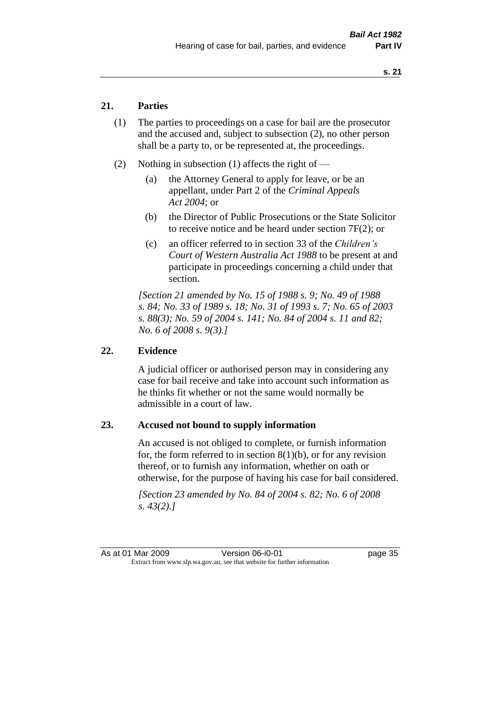## **21. Parties**

- (1) The parties to proceedings on a case for bail are the prosecutor and the accused and, subject to subsection (2), no other person shall be a party to, or be represented at, the proceedings.
- (2) Nothing in subsection (1) affects the right of
	- (a) the Attorney General to apply for leave, or be an appellant, under Part 2 of the *Criminal Appeals Act 2004*; or
	- (b) the Director of Public Prosecutions or the State Solicitor to receive notice and be heard under section 7F(2); or
	- (c) an officer referred to in section 33 of the *Children's Court of Western Australia Act 1988* to be present at and participate in proceedings concerning a child under that section.

*[Section 21 amended by No. 15 of 1988 s. 9; No. 49 of 1988 s. 84; No. 33 of 1989 s. 18; No. 31 of 1993 s. 7; No. 65 of 2003 s. 88(3); No. 59 of 2004 s. 141; No. 84 of 2004 s. 11 and 82; No. 6 of 2008 s. 9(3).]* 

#### **22. Evidence**

A judicial officer or authorised person may in considering any case for bail receive and take into account such information as he thinks fit whether or not the same would normally be admissible in a court of law.

#### **23. Accused not bound to supply information**

An accused is not obliged to complete, or furnish information for, the form referred to in section  $8(1)(b)$ , or for any revision thereof, or to furnish any information, whether on oath or otherwise, for the purpose of having his case for bail considered.

*[Section 23 amended by No. 84 of 2004 s. 82; No. 6 of 2008 s. 43(2).]*

As at 01 Mar 2009 **Version 06-i0-01 Dage 35** Extract from www.slp.wa.gov.au, see that website for further information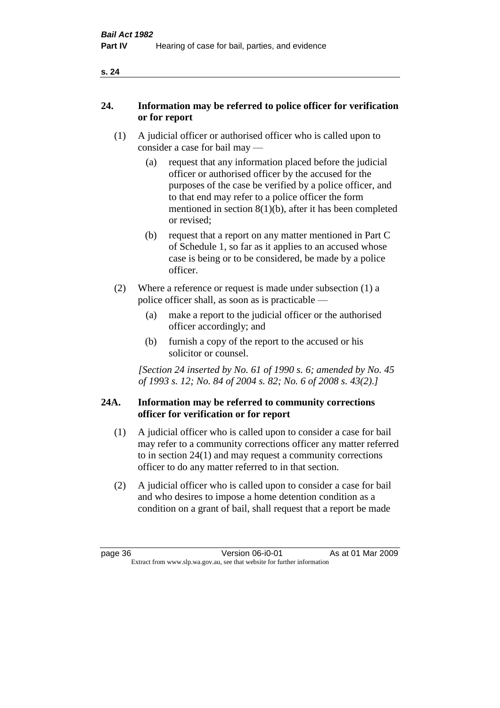| ×<br>×<br>v |
|-------------|
|             |

## **24. Information may be referred to police officer for verification or for report**

- (1) A judicial officer or authorised officer who is called upon to consider a case for bail may —
	- (a) request that any information placed before the judicial officer or authorised officer by the accused for the purposes of the case be verified by a police officer, and to that end may refer to a police officer the form mentioned in section 8(1)(b), after it has been completed or revised;
	- (b) request that a report on any matter mentioned in Part C of Schedule 1, so far as it applies to an accused whose case is being or to be considered, be made by a police officer.
- (2) Where a reference or request is made under subsection (1) a police officer shall, as soon as is practicable —
	- (a) make a report to the judicial officer or the authorised officer accordingly; and
	- (b) furnish a copy of the report to the accused or his solicitor or counsel.

*[Section 24 inserted by No. 61 of 1990 s. 6; amended by No. 45 of 1993 s. 12; No. 84 of 2004 s. 82; No. 6 of 2008 s. 43(2).]* 

#### **24A. Information may be referred to community corrections officer for verification or for report**

- (1) A judicial officer who is called upon to consider a case for bail may refer to a community corrections officer any matter referred to in section 24(1) and may request a community corrections officer to do any matter referred to in that section.
- (2) A judicial officer who is called upon to consider a case for bail and who desires to impose a home detention condition as a condition on a grant of bail, shall request that a report be made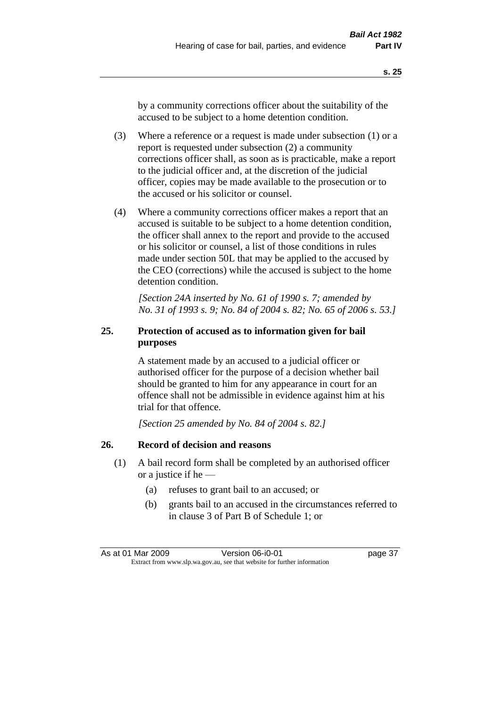by a community corrections officer about the suitability of the accused to be subject to a home detention condition.

- (3) Where a reference or a request is made under subsection (1) or a report is requested under subsection (2) a community corrections officer shall, as soon as is practicable, make a report to the judicial officer and, at the discretion of the judicial officer, copies may be made available to the prosecution or to the accused or his solicitor or counsel.
- (4) Where a community corrections officer makes a report that an accused is suitable to be subject to a home detention condition, the officer shall annex to the report and provide to the accused or his solicitor or counsel, a list of those conditions in rules made under section 50L that may be applied to the accused by the CEO (corrections) while the accused is subject to the home detention condition.

*[Section 24A inserted by No. 61 of 1990 s. 7; amended by No. 31 of 1993 s. 9; No. 84 of 2004 s. 82; No. 65 of 2006 s. 53.]* 

# **25. Protection of accused as to information given for bail purposes**

A statement made by an accused to a judicial officer or authorised officer for the purpose of a decision whether bail should be granted to him for any appearance in court for an offence shall not be admissible in evidence against him at his trial for that offence.

*[Section 25 amended by No. 84 of 2004 s. 82.]* 

# **26. Record of decision and reasons**

- (1) A bail record form shall be completed by an authorised officer or a justice if he —
	- (a) refuses to grant bail to an accused; or
	- (b) grants bail to an accused in the circumstances referred to in clause 3 of Part B of Schedule 1; or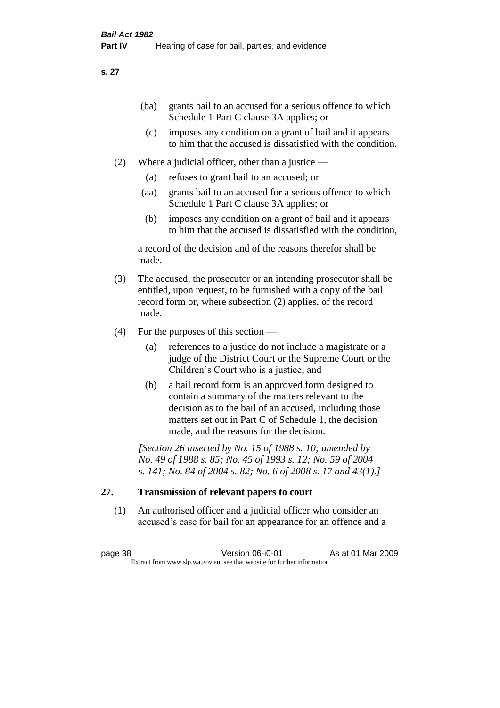| (ba) | grants bail to an accused for a serious offence to which |
|------|----------------------------------------------------------|
|      | Schedule 1 Part C clause 3A applies; or                  |

- (c) imposes any condition on a grant of bail and it appears to him that the accused is dissatisfied with the condition.
- (2) Where a judicial officer, other than a justice
	- (a) refuses to grant bail to an accused; or
	- (aa) grants bail to an accused for a serious offence to which Schedule 1 Part C clause 3A applies; or
	- (b) imposes any condition on a grant of bail and it appears to him that the accused is dissatisfied with the condition,

a record of the decision and of the reasons therefor shall be made.

- (3) The accused, the prosecutor or an intending prosecutor shall be entitled, upon request, to be furnished with a copy of the bail record form or, where subsection (2) applies, of the record made.
- (4) For the purposes of this section
	- (a) references to a justice do not include a magistrate or a judge of the District Court or the Supreme Court or the Children's Court who is a justice; and
	- (b) a bail record form is an approved form designed to contain a summary of the matters relevant to the decision as to the bail of an accused, including those matters set out in Part C of Schedule 1, the decision made, and the reasons for the decision.

*[Section 26 inserted by No. 15 of 1988 s. 10; amended by No. 49 of 1988 s. 85; No. 45 of 1993 s. 12; No. 59 of 2004 s. 141; No. 84 of 2004 s. 82; No. 6 of 2008 s. 17 and 43(1).]* 

# **27. Transmission of relevant papers to court**

(1) An authorised officer and a judicial officer who consider an accused's case for bail for an appearance for an offence and a

page 38 Version 06-i0-01 As at 01 Mar 2009 Extract from www.slp.wa.gov.au, see that website for further information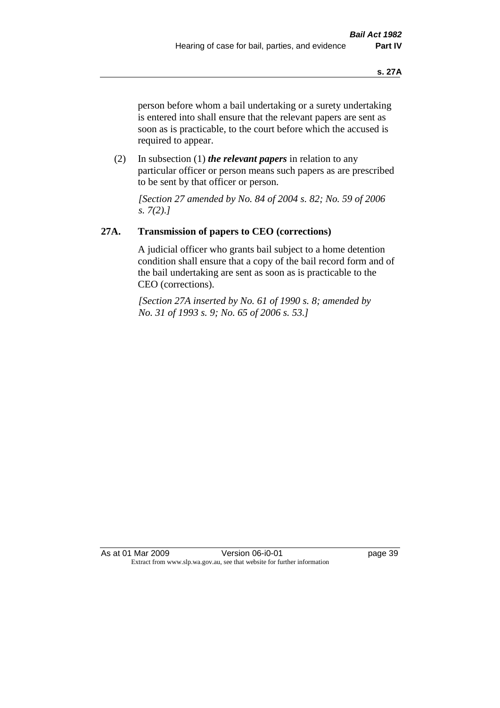person before whom a bail undertaking or a surety undertaking is entered into shall ensure that the relevant papers are sent as soon as is practicable, to the court before which the accused is required to appear.

(2) In subsection (1) *the relevant papers* in relation to any particular officer or person means such papers as are prescribed to be sent by that officer or person.

*[Section 27 amended by No. 84 of 2004 s. 82; No. 59 of 2006 s. 7(2).]* 

# **27A. Transmission of papers to CEO (corrections)**

A judicial officer who grants bail subject to a home detention condition shall ensure that a copy of the bail record form and of the bail undertaking are sent as soon as is practicable to the CEO (corrections).

*[Section 27A inserted by No. 61 of 1990 s. 8; amended by No. 31 of 1993 s. 9; No. 65 of 2006 s. 53.]* 

As at 01 Mar 2009 **Version 06-i0-01 Dage 39** Extract from www.slp.wa.gov.au, see that website for further information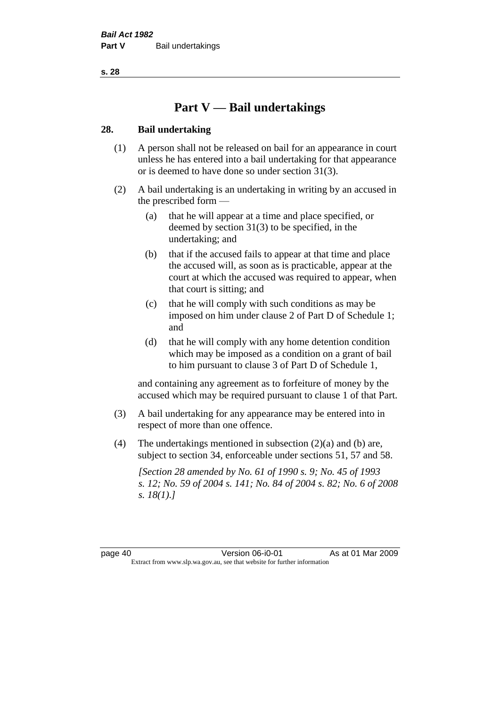# **Part V — Bail undertakings**

#### **28. Bail undertaking**

- (1) A person shall not be released on bail for an appearance in court unless he has entered into a bail undertaking for that appearance or is deemed to have done so under section 31(3).
- (2) A bail undertaking is an undertaking in writing by an accused in the prescribed form —
	- (a) that he will appear at a time and place specified, or deemed by section 31(3) to be specified, in the undertaking; and
	- (b) that if the accused fails to appear at that time and place the accused will, as soon as is practicable, appear at the court at which the accused was required to appear, when that court is sitting; and
	- (c) that he will comply with such conditions as may be imposed on him under clause 2 of Part D of Schedule 1; and
	- (d) that he will comply with any home detention condition which may be imposed as a condition on a grant of bail to him pursuant to clause 3 of Part D of Schedule 1,

and containing any agreement as to forfeiture of money by the accused which may be required pursuant to clause 1 of that Part.

- (3) A bail undertaking for any appearance may be entered into in respect of more than one offence.
- (4) The undertakings mentioned in subsection (2)(a) and (b) are, subject to section 34, enforceable under sections 51, 57 and 58.

*[Section 28 amended by No. 61 of 1990 s. 9; No. 45 of 1993 s. 12; No. 59 of 2004 s. 141; No. 84 of 2004 s. 82; No. 6 of 2008 s. 18(1).]*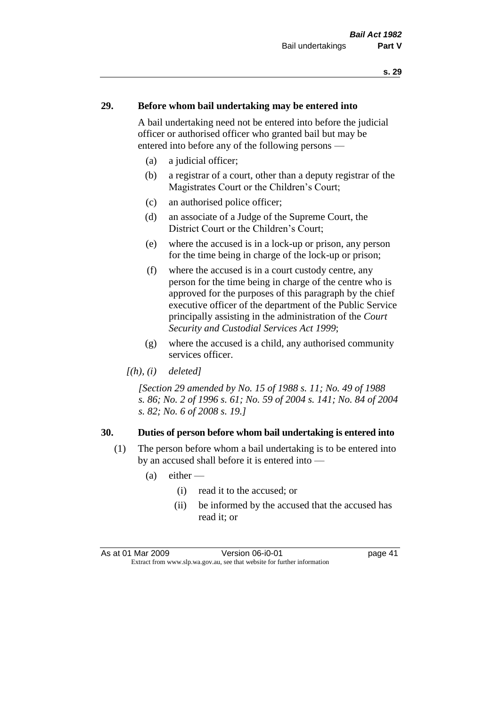#### **29. Before whom bail undertaking may be entered into**

A bail undertaking need not be entered into before the judicial officer or authorised officer who granted bail but may be entered into before any of the following persons —

- (a) a judicial officer;
- (b) a registrar of a court, other than a deputy registrar of the Magistrates Court or the Children's Court;
- (c) an authorised police officer;
- (d) an associate of a Judge of the Supreme Court, the District Court or the Children's Court;
- (e) where the accused is in a lock-up or prison, any person for the time being in charge of the lock-up or prison;
- (f) where the accused is in a court custody centre, any person for the time being in charge of the centre who is approved for the purposes of this paragraph by the chief executive officer of the department of the Public Service principally assisting in the administration of the *Court Security and Custodial Services Act 1999*;
- (g) where the accused is a child, any authorised community services officer.
- *[(h), (i) deleted]*

*[Section 29 amended by No. 15 of 1988 s. 11; No. 49 of 1988 s. 86; No. 2 of 1996 s. 61; No. 59 of 2004 s. 141; No. 84 of 2004 s. 82; No. 6 of 2008 s. 19.]* 

#### **30. Duties of person before whom bail undertaking is entered into**

- (1) The person before whom a bail undertaking is to be entered into by an accused shall before it is entered into —
	- $(a)$  either
		- (i) read it to the accused; or
		- (ii) be informed by the accused that the accused has read it; or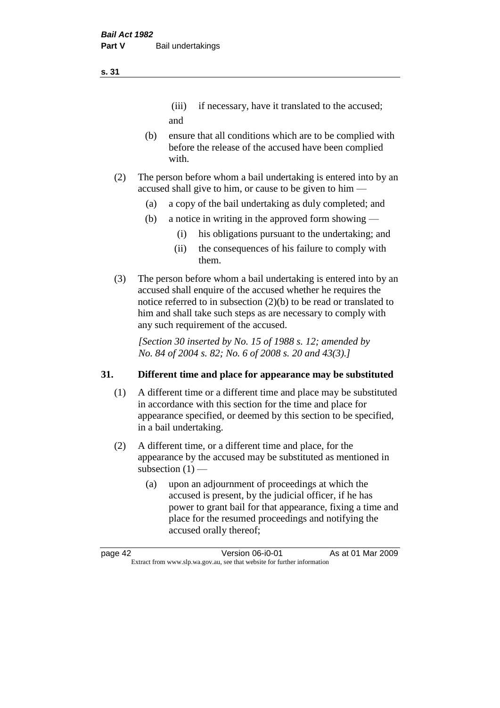# (iii) if necessary, have it translated to the accused; and

- (b) ensure that all conditions which are to be complied with before the release of the accused have been complied with.
- (2) The person before whom a bail undertaking is entered into by an accused shall give to him, or cause to be given to him —
	- (a) a copy of the bail undertaking as duly completed; and
	- (b) a notice in writing in the approved form showing
		- (i) his obligations pursuant to the undertaking; and
		- (ii) the consequences of his failure to comply with them.
- (3) The person before whom a bail undertaking is entered into by an accused shall enquire of the accused whether he requires the notice referred to in subsection (2)(b) to be read or translated to him and shall take such steps as are necessary to comply with any such requirement of the accused.

*[Section 30 inserted by No. 15 of 1988 s. 12; amended by No. 84 of 2004 s. 82; No. 6 of 2008 s. 20 and 43(3).]* 

# **31. Different time and place for appearance may be substituted**

- (1) A different time or a different time and place may be substituted in accordance with this section for the time and place for appearance specified, or deemed by this section to be specified, in a bail undertaking.
- (2) A different time, or a different time and place, for the appearance by the accused may be substituted as mentioned in subsection  $(1)$  —
	- (a) upon an adjournment of proceedings at which the accused is present, by the judicial officer, if he has power to grant bail for that appearance, fixing a time and place for the resumed proceedings and notifying the accused orally thereof;

| page 42 | Version 06-i0-01                                                         | As at 01 Mar 2009 |
|---------|--------------------------------------------------------------------------|-------------------|
|         | Extract from www.slp.wa.gov.au, see that website for further information |                   |

#### **s. 31**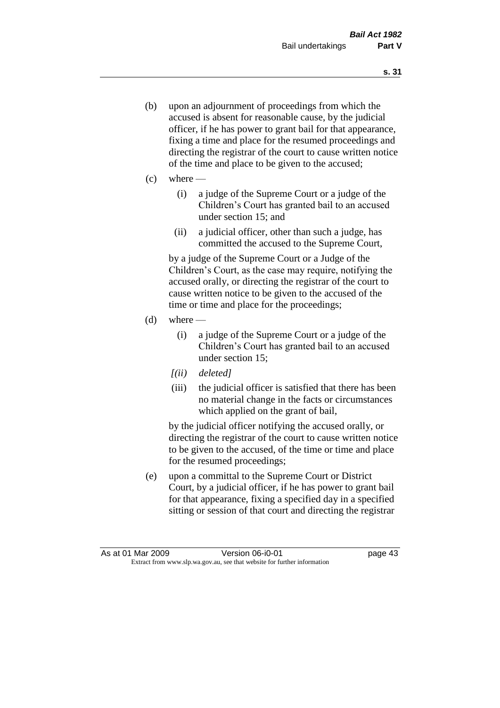- (b) upon an adjournment of proceedings from which the accused is absent for reasonable cause, by the judicial officer, if he has power to grant bail for that appearance, fixing a time and place for the resumed proceedings and directing the registrar of the court to cause written notice of the time and place to be given to the accused;
- (c) where
	- (i) a judge of the Supreme Court or a judge of the Children's Court has granted bail to an accused under section 15; and
	- (ii) a judicial officer, other than such a judge, has committed the accused to the Supreme Court,

by a judge of the Supreme Court or a Judge of the Children's Court, as the case may require, notifying the accused orally, or directing the registrar of the court to cause written notice to be given to the accused of the time or time and place for the proceedings;

- $(d)$  where
	- (i) a judge of the Supreme Court or a judge of the Children's Court has granted bail to an accused under section 15;
	- *[(ii) deleted]*
	- (iii) the judicial officer is satisfied that there has been no material change in the facts or circumstances which applied on the grant of bail,

by the judicial officer notifying the accused orally, or directing the registrar of the court to cause written notice to be given to the accused, of the time or time and place for the resumed proceedings;

(e) upon a committal to the Supreme Court or District Court, by a judicial officer, if he has power to grant bail for that appearance, fixing a specified day in a specified sitting or session of that court and directing the registrar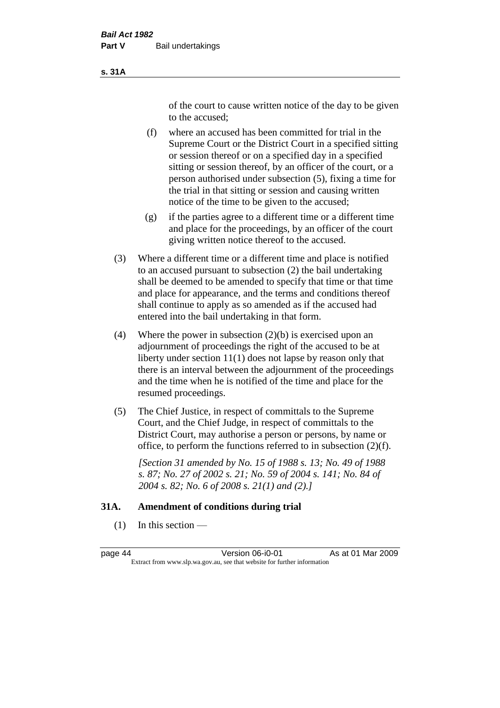#### **s. 31A**

of the court to cause written notice of the day to be given to the accused;

- (f) where an accused has been committed for trial in the Supreme Court or the District Court in a specified sitting or session thereof or on a specified day in a specified sitting or session thereof, by an officer of the court, or a person authorised under subsection (5), fixing a time for the trial in that sitting or session and causing written notice of the time to be given to the accused;
- (g) if the parties agree to a different time or a different time and place for the proceedings, by an officer of the court giving written notice thereof to the accused.
- (3) Where a different time or a different time and place is notified to an accused pursuant to subsection (2) the bail undertaking shall be deemed to be amended to specify that time or that time and place for appearance, and the terms and conditions thereof shall continue to apply as so amended as if the accused had entered into the bail undertaking in that form.
- (4) Where the power in subsection  $(2)(b)$  is exercised upon an adjournment of proceedings the right of the accused to be at liberty under section 11(1) does not lapse by reason only that there is an interval between the adjournment of the proceedings and the time when he is notified of the time and place for the resumed proceedings.
- (5) The Chief Justice, in respect of committals to the Supreme Court, and the Chief Judge, in respect of committals to the District Court, may authorise a person or persons, by name or office, to perform the functions referred to in subsection (2)(f).

*[Section 31 amended by No. 15 of 1988 s. 13; No. 49 of 1988 s. 87; No. 27 of 2002 s. 21; No. 59 of 2004 s. 141; No. 84 of 2004 s. 82; No. 6 of 2008 s. 21(1) and (2).]* 

#### **31A. Amendment of conditions during trial**

 $(1)$  In this section —

page 44 Version 06-i0-01 As at 01 Mar 2009 Extract from www.slp.wa.gov.au, see that website for further information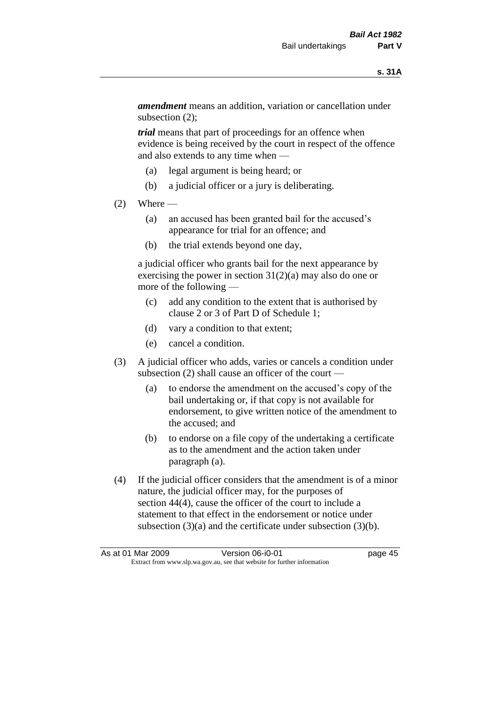*amendment* means an addition, variation or cancellation under subsection (2);

*trial* means that part of proceedings for an offence when evidence is being received by the court in respect of the offence and also extends to any time when —

- (a) legal argument is being heard; or
- (b) a judicial officer or a jury is deliberating.

#### $(2)$  Where —

- (a) an accused has been granted bail for the accused's appearance for trial for an offence; and
- (b) the trial extends beyond one day,

a judicial officer who grants bail for the next appearance by exercising the power in section 31(2)(a) may also do one or more of the following —

- (c) add any condition to the extent that is authorised by clause 2 or 3 of Part D of Schedule 1;
- (d) vary a condition to that extent;
- (e) cancel a condition.
- (3) A judicial officer who adds, varies or cancels a condition under subsection (2) shall cause an officer of the court —
	- (a) to endorse the amendment on the accused's copy of the bail undertaking or, if that copy is not available for endorsement, to give written notice of the amendment to the accused; and
	- (b) to endorse on a file copy of the undertaking a certificate as to the amendment and the action taken under paragraph (a).
- (4) If the judicial officer considers that the amendment is of a minor nature, the judicial officer may, for the purposes of section 44(4), cause the officer of the court to include a statement to that effect in the endorsement or notice under subsection (3)(a) and the certificate under subsection (3)(b).

|  | As at 01 Mar 2009                                                        | Version 06-i0-01 | page 45 |
|--|--------------------------------------------------------------------------|------------------|---------|
|  | Extract from www.slp.wa.gov.au, see that website for further information |                  |         |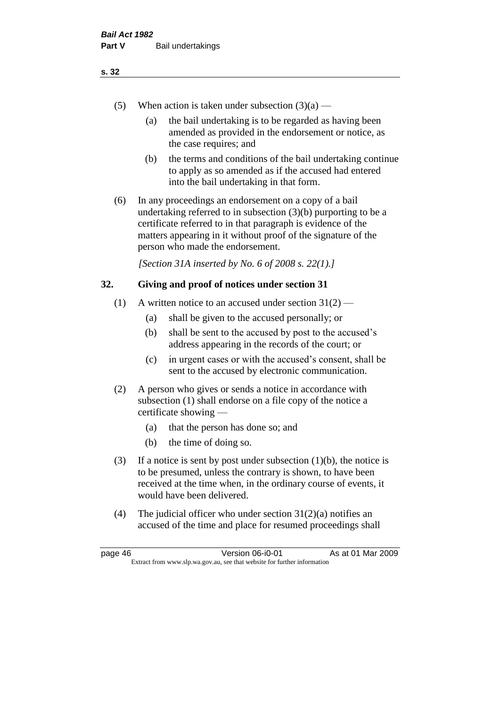- (5) When action is taken under subsection  $(3)(a)$ 
	- (a) the bail undertaking is to be regarded as having been amended as provided in the endorsement or notice, as the case requires; and
	- (b) the terms and conditions of the bail undertaking continue to apply as so amended as if the accused had entered into the bail undertaking in that form.
- (6) In any proceedings an endorsement on a copy of a bail undertaking referred to in subsection (3)(b) purporting to be a certificate referred to in that paragraph is evidence of the matters appearing in it without proof of the signature of the person who made the endorsement.

*[Section 31A inserted by No. 6 of 2008 s. 22(1).]*

#### **32. Giving and proof of notices under section 31**

- (1) A written notice to an accused under section  $31(2)$ 
	- (a) shall be given to the accused personally; or
	- (b) shall be sent to the accused by post to the accused's address appearing in the records of the court; or
	- (c) in urgent cases or with the accused's consent, shall be sent to the accused by electronic communication.
- (2) A person who gives or sends a notice in accordance with subsection (1) shall endorse on a file copy of the notice a certificate showing —
	- (a) that the person has done so; and
	- (b) the time of doing so.
- (3) If a notice is sent by post under subsection  $(1)(b)$ , the notice is to be presumed, unless the contrary is shown, to have been received at the time when, in the ordinary course of events, it would have been delivered.
- (4) The judicial officer who under section  $31(2)(a)$  notifies an accused of the time and place for resumed proceedings shall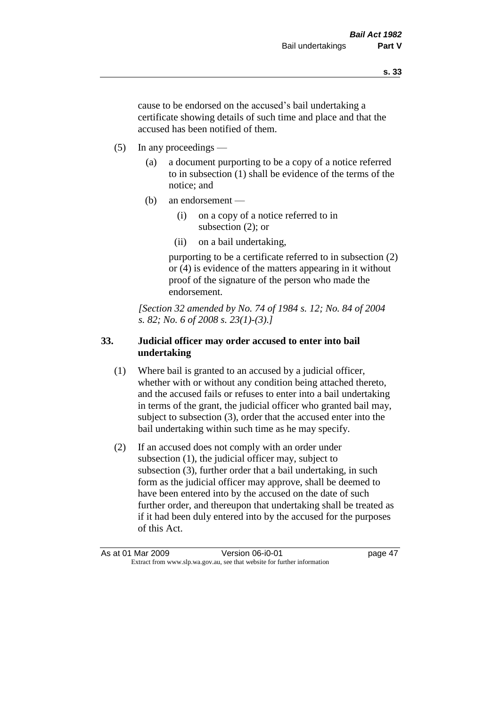cause to be endorsed on the accused's bail undertaking a certificate showing details of such time and place and that the accused has been notified of them.

- (5) In any proceedings
	- (a) a document purporting to be a copy of a notice referred to in subsection (1) shall be evidence of the terms of the notice; and
	- (b) an endorsement
		- (i) on a copy of a notice referred to in subsection (2); or
		- (ii) on a bail undertaking,

purporting to be a certificate referred to in subsection (2) or (4) is evidence of the matters appearing in it without proof of the signature of the person who made the endorsement.

*[Section 32 amended by No. 74 of 1984 s. 12; No. 84 of 2004 s. 82; No. 6 of 2008 s. 23(1)-(3).]* 

# **33. Judicial officer may order accused to enter into bail undertaking**

- (1) Where bail is granted to an accused by a judicial officer, whether with or without any condition being attached thereto, and the accused fails or refuses to enter into a bail undertaking in terms of the grant, the judicial officer who granted bail may, subject to subsection (3), order that the accused enter into the bail undertaking within such time as he may specify.
- (2) If an accused does not comply with an order under subsection (1), the judicial officer may, subject to subsection (3), further order that a bail undertaking, in such form as the judicial officer may approve, shall be deemed to have been entered into by the accused on the date of such further order, and thereupon that undertaking shall be treated as if it had been duly entered into by the accused for the purposes of this Act.

As at 01 Mar 2009 Version 06-i0-01 page 47 Extract from www.slp.wa.gov.au, see that website for further information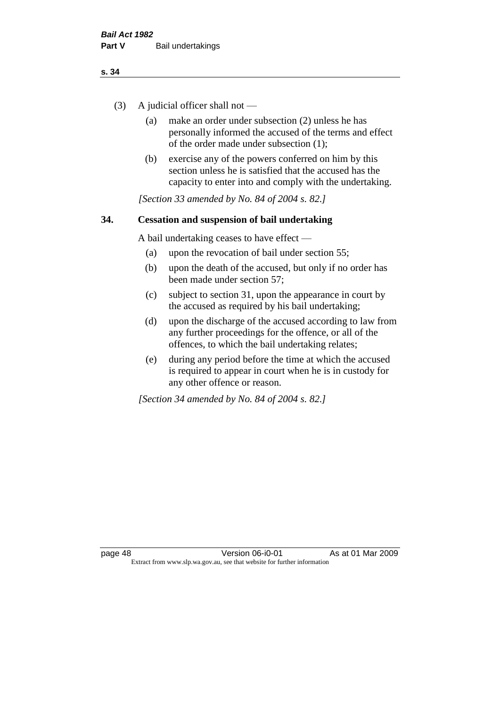- (3) A judicial officer shall not
	- (a) make an order under subsection (2) unless he has personally informed the accused of the terms and effect of the order made under subsection (1);
	- (b) exercise any of the powers conferred on him by this section unless he is satisfied that the accused has the capacity to enter into and comply with the undertaking.

*[Section 33 amended by No. 84 of 2004 s. 82.]* 

#### **34. Cessation and suspension of bail undertaking**

A bail undertaking ceases to have effect —

- (a) upon the revocation of bail under section 55;
- (b) upon the death of the accused, but only if no order has been made under section 57;
- (c) subject to section 31, upon the appearance in court by the accused as required by his bail undertaking;
- (d) upon the discharge of the accused according to law from any further proceedings for the offence, or all of the offences, to which the bail undertaking relates;
- (e) during any period before the time at which the accused is required to appear in court when he is in custody for any other offence or reason.

*[Section 34 amended by No. 84 of 2004 s. 82.]*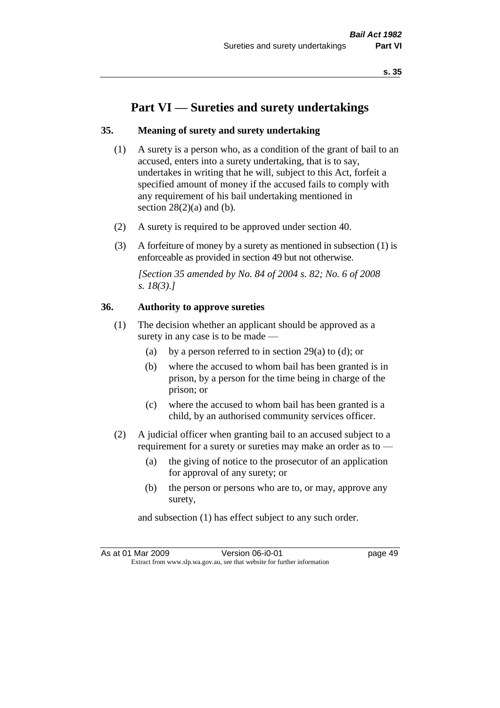# **Part VI — Sureties and surety undertakings**

#### **35. Meaning of surety and surety undertaking**

- (1) A surety is a person who, as a condition of the grant of bail to an accused, enters into a surety undertaking, that is to say, undertakes in writing that he will, subject to this Act, forfeit a specified amount of money if the accused fails to comply with any requirement of his bail undertaking mentioned in section  $28(2)(a)$  and (b).
- (2) A surety is required to be approved under section 40.
- (3) A forfeiture of money by a surety as mentioned in subsection (1) is enforceable as provided in section 49 but not otherwise.

*[Section 35 amended by No. 84 of 2004 s. 82; No. 6 of 2008 s. 18(3).]* 

#### **36. Authority to approve sureties**

- (1) The decision whether an applicant should be approved as a surety in any case is to be made —
	- (a) by a person referred to in section 29(a) to (d); or
	- (b) where the accused to whom bail has been granted is in prison, by a person for the time being in charge of the prison; or
	- (c) where the accused to whom bail has been granted is a child, by an authorised community services officer.
- (2) A judicial officer when granting bail to an accused subject to a requirement for a surety or sureties may make an order as to —
	- (a) the giving of notice to the prosecutor of an application for approval of any surety; or
	- (b) the person or persons who are to, or may, approve any surety,

and subsection (1) has effect subject to any such order.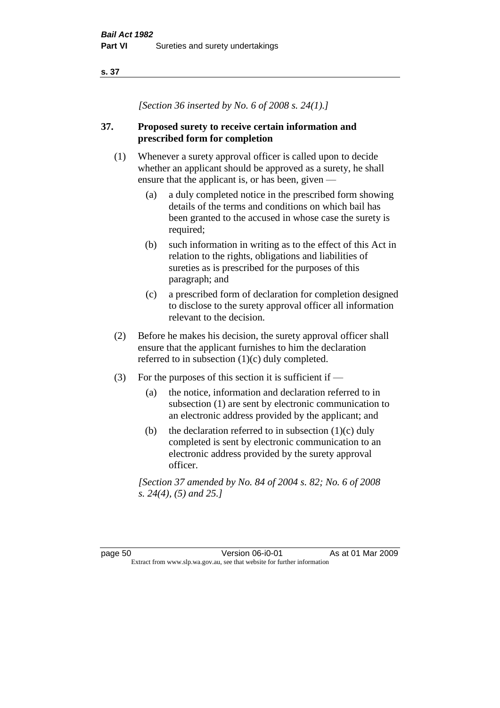*[Section 36 inserted by No. 6 of 2008 s. 24(1).]*

### **37. Proposed surety to receive certain information and prescribed form for completion**

- (1) Whenever a surety approval officer is called upon to decide whether an applicant should be approved as a surety, he shall ensure that the applicant is, or has been, given —
	- (a) a duly completed notice in the prescribed form showing details of the terms and conditions on which bail has been granted to the accused in whose case the surety is required;
	- (b) such information in writing as to the effect of this Act in relation to the rights, obligations and liabilities of sureties as is prescribed for the purposes of this paragraph; and
	- (c) a prescribed form of declaration for completion designed to disclose to the surety approval officer all information relevant to the decision.
- (2) Before he makes his decision, the surety approval officer shall ensure that the applicant furnishes to him the declaration referred to in subsection (1)(c) duly completed.
- (3) For the purposes of this section it is sufficient if  $-$ 
	- (a) the notice, information and declaration referred to in subsection (1) are sent by electronic communication to an electronic address provided by the applicant; and
	- (b) the declaration referred to in subsection  $(1)(c)$  duly completed is sent by electronic communication to an electronic address provided by the surety approval officer.

*[Section 37 amended by No. 84 of 2004 s. 82; No. 6 of 2008 s. 24(4), (5) and 25.]*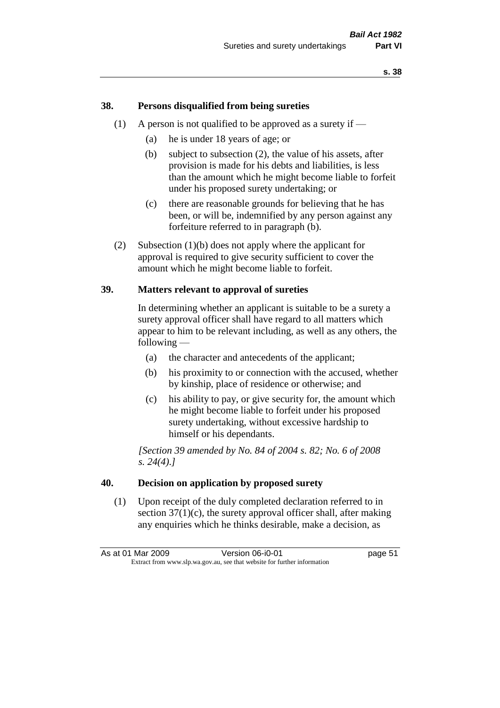#### **38. Persons disqualified from being sureties**

- (1) A person is not qualified to be approved as a surety if  $-$ 
	- (a) he is under 18 years of age; or
	- (b) subject to subsection (2), the value of his assets, after provision is made for his debts and liabilities, is less than the amount which he might become liable to forfeit under his proposed surety undertaking; or
	- (c) there are reasonable grounds for believing that he has been, or will be, indemnified by any person against any forfeiture referred to in paragraph (b).
- (2) Subsection (1)(b) does not apply where the applicant for approval is required to give security sufficient to cover the amount which he might become liable to forfeit.

#### **39. Matters relevant to approval of sureties**

In determining whether an applicant is suitable to be a surety a surety approval officer shall have regard to all matters which appear to him to be relevant including, as well as any others, the following —

- (a) the character and antecedents of the applicant;
- (b) his proximity to or connection with the accused, whether by kinship, place of residence or otherwise; and
- (c) his ability to pay, or give security for, the amount which he might become liable to forfeit under his proposed surety undertaking, without excessive hardship to himself or his dependants.

*[Section 39 amended by No. 84 of 2004 s. 82; No. 6 of 2008 s. 24(4).]* 

#### **40. Decision on application by proposed surety**

(1) Upon receipt of the duly completed declaration referred to in section  $37(1)(c)$ , the surety approval officer shall, after making any enquiries which he thinks desirable, make a decision, as

As at 01 Mar 2009 Version 06-i0-01 page 51 Extract from www.slp.wa.gov.au, see that website for further information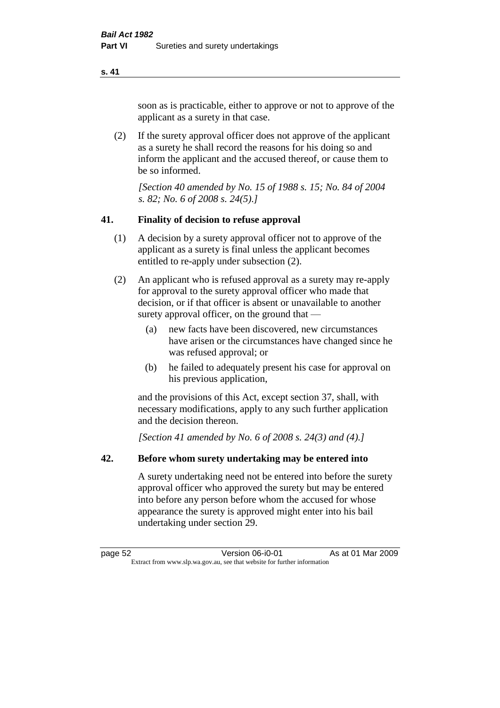soon as is practicable, either to approve or not to approve of the applicant as a surety in that case.

(2) If the surety approval officer does not approve of the applicant as a surety he shall record the reasons for his doing so and inform the applicant and the accused thereof, or cause them to be so informed.

*[Section 40 amended by No. 15 of 1988 s. 15; No. 84 of 2004 s. 82; No. 6 of 2008 s. 24(5).]* 

#### **41. Finality of decision to refuse approval**

- (1) A decision by a surety approval officer not to approve of the applicant as a surety is final unless the applicant becomes entitled to re-apply under subsection (2).
- (2) An applicant who is refused approval as a surety may re-apply for approval to the surety approval officer who made that decision, or if that officer is absent or unavailable to another surety approval officer, on the ground that —
	- (a) new facts have been discovered, new circumstances have arisen or the circumstances have changed since he was refused approval; or
	- (b) he failed to adequately present his case for approval on his previous application,

and the provisions of this Act, except section 37, shall, with necessary modifications, apply to any such further application and the decision thereon.

*[Section 41 amended by No. 6 of 2008 s. 24(3) and (4).]*

#### **42. Before whom surety undertaking may be entered into**

A surety undertaking need not be entered into before the surety approval officer who approved the surety but may be entered into before any person before whom the accused for whose appearance the surety is approved might enter into his bail undertaking under section 29.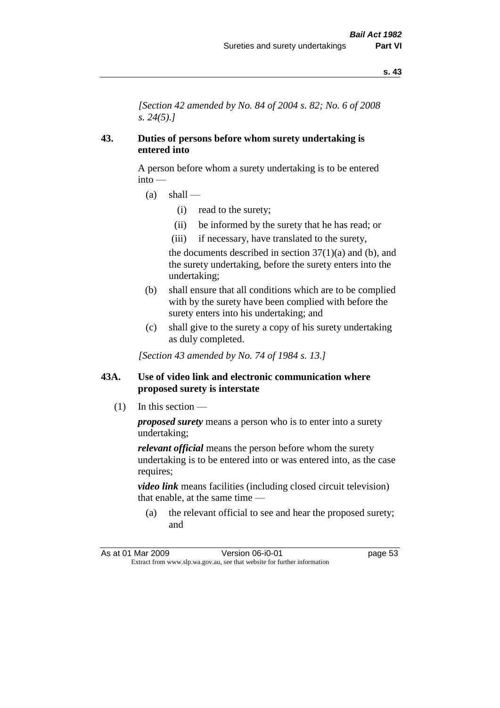*[Section 42 amended by No. 84 of 2004 s. 82; No. 6 of 2008 s. 24(5).]* 

#### **43. Duties of persons before whom surety undertaking is entered into**

A person before whom a surety undertaking is to be entered into —

- $(a)$  shall
	- (i) read to the surety;
	- (ii) be informed by the surety that he has read; or
	- (iii) if necessary, have translated to the surety,

the documents described in section  $37(1)(a)$  and (b), and the surety undertaking, before the surety enters into the undertaking;

- (b) shall ensure that all conditions which are to be complied with by the surety have been complied with before the surety enters into his undertaking; and
- (c) shall give to the surety a copy of his surety undertaking as duly completed.

*[Section 43 amended by No. 74 of 1984 s. 13.]* 

#### **43A. Use of video link and electronic communication where proposed surety is interstate**

(1) In this section —

*proposed surety* means a person who is to enter into a surety undertaking;

*relevant official* means the person before whom the surety undertaking is to be entered into or was entered into, as the case requires;

*video link* means facilities (including closed circuit television) that enable, at the same time —

(a) the relevant official to see and hear the proposed surety; and

As at 01 Mar 2009 Version 06-i0-01 page 53 Extract from www.slp.wa.gov.au, see that website for further information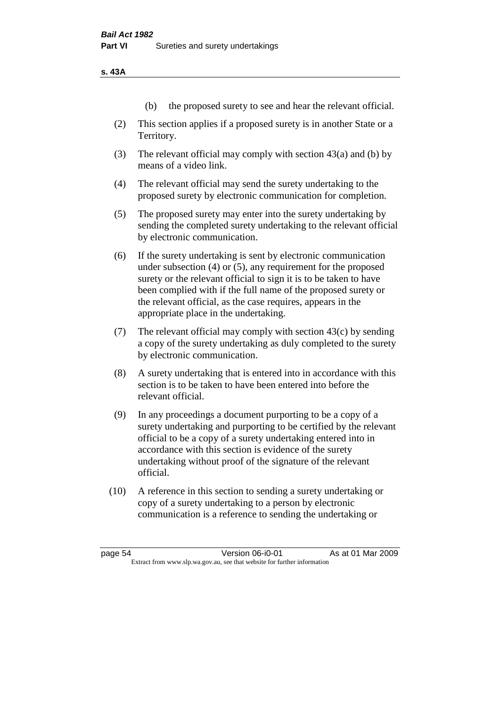**s. 43A**

- (b) the proposed surety to see and hear the relevant official.
- (2) This section applies if a proposed surety is in another State or a Territory.
- (3) The relevant official may comply with section 43(a) and (b) by means of a video link.
- (4) The relevant official may send the surety undertaking to the proposed surety by electronic communication for completion.
- (5) The proposed surety may enter into the surety undertaking by sending the completed surety undertaking to the relevant official by electronic communication.
- (6) If the surety undertaking is sent by electronic communication under subsection (4) or (5), any requirement for the proposed surety or the relevant official to sign it is to be taken to have been complied with if the full name of the proposed surety or the relevant official, as the case requires, appears in the appropriate place in the undertaking.
- (7) The relevant official may comply with section 43(c) by sending a copy of the surety undertaking as duly completed to the surety by electronic communication.
- (8) A surety undertaking that is entered into in accordance with this section is to be taken to have been entered into before the relevant official.
- (9) In any proceedings a document purporting to be a copy of a surety undertaking and purporting to be certified by the relevant official to be a copy of a surety undertaking entered into in accordance with this section is evidence of the surety undertaking without proof of the signature of the relevant official.
- (10) A reference in this section to sending a surety undertaking or copy of a surety undertaking to a person by electronic communication is a reference to sending the undertaking or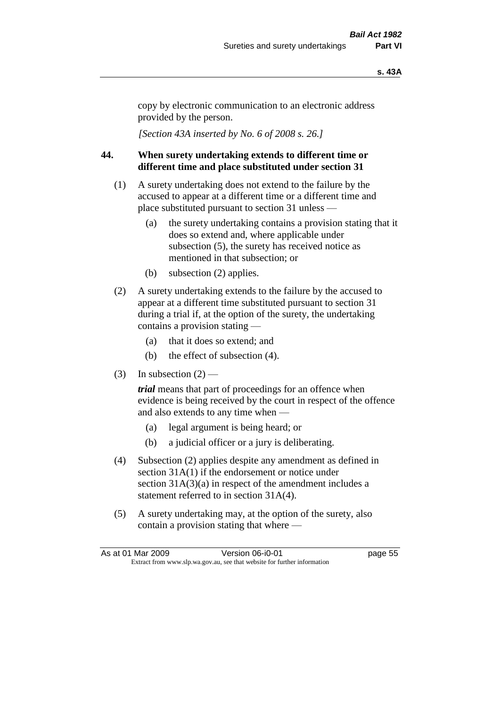#### **s. 43A**

copy by electronic communication to an electronic address provided by the person.

*[Section 43A inserted by No. 6 of 2008 s. 26.]*

# **44. When surety undertaking extends to different time or different time and place substituted under section 31**

- (1) A surety undertaking does not extend to the failure by the accused to appear at a different time or a different time and place substituted pursuant to section 31 unless —
	- (a) the surety undertaking contains a provision stating that it does so extend and, where applicable under subsection (5), the surety has received notice as mentioned in that subsection; or
	- (b) subsection (2) applies.
- (2) A surety undertaking extends to the failure by the accused to appear at a different time substituted pursuant to section 31 during a trial if, at the option of the surety, the undertaking contains a provision stating —
	- (a) that it does so extend; and
	- (b) the effect of subsection (4).
- (3) In subsection  $(2)$  —

*trial* means that part of proceedings for an offence when evidence is being received by the court in respect of the offence and also extends to any time when —

- (a) legal argument is being heard; or
- (b) a judicial officer or a jury is deliberating.
- (4) Subsection (2) applies despite any amendment as defined in section 31A(1) if the endorsement or notice under section  $31A(3)(a)$  in respect of the amendment includes a statement referred to in section 31A(4).
- (5) A surety undertaking may, at the option of the surety, also contain a provision stating that where —

| As at 01 Mar 2009                                                        |  | Version 06-i0-01 | page 55 |
|--------------------------------------------------------------------------|--|------------------|---------|
| Extract from www.slp.wa.gov.au, see that website for further information |  |                  |         |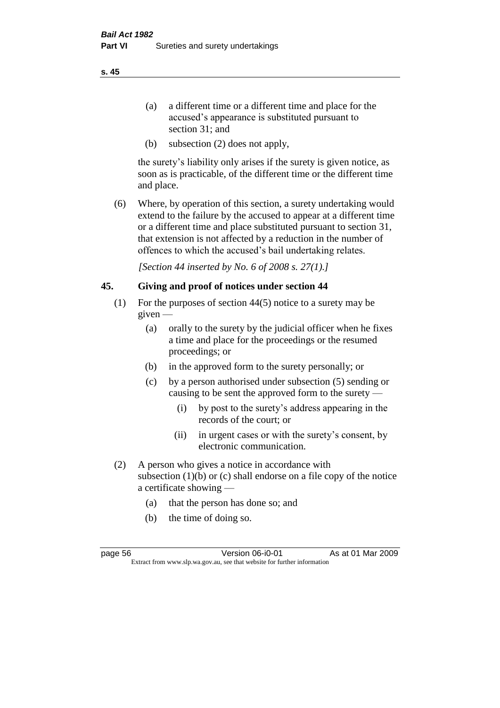- (a) a different time or a different time and place for the accused's appearance is substituted pursuant to section 31; and
- (b) subsection (2) does not apply,

the surety's liability only arises if the surety is given notice, as soon as is practicable, of the different time or the different time and place.

(6) Where, by operation of this section, a surety undertaking would extend to the failure by the accused to appear at a different time or a different time and place substituted pursuant to section 31, that extension is not affected by a reduction in the number of offences to which the accused's bail undertaking relates.

*[Section 44 inserted by No. 6 of 2008 s. 27(1).]*

# **45. Giving and proof of notices under section 44**

- (1) For the purposes of section 44(5) notice to a surety may be given —
	- (a) orally to the surety by the judicial officer when he fixes a time and place for the proceedings or the resumed proceedings; or
	- (b) in the approved form to the surety personally; or
	- (c) by a person authorised under subsection (5) sending or causing to be sent the approved form to the surety —
		- (i) by post to the surety's address appearing in the records of the court; or
		- (ii) in urgent cases or with the surety's consent, by electronic communication.
- (2) A person who gives a notice in accordance with subsection  $(1)(b)$  or  $(c)$  shall endorse on a file copy of the notice a certificate showing —
	- (a) that the person has done so; and
	- (b) the time of doing so.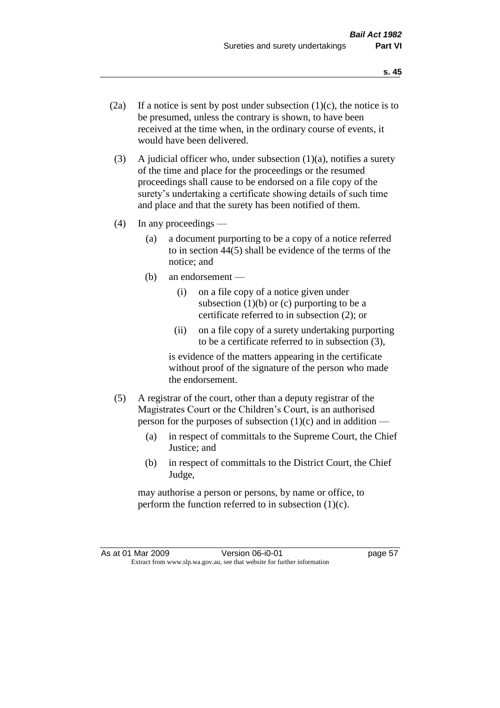- (2a) If a notice is sent by post under subsection  $(1)(c)$ , the notice is to be presumed, unless the contrary is shown, to have been received at the time when, in the ordinary course of events, it would have been delivered.
- (3) A judicial officer who, under subsection  $(1)(a)$ , notifies a surety of the time and place for the proceedings or the resumed proceedings shall cause to be endorsed on a file copy of the surety's undertaking a certificate showing details of such time and place and that the surety has been notified of them.
- (4) In any proceedings
	- (a) a document purporting to be a copy of a notice referred to in section 44(5) shall be evidence of the terms of the notice; and
	- (b) an endorsement
		- (i) on a file copy of a notice given under subsection  $(1)(b)$  or  $(c)$  purporting to be a certificate referred to in subsection (2); or
		- (ii) on a file copy of a surety undertaking purporting to be a certificate referred to in subsection (3),

is evidence of the matters appearing in the certificate without proof of the signature of the person who made the endorsement.

- (5) A registrar of the court, other than a deputy registrar of the Magistrates Court or the Children's Court, is an authorised person for the purposes of subsection  $(1)(c)$  and in addition —
	- (a) in respect of committals to the Supreme Court, the Chief Justice; and
	- (b) in respect of committals to the District Court, the Chief Judge,

may authorise a person or persons, by name or office, to perform the function referred to in subsection  $(1)(c)$ .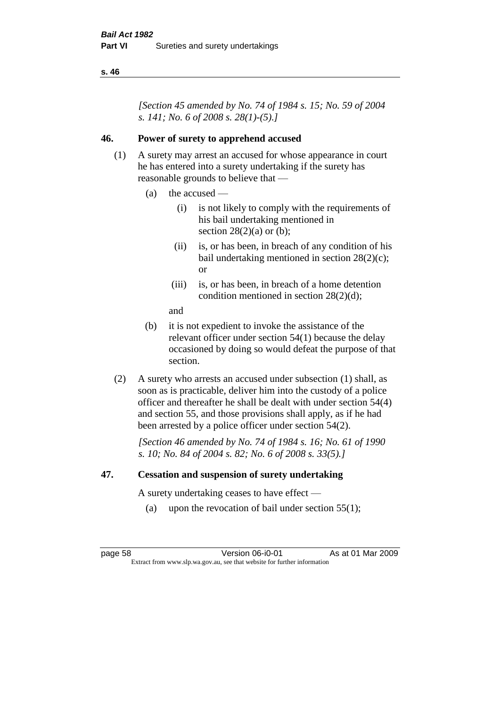*[Section 45 amended by No. 74 of 1984 s. 15; No. 59 of 2004 s. 141; No. 6 of 2008 s. 28(1)-(5).]* 

## **46. Power of surety to apprehend accused**

- (1) A surety may arrest an accused for whose appearance in court he has entered into a surety undertaking if the surety has reasonable grounds to believe that —
	- (a) the accused
		- (i) is not likely to comply with the requirements of his bail undertaking mentioned in section  $28(2)(a)$  or (b);
		- (ii) is, or has been, in breach of any condition of his bail undertaking mentioned in section 28(2)(c); or
		- (iii) is, or has been, in breach of a home detention condition mentioned in section 28(2)(d);
		- and
	- (b) it is not expedient to invoke the assistance of the relevant officer under section 54(1) because the delay occasioned by doing so would defeat the purpose of that section.
- (2) A surety who arrests an accused under subsection (1) shall, as soon as is practicable, deliver him into the custody of a police officer and thereafter he shall be dealt with under section 54(4) and section 55, and those provisions shall apply, as if he had been arrested by a police officer under section 54(2).

*[Section 46 amended by No. 74 of 1984 s. 16; No. 61 of 1990 s. 10; No. 84 of 2004 s. 82; No. 6 of 2008 s. 33(5).]* 

#### **47. Cessation and suspension of surety undertaking**

A surety undertaking ceases to have effect —

(a) upon the revocation of bail under section  $55(1)$ ;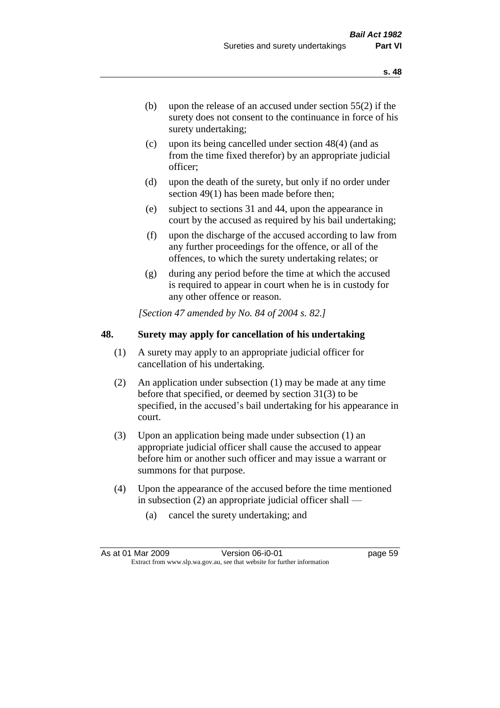- (b) upon the release of an accused under section 55(2) if the surety does not consent to the continuance in force of his surety undertaking;
- (c) upon its being cancelled under section 48(4) (and as from the time fixed therefor) by an appropriate judicial officer;
- (d) upon the death of the surety, but only if no order under section 49(1) has been made before then;
- (e) subject to sections 31 and 44, upon the appearance in court by the accused as required by his bail undertaking;
- (f) upon the discharge of the accused according to law from any further proceedings for the offence, or all of the offences, to which the surety undertaking relates; or
- (g) during any period before the time at which the accused is required to appear in court when he is in custody for any other offence or reason.

*[Section 47 amended by No. 84 of 2004 s. 82.]* 

#### **48. Surety may apply for cancellation of his undertaking**

- (1) A surety may apply to an appropriate judicial officer for cancellation of his undertaking.
- (2) An application under subsection (1) may be made at any time before that specified, or deemed by section 31(3) to be specified, in the accused's bail undertaking for his appearance in court.
- (3) Upon an application being made under subsection (1) an appropriate judicial officer shall cause the accused to appear before him or another such officer and may issue a warrant or summons for that purpose.
- (4) Upon the appearance of the accused before the time mentioned in subsection (2) an appropriate judicial officer shall —
	- (a) cancel the surety undertaking; and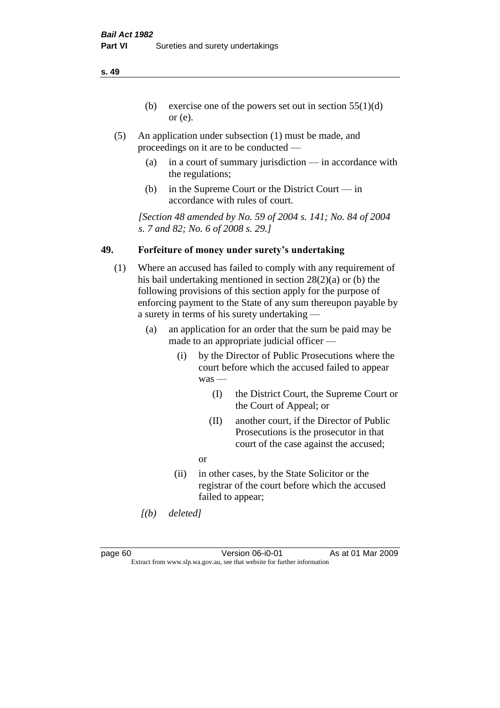- (b) exercise one of the powers set out in section  $55(1)(d)$ or (e).
- (5) An application under subsection (1) must be made, and proceedings on it are to be conducted —
	- (a) in a court of summary jurisdiction in accordance with the regulations;
	- (b) in the Supreme Court or the District Court in accordance with rules of court.

*[Section 48 amended by No. 59 of 2004 s. 141; No. 84 of 2004 s. 7 and 82; No. 6 of 2008 s. 29.]* 

# **49. Forfeiture of money under surety's undertaking**

- (1) Where an accused has failed to comply with any requirement of his bail undertaking mentioned in section 28(2)(a) or (b) the following provisions of this section apply for the purpose of enforcing payment to the State of any sum thereupon payable by a surety in terms of his surety undertaking —
	- (a) an application for an order that the sum be paid may be made to an appropriate judicial officer —
		- (i) by the Director of Public Prosecutions where the court before which the accused failed to appear was —
			- (I) the District Court, the Supreme Court or the Court of Appeal; or
			- (II) another court, if the Director of Public Prosecutions is the prosecutor in that court of the case against the accused;
			- or
		- (ii) in other cases, by the State Solicitor or the registrar of the court before which the accused failed to appear;
	- *[(b) deleted]*

page 60 Version 06-i0-01 As at 01 Mar 2009 Extract from www.slp.wa.gov.au, see that website for further information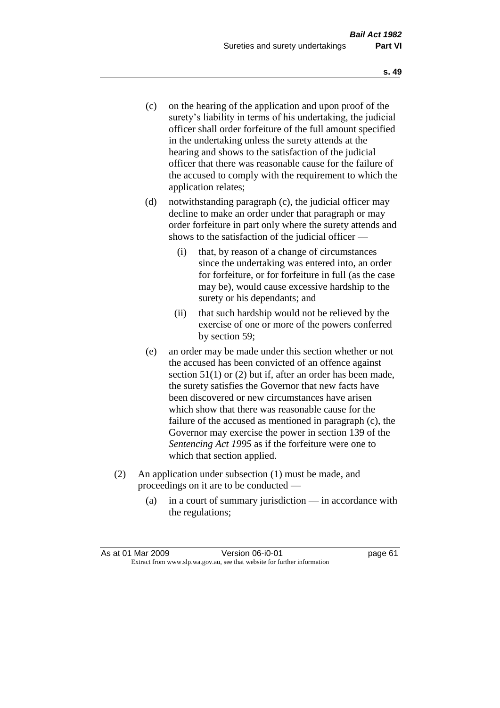- (c) on the hearing of the application and upon proof of the surety's liability in terms of his undertaking, the judicial officer shall order forfeiture of the full amount specified in the undertaking unless the surety attends at the hearing and shows to the satisfaction of the judicial officer that there was reasonable cause for the failure of the accused to comply with the requirement to which the application relates;
- (d) notwithstanding paragraph (c), the judicial officer may decline to make an order under that paragraph or may order forfeiture in part only where the surety attends and shows to the satisfaction of the judicial officer —
	- (i) that, by reason of a change of circumstances since the undertaking was entered into, an order for forfeiture, or for forfeiture in full (as the case may be), would cause excessive hardship to the surety or his dependants; and
	- (ii) that such hardship would not be relieved by the exercise of one or more of the powers conferred by section 59;
- (e) an order may be made under this section whether or not the accused has been convicted of an offence against section 51(1) or (2) but if, after an order has been made, the surety satisfies the Governor that new facts have been discovered or new circumstances have arisen which show that there was reasonable cause for the failure of the accused as mentioned in paragraph (c), the Governor may exercise the power in section 139 of the *Sentencing Act 1995* as if the forfeiture were one to which that section applied.
- (2) An application under subsection (1) must be made, and proceedings on it are to be conducted —
	- (a) in a court of summary jurisdiction in accordance with the regulations;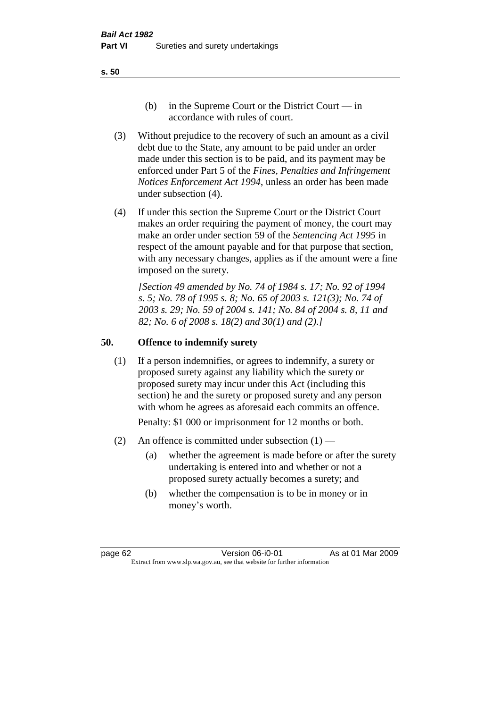- (b) in the Supreme Court or the District Court  $-\text{in}$ accordance with rules of court.
- (3) Without prejudice to the recovery of such an amount as a civil debt due to the State, any amount to be paid under an order made under this section is to be paid, and its payment may be enforced under Part 5 of the *Fines, Penalties and Infringement Notices Enforcement Act 1994*, unless an order has been made under subsection (4).
- (4) If under this section the Supreme Court or the District Court makes an order requiring the payment of money, the court may make an order under section 59 of the *Sentencing Act 1995* in respect of the amount payable and for that purpose that section, with any necessary changes, applies as if the amount were a fine imposed on the surety.

*[Section 49 amended by No. 74 of 1984 s. 17; No. 92 of 1994 s. 5; No. 78 of 1995 s. 8; No. 65 of 2003 s. 121(3); No. 74 of 2003 s. 29; No. 59 of 2004 s. 141; No. 84 of 2004 s. 8, 11 and 82; No. 6 of 2008 s. 18(2) and 30(1) and (2).]* 

#### **50. Offence to indemnify surety**

(1) If a person indemnifies, or agrees to indemnify, a surety or proposed surety against any liability which the surety or proposed surety may incur under this Act (including this section) he and the surety or proposed surety and any person with whom he agrees as aforesaid each commits an offence.

Penalty: \$1 000 or imprisonment for 12 months or both.

- (2) An offence is committed under subsection  $(1)$ 
	- (a) whether the agreement is made before or after the surety undertaking is entered into and whether or not a proposed surety actually becomes a surety; and
	- (b) whether the compensation is to be in money or in money's worth.

page 62 Version 06-i0-01 As at 01 Mar 2009 Extract from www.slp.wa.gov.au, see that website for further information

#### **s. 50**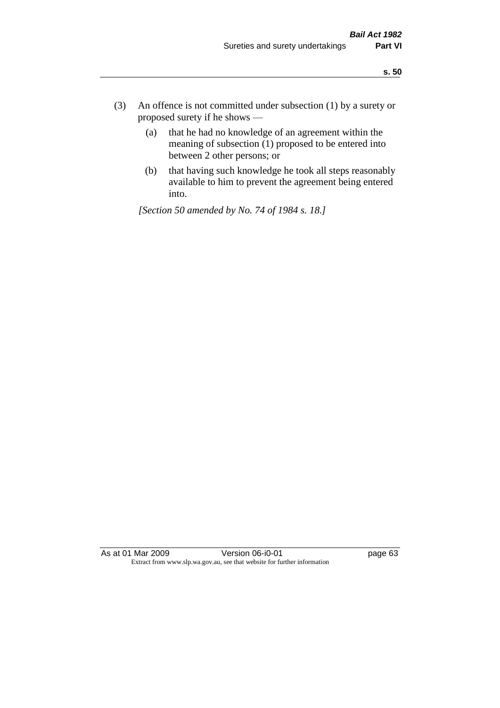- (3) An offence is not committed under subsection (1) by a surety or proposed surety if he shows —
	- (a) that he had no knowledge of an agreement within the meaning of subsection  $(1)$  proposed to be entered into between 2 other persons; or
	- (b) that having such knowledge he took all steps reasonably available to him to prevent the agreement being entered into.

*[Section 50 amended by No. 74 of 1984 s. 18.]* 

As at 01 Mar 2009 Version 06-i0-01 Page 63 Extract from www.slp.wa.gov.au, see that website for further information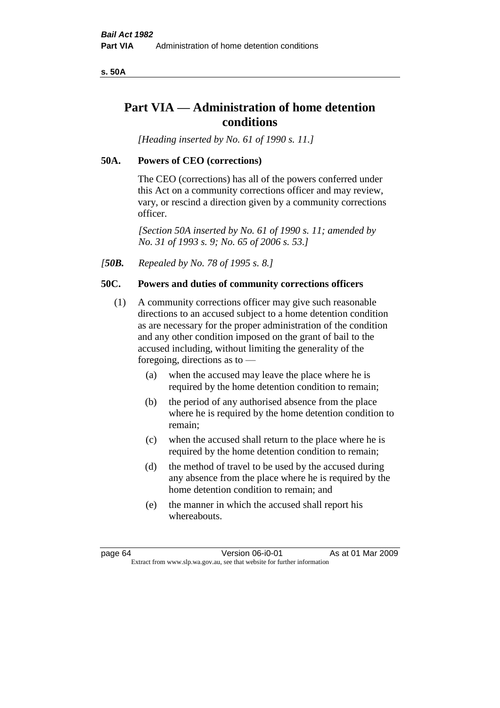**s. 50A**

# **Part VIA — Administration of home detention conditions**

*[Heading inserted by No. 61 of 1990 s. 11.]* 

#### **50A. Powers of CEO (corrections)**

The CEO (corrections) has all of the powers conferred under this Act on a community corrections officer and may review, vary, or rescind a direction given by a community corrections officer.

*[Section 50A inserted by No. 61 of 1990 s. 11; amended by No. 31 of 1993 s. 9; No. 65 of 2006 s. 53.]* 

*[50B. Repealed by No. 78 of 1995 s. 8.]* 

#### **50C. Powers and duties of community corrections officers**

- (1) A community corrections officer may give such reasonable directions to an accused subject to a home detention condition as are necessary for the proper administration of the condition and any other condition imposed on the grant of bail to the accused including, without limiting the generality of the foregoing, directions as to —
	- (a) when the accused may leave the place where he is required by the home detention condition to remain;
	- (b) the period of any authorised absence from the place where he is required by the home detention condition to remain;
	- (c) when the accused shall return to the place where he is required by the home detention condition to remain;
	- (d) the method of travel to be used by the accused during any absence from the place where he is required by the home detention condition to remain; and
	- (e) the manner in which the accused shall report his whereabouts.

page 64 Version 06-i0-01 As at 01 Mar 2009 Extract from www.slp.wa.gov.au, see that website for further information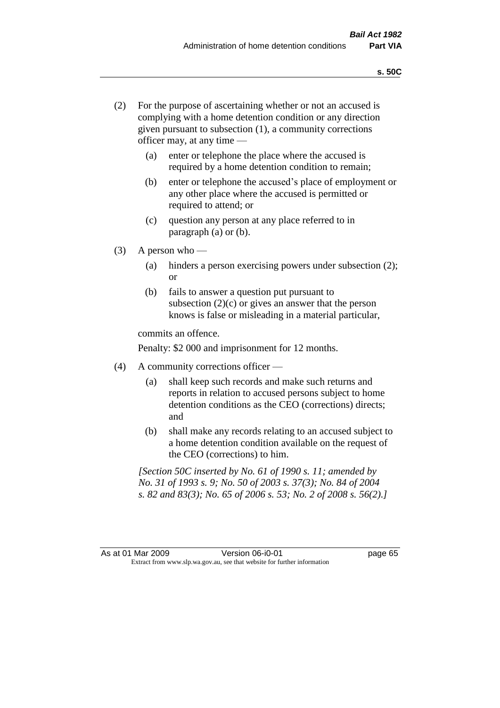- (2) For the purpose of ascertaining whether or not an accused is complying with a home detention condition or any direction given pursuant to subsection (1), a community corrections officer may, at any time —
	- (a) enter or telephone the place where the accused is required by a home detention condition to remain;
	- (b) enter or telephone the accused's place of employment or any other place where the accused is permitted or required to attend; or
	- (c) question any person at any place referred to in paragraph (a) or (b).
- $(3)$  A person who
	- (a) hinders a person exercising powers under subsection (2); or
	- (b) fails to answer a question put pursuant to subsection  $(2)(c)$  or gives an answer that the person knows is false or misleading in a material particular,

commits an offence.

Penalty: \$2 000 and imprisonment for 12 months.

- (4) A community corrections officer
	- (a) shall keep such records and make such returns and reports in relation to accused persons subject to home detention conditions as the CEO (corrections) directs; and
	- (b) shall make any records relating to an accused subject to a home detention condition available on the request of the CEO (corrections) to him.

*[Section 50C inserted by No. 61 of 1990 s. 11; amended by No. 31 of 1993 s. 9; No. 50 of 2003 s. 37(3); No. 84 of 2004 s. 82 and 83(3); No. 65 of 2006 s. 53; No. 2 of 2008 s. 56(2).]*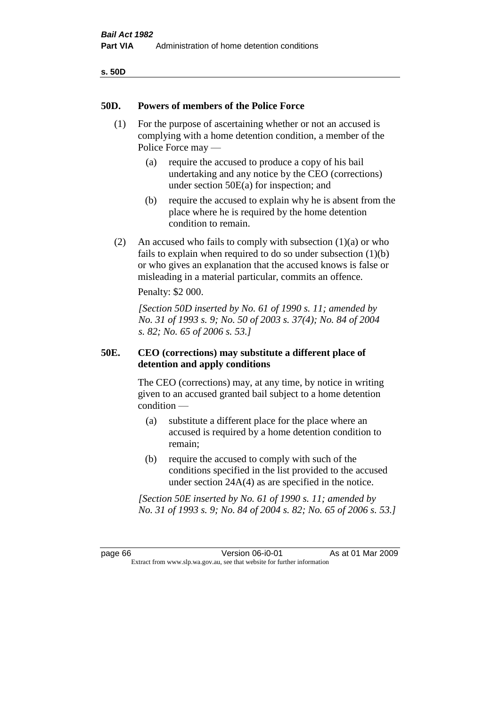| ۰.<br>×<br>۰.<br>×<br>v<br>۰, |  |
|-------------------------------|--|
|-------------------------------|--|

# **50D. Powers of members of the Police Force**

- (1) For the purpose of ascertaining whether or not an accused is complying with a home detention condition, a member of the Police Force may —
	- (a) require the accused to produce a copy of his bail undertaking and any notice by the CEO (corrections) under section 50E(a) for inspection; and
	- (b) require the accused to explain why he is absent from the place where he is required by the home detention condition to remain.
- (2) An accused who fails to comply with subsection  $(1)(a)$  or who fails to explain when required to do so under subsection (1)(b) or who gives an explanation that the accused knows is false or misleading in a material particular, commits an offence.

Penalty: \$2 000.

*[Section 50D inserted by No. 61 of 1990 s. 11; amended by No. 31 of 1993 s. 9; No. 50 of 2003 s. 37(4); No. 84 of 2004 s. 82; No. 65 of 2006 s. 53.]* 

# **50E. CEO (corrections) may substitute a different place of detention and apply conditions**

The CEO (corrections) may, at any time, by notice in writing given to an accused granted bail subject to a home detention condition —

- (a) substitute a different place for the place where an accused is required by a home detention condition to remain;
- (b) require the accused to comply with such of the conditions specified in the list provided to the accused under section 24A(4) as are specified in the notice.

*[Section 50E inserted by No. 61 of 1990 s. 11; amended by No. 31 of 1993 s. 9; No. 84 of 2004 s. 82; No. 65 of 2006 s. 53.]* 

page 66 Version 06-i0-01 As at 01 Mar 2009 Extract from www.slp.wa.gov.au, see that website for further information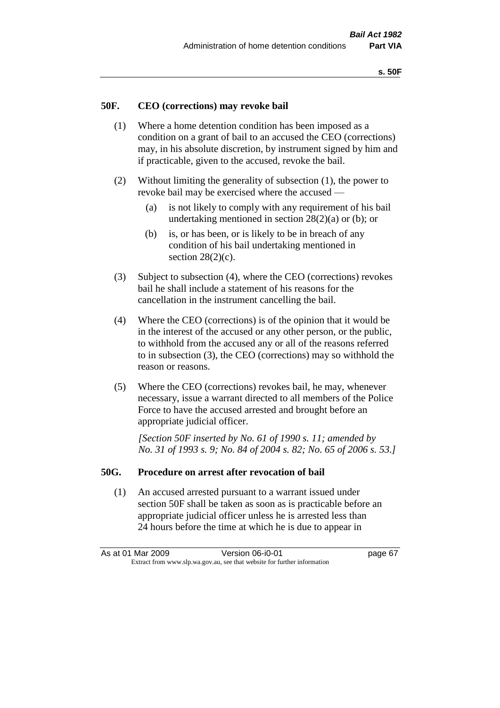#### **50F. CEO (corrections) may revoke bail**

- (1) Where a home detention condition has been imposed as a condition on a grant of bail to an accused the CEO (corrections) may, in his absolute discretion, by instrument signed by him and if practicable, given to the accused, revoke the bail.
- (2) Without limiting the generality of subsection (1), the power to revoke bail may be exercised where the accused —
	- (a) is not likely to comply with any requirement of his bail undertaking mentioned in section  $28(2)(a)$  or (b); or
	- (b) is, or has been, or is likely to be in breach of any condition of his bail undertaking mentioned in section  $28(2)(c)$ .
- (3) Subject to subsection (4), where the CEO (corrections) revokes bail he shall include a statement of his reasons for the cancellation in the instrument cancelling the bail.
- (4) Where the CEO (corrections) is of the opinion that it would be in the interest of the accused or any other person, or the public, to withhold from the accused any or all of the reasons referred to in subsection (3), the CEO (corrections) may so withhold the reason or reasons.
- (5) Where the CEO (corrections) revokes bail, he may, whenever necessary, issue a warrant directed to all members of the Police Force to have the accused arrested and brought before an appropriate judicial officer.

*[Section 50F inserted by No. 61 of 1990 s. 11; amended by No. 31 of 1993 s. 9; No. 84 of 2004 s. 82; No. 65 of 2006 s. 53.]* 

#### **50G. Procedure on arrest after revocation of bail**

(1) An accused arrested pursuant to a warrant issued under section 50F shall be taken as soon as is practicable before an appropriate judicial officer unless he is arrested less than 24 hours before the time at which he is due to appear in

As at 01 Mar 2009 **Version 06-i0-01 Dage 67** Extract from www.slp.wa.gov.au, see that website for further information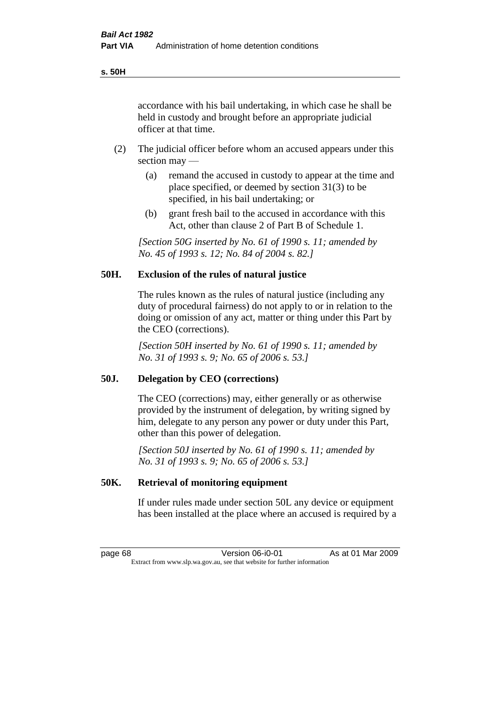accordance with his bail undertaking, in which case he shall be held in custody and brought before an appropriate judicial officer at that time.

- (2) The judicial officer before whom an accused appears under this section may —
	- (a) remand the accused in custody to appear at the time and place specified, or deemed by section 31(3) to be specified, in his bail undertaking; or
	- (b) grant fresh bail to the accused in accordance with this Act, other than clause 2 of Part B of Schedule 1.

*[Section 50G inserted by No. 61 of 1990 s. 11; amended by No. 45 of 1993 s. 12; No. 84 of 2004 s. 82.]* 

# **50H. Exclusion of the rules of natural justice**

The rules known as the rules of natural justice (including any duty of procedural fairness) do not apply to or in relation to the doing or omission of any act, matter or thing under this Part by the CEO (corrections).

*[Section 50H inserted by No. 61 of 1990 s. 11; amended by No. 31 of 1993 s. 9; No. 65 of 2006 s. 53.]* 

#### **50J. Delegation by CEO (corrections)**

The CEO (corrections) may, either generally or as otherwise provided by the instrument of delegation, by writing signed by him, delegate to any person any power or duty under this Part, other than this power of delegation.

*[Section 50J inserted by No. 61 of 1990 s. 11; amended by No. 31 of 1993 s. 9; No. 65 of 2006 s. 53.]* 

#### **50K. Retrieval of monitoring equipment**

If under rules made under section 50L any device or equipment has been installed at the place where an accused is required by a

page 68 Version 06-i0-01 As at 01 Mar 2009 Extract from www.slp.wa.gov.au, see that website for further information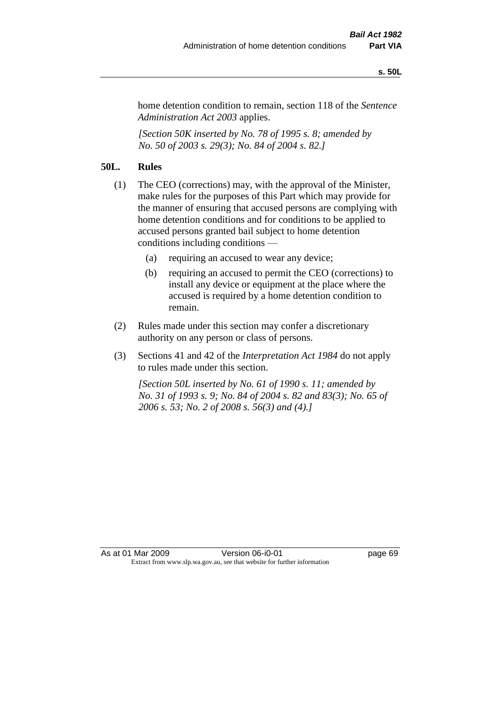#### **s. 50L**

home detention condition to remain, section 118 of the *Sentence Administration Act 2003* applies.

*[Section 50K inserted by No. 78 of 1995 s. 8; amended by No. 50 of 2003 s. 29(3); No. 84 of 2004 s. 82.]* 

# **50L. Rules**

- (1) The CEO (corrections) may, with the approval of the Minister, make rules for the purposes of this Part which may provide for the manner of ensuring that accused persons are complying with home detention conditions and for conditions to be applied to accused persons granted bail subject to home detention conditions including conditions —
	- (a) requiring an accused to wear any device;
	- (b) requiring an accused to permit the CEO (corrections) to install any device or equipment at the place where the accused is required by a home detention condition to remain.
- (2) Rules made under this section may confer a discretionary authority on any person or class of persons.
- (3) Sections 41 and 42 of the *Interpretation Act 1984* do not apply to rules made under this section.

*[Section 50L inserted by No. 61 of 1990 s. 11; amended by No. 31 of 1993 s. 9; No. 84 of 2004 s. 82 and 83(3); No. 65 of 2006 s. 53; No. 2 of 2008 s. 56(3) and (4).]*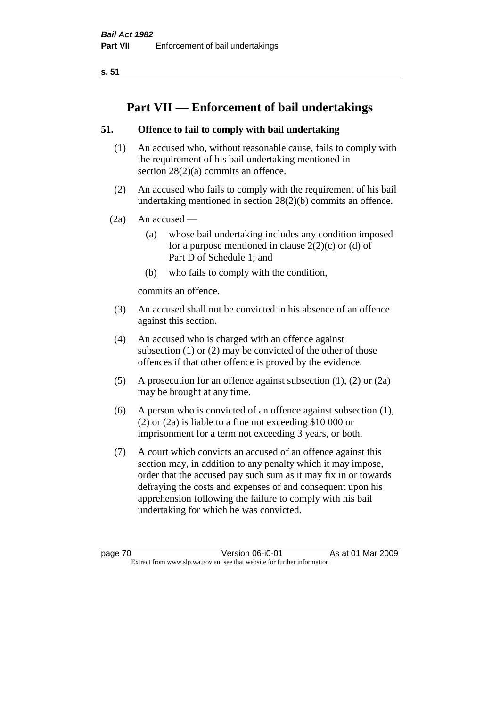**s. 51**

# **Part VII — Enforcement of bail undertakings**

# **51. Offence to fail to comply with bail undertaking**

- (1) An accused who, without reasonable cause, fails to comply with the requirement of his bail undertaking mentioned in section 28(2)(a) commits an offence.
- (2) An accused who fails to comply with the requirement of his bail undertaking mentioned in section 28(2)(b) commits an offence.
- $(2a)$  An accused
	- (a) whose bail undertaking includes any condition imposed for a purpose mentioned in clause  $2(2)(c)$  or (d) of Part D of Schedule 1; and
	- (b) who fails to comply with the condition,

commits an offence.

- (3) An accused shall not be convicted in his absence of an offence against this section.
- (4) An accused who is charged with an offence against subsection (1) or (2) may be convicted of the other of those offences if that other offence is proved by the evidence.
- (5) A prosecution for an offence against subsection (1), (2) or (2a) may be brought at any time.
- (6) A person who is convicted of an offence against subsection (1), (2) or (2a) is liable to a fine not exceeding \$10 000 or imprisonment for a term not exceeding 3 years, or both.
- (7) A court which convicts an accused of an offence against this section may, in addition to any penalty which it may impose, order that the accused pay such sum as it may fix in or towards defraying the costs and expenses of and consequent upon his apprehension following the failure to comply with his bail undertaking for which he was convicted.

page 70 Version 06-i0-01 As at 01 Mar 2009 Extract from www.slp.wa.gov.au, see that website for further information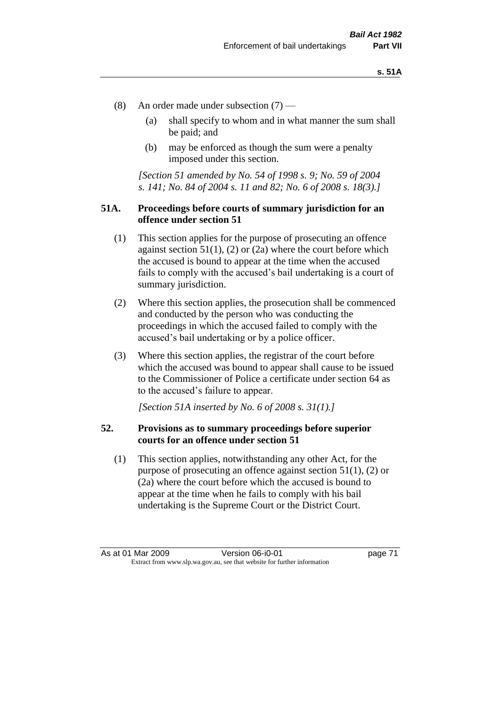- (8) An order made under subsection (7)
	- (a) shall specify to whom and in what manner the sum shall be paid; and
	- (b) may be enforced as though the sum were a penalty imposed under this section.

*[Section 51 amended by No. 54 of 1998 s. 9; No. 59 of 2004 s. 141; No. 84 of 2004 s. 11 and 82; No. 6 of 2008 s. 18(3).]*

# **51A. Proceedings before courts of summary jurisdiction for an offence under section 51**

- (1) This section applies for the purpose of prosecuting an offence against section  $51(1)$ ,  $(2)$  or  $(2a)$  where the court before which the accused is bound to appear at the time when the accused fails to comply with the accused's bail undertaking is a court of summary jurisdiction.
- (2) Where this section applies, the prosecution shall be commenced and conducted by the person who was conducting the proceedings in which the accused failed to comply with the accused's bail undertaking or by a police officer.
- (3) Where this section applies, the registrar of the court before which the accused was bound to appear shall cause to be issued to the Commissioner of Police a certificate under section 64 as to the accused's failure to appear.

*[Section 51A inserted by No. 6 of 2008 s. 31(1).]*

#### **52. Provisions as to summary proceedings before superior courts for an offence under section 51**

(1) This section applies, notwithstanding any other Act, for the purpose of prosecuting an offence against section 51(1), (2) or (2a) where the court before which the accused is bound to appear at the time when he fails to comply with his bail undertaking is the Supreme Court or the District Court.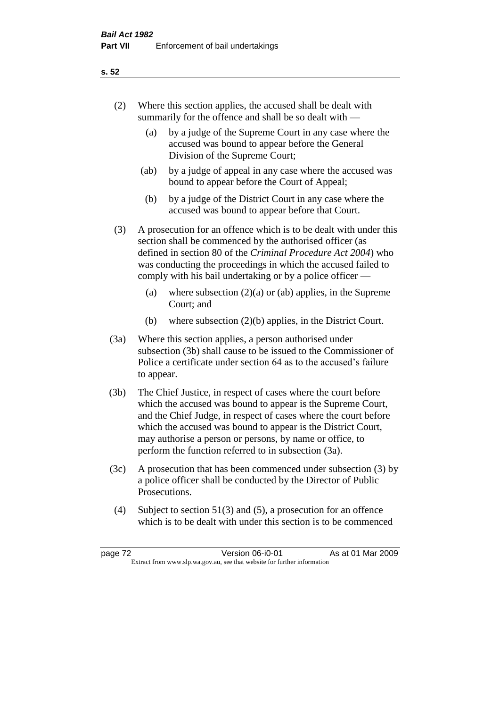- (2) Where this section applies, the accused shall be dealt with summarily for the offence and shall be so dealt with —
	- (a) by a judge of the Supreme Court in any case where the accused was bound to appear before the General Division of the Supreme Court;
	- (ab) by a judge of appeal in any case where the accused was bound to appear before the Court of Appeal;
	- (b) by a judge of the District Court in any case where the accused was bound to appear before that Court.
- (3) A prosecution for an offence which is to be dealt with under this section shall be commenced by the authorised officer (as defined in section 80 of the *Criminal Procedure Act 2004*) who was conducting the proceedings in which the accused failed to comply with his bail undertaking or by a police officer —
	- (a) where subsection  $(2)(a)$  or (ab) applies, in the Supreme Court; and
	- (b) where subsection (2)(b) applies, in the District Court.
- (3a) Where this section applies, a person authorised under subsection (3b) shall cause to be issued to the Commissioner of Police a certificate under section 64 as to the accused's failure to appear.
- (3b) The Chief Justice, in respect of cases where the court before which the accused was bound to appear is the Supreme Court, and the Chief Judge, in respect of cases where the court before which the accused was bound to appear is the District Court, may authorise a person or persons, by name or office, to perform the function referred to in subsection (3a).
- (3c) A prosecution that has been commenced under subsection (3) by a police officer shall be conducted by the Director of Public Prosecutions.
- (4) Subject to section 51(3) and (5), a prosecution for an offence which is to be dealt with under this section is to be commenced

#### **s. 52**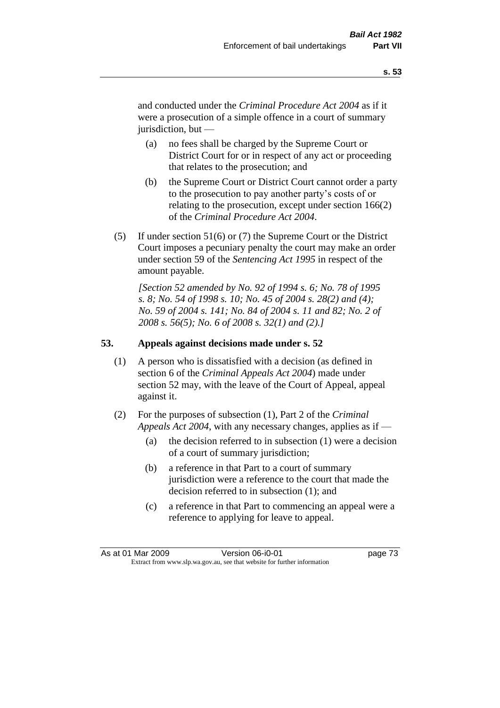and conducted under the *Criminal Procedure Act 2004* as if it were a prosecution of a simple offence in a court of summary jurisdiction, but —

- (a) no fees shall be charged by the Supreme Court or District Court for or in respect of any act or proceeding that relates to the prosecution; and
- (b) the Supreme Court or District Court cannot order a party to the prosecution to pay another party's costs of or relating to the prosecution, except under section 166(2) of the *Criminal Procedure Act 2004*.
- (5) If under section 51(6) or (7) the Supreme Court or the District Court imposes a pecuniary penalty the court may make an order under section 59 of the *Sentencing Act 1995* in respect of the amount payable.

*[Section 52 amended by No. 92 of 1994 s. 6; No. 78 of 1995 s. 8; No. 54 of 1998 s. 10; No. 45 of 2004 s. 28(2) and (4); No. 59 of 2004 s. 141; No. 84 of 2004 s. 11 and 82; No. 2 of 2008 s. 56(5); No. 6 of 2008 s. 32(1) and (2).]* 

# **53. Appeals against decisions made under s. 52**

- (1) A person who is dissatisfied with a decision (as defined in section 6 of the *Criminal Appeals Act 2004*) made under section 52 may, with the leave of the Court of Appeal, appeal against it.
- (2) For the purposes of subsection (1), Part 2 of the *Criminal Appeals Act 2004*, with any necessary changes, applies as if —
	- (a) the decision referred to in subsection (1) were a decision of a court of summary jurisdiction;
	- (b) a reference in that Part to a court of summary jurisdiction were a reference to the court that made the decision referred to in subsection (1); and
	- (c) a reference in that Part to commencing an appeal were a reference to applying for leave to appeal.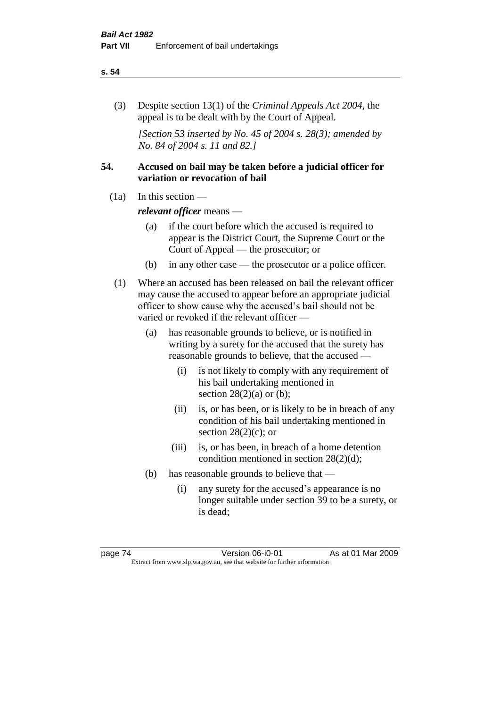#### **s. 54**

(3) Despite section 13(1) of the *Criminal Appeals Act 2004*, the appeal is to be dealt with by the Court of Appeal.

*[Section 53 inserted by No. 45 of 2004 s. 28(3); amended by No. 84 of 2004 s. 11 and 82.]*

# **54. Accused on bail may be taken before a judicial officer for variation or revocation of bail**

(1a) In this section —

*relevant officer* means —

- (a) if the court before which the accused is required to appear is the District Court, the Supreme Court or the Court of Appeal — the prosecutor; or
- (b) in any other case the prosecutor or a police officer.
- (1) Where an accused has been released on bail the relevant officer may cause the accused to appear before an appropriate judicial officer to show cause why the accused's bail should not be varied or revoked if the relevant officer —
	- (a) has reasonable grounds to believe, or is notified in writing by a surety for the accused that the surety has reasonable grounds to believe, that the accused —
		- (i) is not likely to comply with any requirement of his bail undertaking mentioned in section  $28(2)(a)$  or (b);
		- (ii) is, or has been, or is likely to be in breach of any condition of his bail undertaking mentioned in section  $28(2)(c)$ ; or
		- (iii) is, or has been, in breach of a home detention condition mentioned in section 28(2)(d);
	- (b) has reasonable grounds to believe that
		- (i) any surety for the accused's appearance is no longer suitable under section 39 to be a surety, or is dead;

page 74 Version 06-i0-01 As at 01 Mar 2009 Extract from www.slp.wa.gov.au, see that website for further information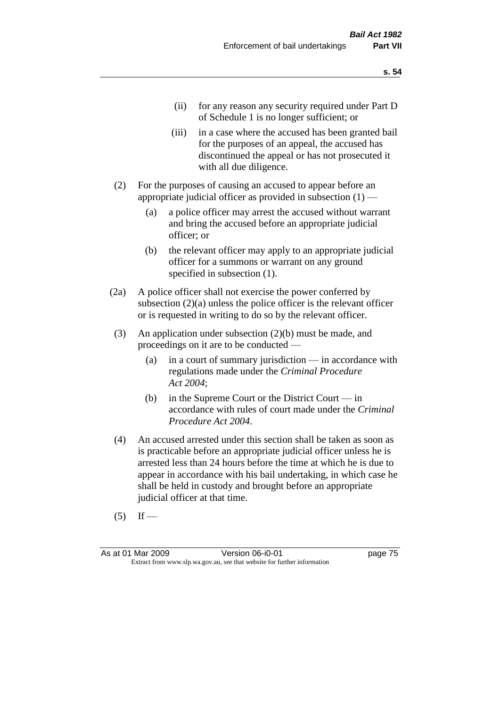- (ii) for any reason any security required under Part D of Schedule 1 is no longer sufficient; or
- (iii) in a case where the accused has been granted bail for the purposes of an appeal, the accused has discontinued the appeal or has not prosecuted it with all due diligence.
- (2) For the purposes of causing an accused to appear before an appropriate judicial officer as provided in subsection  $(1)$  -
	- (a) a police officer may arrest the accused without warrant and bring the accused before an appropriate judicial officer; or
	- (b) the relevant officer may apply to an appropriate judicial officer for a summons or warrant on any ground specified in subsection  $(1)$ .
- (2a) A police officer shall not exercise the power conferred by subsection (2)(a) unless the police officer is the relevant officer or is requested in writing to do so by the relevant officer.
- (3) An application under subsection (2)(b) must be made, and proceedings on it are to be conducted —
	- (a) in a court of summary jurisdiction in accordance with regulations made under the *Criminal Procedure Act 2004*;
	- (b) in the Supreme Court or the District Court in accordance with rules of court made under the *Criminal Procedure Act 2004*.
- (4) An accused arrested under this section shall be taken as soon as is practicable before an appropriate judicial officer unless he is arrested less than 24 hours before the time at which he is due to appear in accordance with his bail undertaking, in which case he shall be held in custody and brought before an appropriate judicial officer at that time.
- $(5)$  If —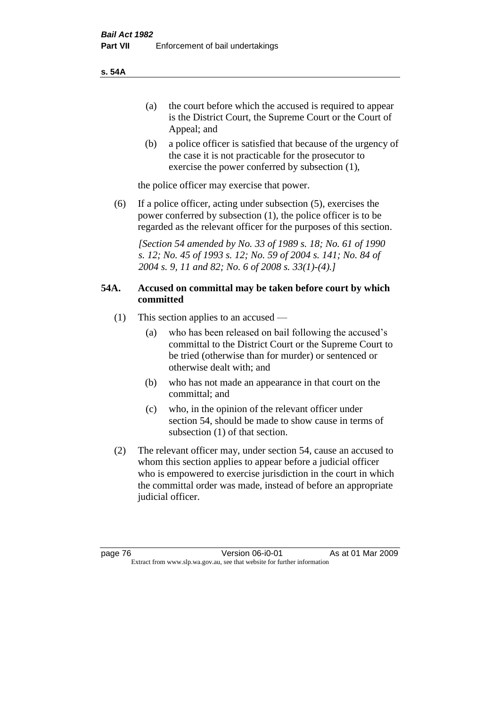- (a) the court before which the accused is required to appear is the District Court, the Supreme Court or the Court of Appeal; and
- (b) a police officer is satisfied that because of the urgency of the case it is not practicable for the prosecutor to exercise the power conferred by subsection (1),

the police officer may exercise that power.

(6) If a police officer, acting under subsection (5), exercises the power conferred by subsection (1), the police officer is to be regarded as the relevant officer for the purposes of this section.

*[Section 54 amended by No. 33 of 1989 s. 18; No. 61 of 1990 s. 12; No. 45 of 1993 s. 12; No. 59 of 2004 s. 141; No. 84 of 2004 s. 9, 11 and 82; No. 6 of 2008 s. 33(1)-(4).]* 

# **54A. Accused on committal may be taken before court by which committed**

- (1) This section applies to an accused
	- (a) who has been released on bail following the accused's committal to the District Court or the Supreme Court to be tried (otherwise than for murder) or sentenced or otherwise dealt with; and
	- (b) who has not made an appearance in that court on the committal; and
	- (c) who, in the opinion of the relevant officer under section 54, should be made to show cause in terms of subsection (1) of that section.
- (2) The relevant officer may, under section 54, cause an accused to whom this section applies to appear before a judicial officer who is empowered to exercise jurisdiction in the court in which the committal order was made, instead of before an appropriate judicial officer.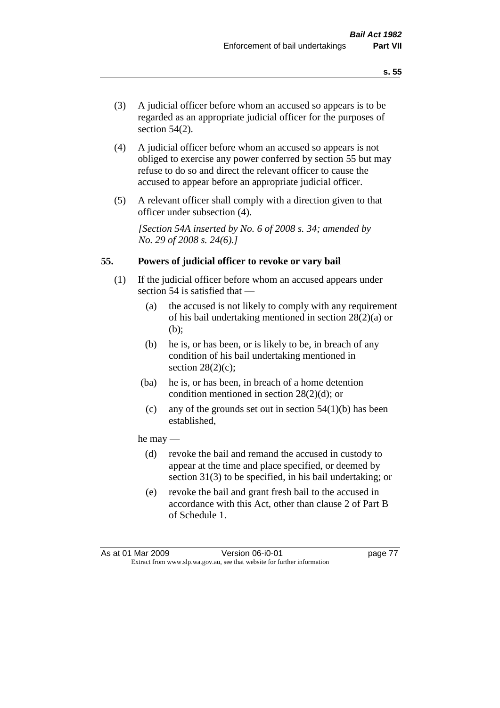- (3) A judicial officer before whom an accused so appears is to be regarded as an appropriate judicial officer for the purposes of section 54(2).
- (4) A judicial officer before whom an accused so appears is not obliged to exercise any power conferred by section 55 but may refuse to do so and direct the relevant officer to cause the accused to appear before an appropriate judicial officer.
- (5) A relevant officer shall comply with a direction given to that officer under subsection (4).

*[Section 54A inserted by No. 6 of 2008 s. 34; amended by No. 29 of 2008 s. 24(6).]*

#### **55. Powers of judicial officer to revoke or vary bail**

- (1) If the judicial officer before whom an accused appears under section 54 is satisfied that —
	- (a) the accused is not likely to comply with any requirement of his bail undertaking mentioned in section 28(2)(a) or (b);
	- (b) he is, or has been, or is likely to be, in breach of any condition of his bail undertaking mentioned in section  $28(2)(c)$ ;
	- (ba) he is, or has been, in breach of a home detention condition mentioned in section 28(2)(d); or
		- (c) any of the grounds set out in section  $54(1)(b)$  has been established,

#### he may —

- (d) revoke the bail and remand the accused in custody to appear at the time and place specified, or deemed by section 31(3) to be specified, in his bail undertaking; or
- (e) revoke the bail and grant fresh bail to the accused in accordance with this Act, other than clause 2 of Part B of Schedule 1.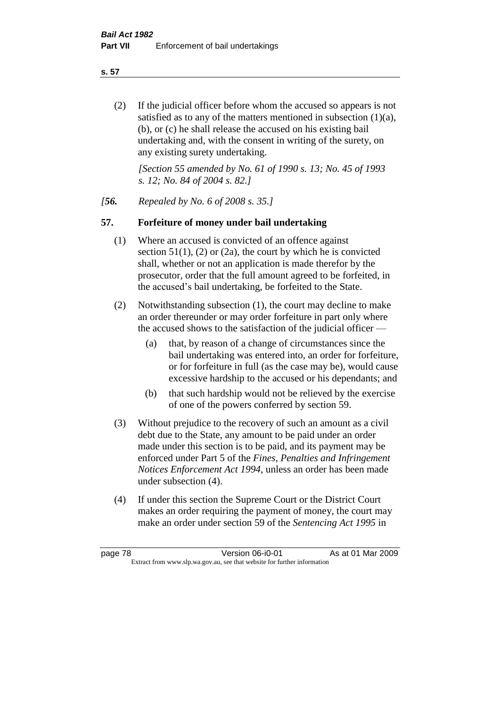**s. 57**

(2) If the judicial officer before whom the accused so appears is not satisfied as to any of the matters mentioned in subsection (1)(a), (b), or (c) he shall release the accused on his existing bail undertaking and, with the consent in writing of the surety, on any existing surety undertaking.

*[Section 55 amended by No. 61 of 1990 s. 13; No. 45 of 1993 s. 12; No. 84 of 2004 s. 82.]* 

*[56. Repealed by No. 6 of 2008 s. 35.]*

# **57. Forfeiture of money under bail undertaking**

- (1) Where an accused is convicted of an offence against section  $51(1)$ , (2) or (2a), the court by which he is convicted shall, whether or not an application is made therefor by the prosecutor, order that the full amount agreed to be forfeited, in the accused's bail undertaking, be forfeited to the State.
- (2) Notwithstanding subsection (1), the court may decline to make an order thereunder or may order forfeiture in part only where the accused shows to the satisfaction of the judicial officer —
	- (a) that, by reason of a change of circumstances since the bail undertaking was entered into, an order for forfeiture, or for forfeiture in full (as the case may be), would cause excessive hardship to the accused or his dependants; and
	- (b) that such hardship would not be relieved by the exercise of one of the powers conferred by section 59.
- (3) Without prejudice to the recovery of such an amount as a civil debt due to the State, any amount to be paid under an order made under this section is to be paid, and its payment may be enforced under Part 5 of the *Fines, Penalties and Infringement Notices Enforcement Act 1994*, unless an order has been made under subsection (4).
- (4) If under this section the Supreme Court or the District Court makes an order requiring the payment of money, the court may make an order under section 59 of the *Sentencing Act 1995* in

page 78 Version 06-i0-01 As at 01 Mar 2009 Extract from www.slp.wa.gov.au, see that website for further information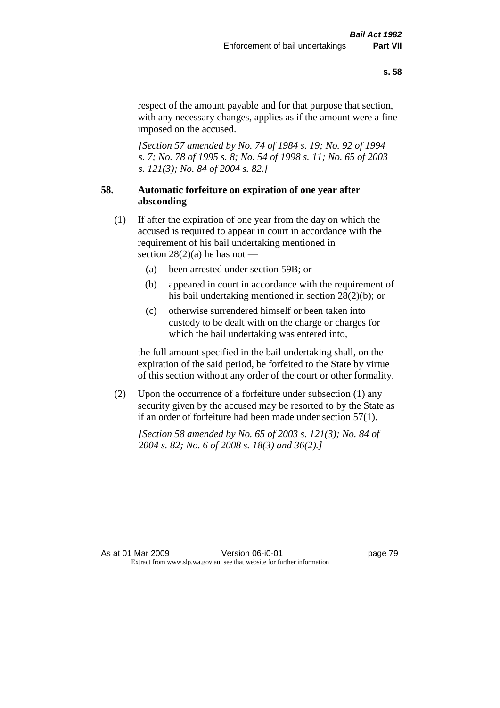respect of the amount payable and for that purpose that section, with any necessary changes, applies as if the amount were a fine imposed on the accused.

*[Section 57 amended by No. 74 of 1984 s. 19; No. 92 of 1994 s. 7; No. 78 of 1995 s. 8; No. 54 of 1998 s. 11; No. 65 of 2003 s. 121(3); No. 84 of 2004 s. 82.]* 

# **58. Automatic forfeiture on expiration of one year after absconding**

- (1) If after the expiration of one year from the day on which the accused is required to appear in court in accordance with the requirement of his bail undertaking mentioned in section  $28(2)(a)$  he has not —
	- (a) been arrested under section 59B; or
	- (b) appeared in court in accordance with the requirement of his bail undertaking mentioned in section 28(2)(b); or
	- (c) otherwise surrendered himself or been taken into custody to be dealt with on the charge or charges for which the bail undertaking was entered into,

the full amount specified in the bail undertaking shall, on the expiration of the said period, be forfeited to the State by virtue of this section without any order of the court or other formality.

(2) Upon the occurrence of a forfeiture under subsection (1) any security given by the accused may be resorted to by the State as if an order of forfeiture had been made under section 57(1).

*[Section 58 amended by No. 65 of 2003 s. 121(3); No. 84 of 2004 s. 82; No. 6 of 2008 s. 18(3) and 36(2).]*

As at 01 Mar 2009 **Version 06-i0-01 Dage 79** Extract from www.slp.wa.gov.au, see that website for further information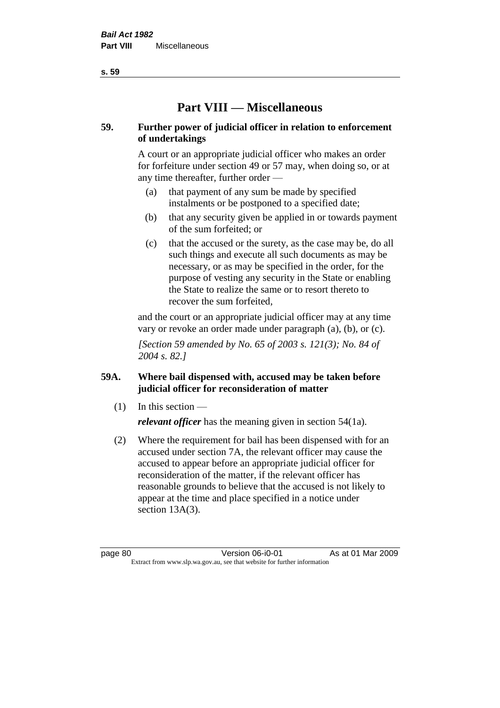# **Part VIII — Miscellaneous**

# **59. Further power of judicial officer in relation to enforcement of undertakings**

A court or an appropriate judicial officer who makes an order for forfeiture under section 49 or 57 may, when doing so, or at any time thereafter, further order —

- (a) that payment of any sum be made by specified instalments or be postponed to a specified date;
- (b) that any security given be applied in or towards payment of the sum forfeited; or
- (c) that the accused or the surety, as the case may be, do all such things and execute all such documents as may be necessary, or as may be specified in the order, for the purpose of vesting any security in the State or enabling the State to realize the same or to resort thereto to recover the sum forfeited,

and the court or an appropriate judicial officer may at any time vary or revoke an order made under paragraph (a), (b), or (c).

*[Section 59 amended by No. 65 of 2003 s. 121(3); No. 84 of 2004 s. 82.]*

# **59A. Where bail dispensed with, accused may be taken before judicial officer for reconsideration of matter**

- $(1)$  In this section *relevant officer* has the meaning given in section 54(1a).
- (2) Where the requirement for bail has been dispensed with for an accused under section 7A, the relevant officer may cause the accused to appear before an appropriate judicial officer for reconsideration of the matter, if the relevant officer has reasonable grounds to believe that the accused is not likely to appear at the time and place specified in a notice under section 13A(3).

page 80 Version 06-i0-01 As at 01 Mar 2009 Extract from www.slp.wa.gov.au, see that website for further information

**s. 59**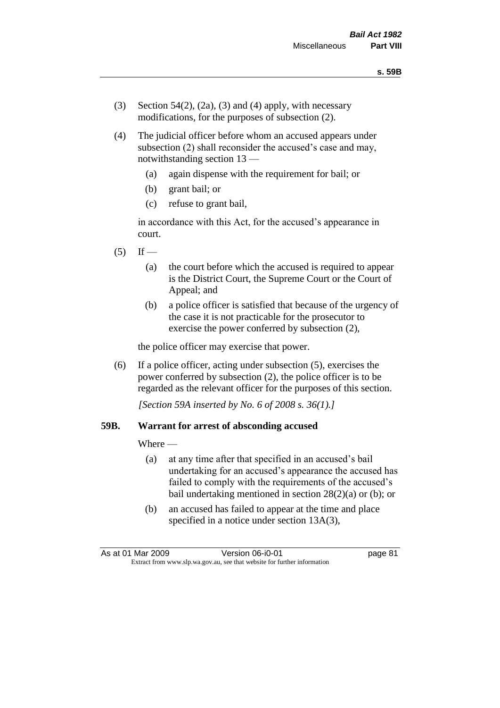- (3) Section 54(2), (2a), (3) and (4) apply, with necessary modifications, for the purposes of subsection (2).
- (4) The judicial officer before whom an accused appears under subsection (2) shall reconsider the accused's case and may, notwithstanding section 13 —
	- (a) again dispense with the requirement for bail; or
	- (b) grant bail; or
	- (c) refuse to grant bail,

in accordance with this Act, for the accused's appearance in court.

- $(5)$  If
	- (a) the court before which the accused is required to appear is the District Court, the Supreme Court or the Court of Appeal; and
	- (b) a police officer is satisfied that because of the urgency of the case it is not practicable for the prosecutor to exercise the power conferred by subsection (2),

the police officer may exercise that power.

(6) If a police officer, acting under subsection (5), exercises the power conferred by subsection (2), the police officer is to be regarded as the relevant officer for the purposes of this section.

*[Section 59A inserted by No. 6 of 2008 s. 36(1).]*

#### **59B. Warrant for arrest of absconding accused**

Where —

- (a) at any time after that specified in an accused's bail undertaking for an accused's appearance the accused has failed to comply with the requirements of the accused's bail undertaking mentioned in section  $28(2)(a)$  or (b); or
- (b) an accused has failed to appear at the time and place specified in a notice under section 13A(3),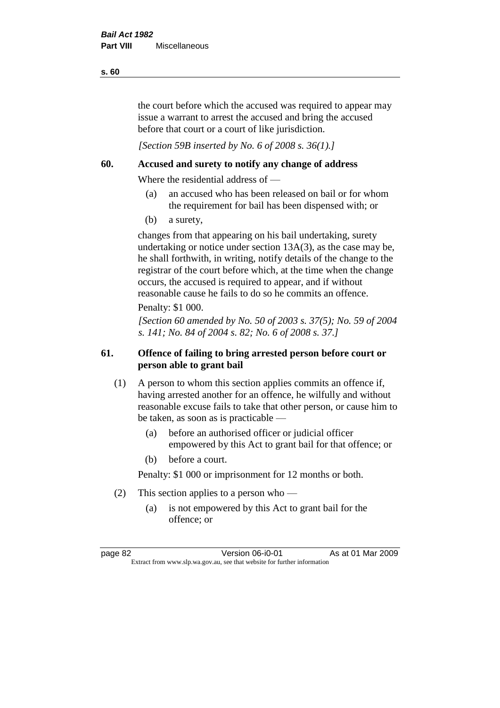the court before which the accused was required to appear may issue a warrant to arrest the accused and bring the accused before that court or a court of like jurisdiction.

*[Section 59B inserted by No. 6 of 2008 s. 36(1).]*

# **60. Accused and surety to notify any change of address**

Where the residential address of —

- (a) an accused who has been released on bail or for whom the requirement for bail has been dispensed with; or
- (b) a surety,

changes from that appearing on his bail undertaking, surety undertaking or notice under section 13A(3), as the case may be, he shall forthwith, in writing, notify details of the change to the registrar of the court before which, at the time when the change occurs, the accused is required to appear, and if without reasonable cause he fails to do so he commits an offence.

Penalty: \$1 000.

*[Section 60 amended by No. 50 of 2003 s. 37(5); No. 59 of 2004 s. 141; No. 84 of 2004 s. 82; No. 6 of 2008 s. 37.]*

# **61. Offence of failing to bring arrested person before court or person able to grant bail**

- (1) A person to whom this section applies commits an offence if, having arrested another for an offence, he wilfully and without reasonable excuse fails to take that other person, or cause him to be taken, as soon as is practicable —
	- (a) before an authorised officer or judicial officer empowered by this Act to grant bail for that offence; or
	- (b) before a court.

Penalty: \$1 000 or imprisonment for 12 months or both.

- (2) This section applies to a person who
	- (a) is not empowered by this Act to grant bail for the offence; or

**s. 60**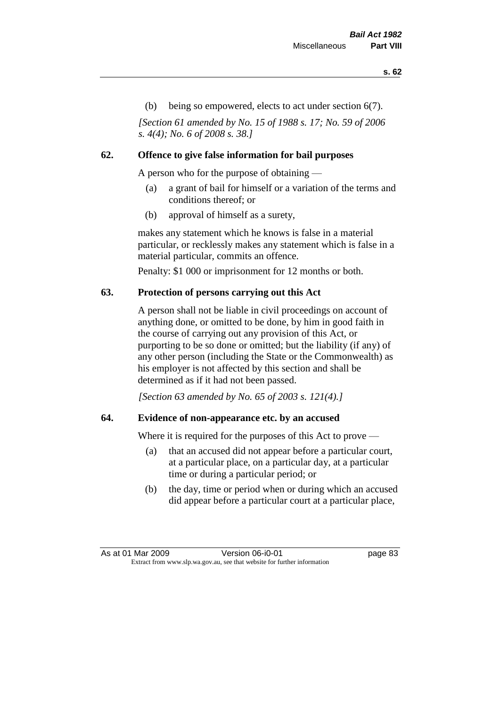(b) being so empowered, elects to act under section 6(7).

*[Section 61 amended by No. 15 of 1988 s. 17; No. 59 of 2006 s. 4(4); No. 6 of 2008 s. 38.]* 

# **62. Offence to give false information for bail purposes**

A person who for the purpose of obtaining —

- (a) a grant of bail for himself or a variation of the terms and conditions thereof; or
- (b) approval of himself as a surety,

makes any statement which he knows is false in a material particular, or recklessly makes any statement which is false in a material particular, commits an offence.

Penalty: \$1 000 or imprisonment for 12 months or both.

# **63. Protection of persons carrying out this Act**

A person shall not be liable in civil proceedings on account of anything done, or omitted to be done, by him in good faith in the course of carrying out any provision of this Act, or purporting to be so done or omitted; but the liability (if any) of any other person (including the State or the Commonwealth) as his employer is not affected by this section and shall be determined as if it had not been passed.

*[Section 63 amended by No. 65 of 2003 s. 121(4).]*

# **64. Evidence of non-appearance etc. by an accused**

Where it is required for the purposes of this Act to prove —

- (a) that an accused did not appear before a particular court, at a particular place, on a particular day, at a particular time or during a particular period; or
- (b) the day, time or period when or during which an accused did appear before a particular court at a particular place,

As at 01 Mar 2009 Version 06-i0-01 page 83 Extract from www.slp.wa.gov.au, see that website for further information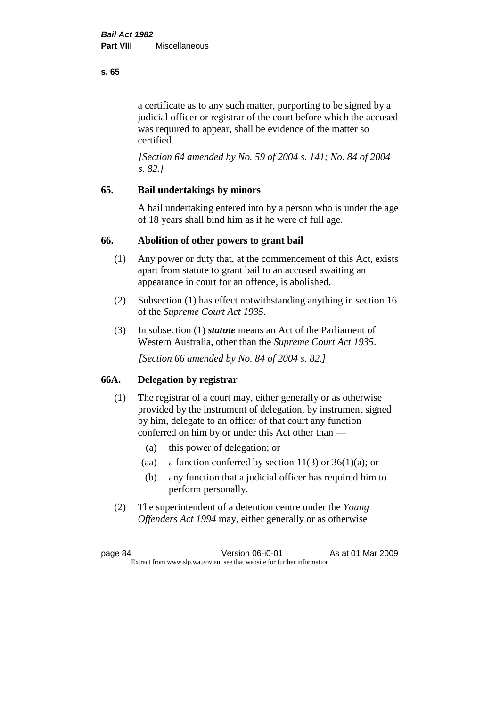a certificate as to any such matter, purporting to be signed by a judicial officer or registrar of the court before which the accused was required to appear, shall be evidence of the matter so certified.

*[Section 64 amended by No. 59 of 2004 s. 141; No. 84 of 2004 s. 82.]* 

# **65. Bail undertakings by minors**

A bail undertaking entered into by a person who is under the age of 18 years shall bind him as if he were of full age.

# **66. Abolition of other powers to grant bail**

- (1) Any power or duty that, at the commencement of this Act, exists apart from statute to grant bail to an accused awaiting an appearance in court for an offence, is abolished.
- (2) Subsection (1) has effect notwithstanding anything in section 16 of the *Supreme Court Act 1935*.
- (3) In subsection (1) *statute* means an Act of the Parliament of Western Australia, other than the *Supreme Court Act 1935*.

*[Section 66 amended by No. 84 of 2004 s. 82.]*

# **66A. Delegation by registrar**

- (1) The registrar of a court may, either generally or as otherwise provided by the instrument of delegation, by instrument signed by him, delegate to an officer of that court any function conferred on him by or under this Act other than —
	- (a) this power of delegation; or
	- (aa) a function conferred by section 11(3) or  $36(1)(a)$ ; or
	- (b) any function that a judicial officer has required him to perform personally.
- (2) The superintendent of a detention centre under the *Young Offenders Act 1994* may, either generally or as otherwise

**s. 65**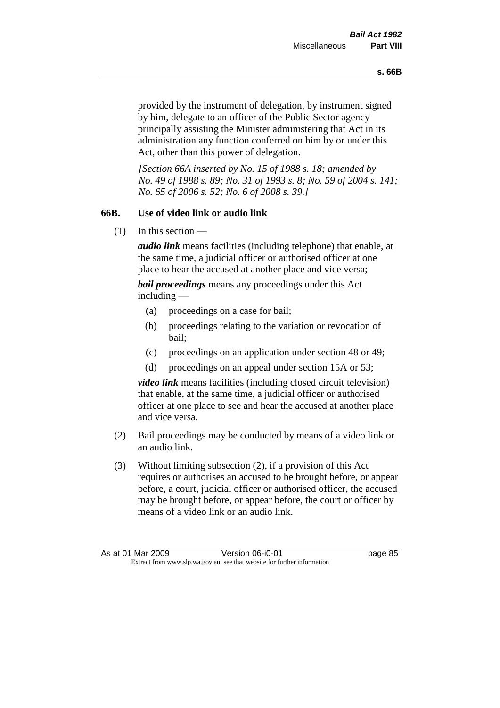provided by the instrument of delegation, by instrument signed by him, delegate to an officer of the Public Sector agency principally assisting the Minister administering that Act in its administration any function conferred on him by or under this Act, other than this power of delegation.

*[Section 66A inserted by No. 15 of 1988 s. 18; amended by No. 49 of 1988 s. 89; No. 31 of 1993 s. 8; No. 59 of 2004 s. 141; No. 65 of 2006 s. 52; No. 6 of 2008 s. 39.]* 

# **66B. Use of video link or audio link**

(1) In this section —

*audio link* means facilities (including telephone) that enable, at the same time, a judicial officer or authorised officer at one place to hear the accused at another place and vice versa;

*bail proceedings* means any proceedings under this Act including —

- (a) proceedings on a case for bail;
- (b) proceedings relating to the variation or revocation of bail;
- (c) proceedings on an application under section 48 or 49;
- (d) proceedings on an appeal under section 15A or 53;

*video link* means facilities (including closed circuit television) that enable, at the same time, a judicial officer or authorised officer at one place to see and hear the accused at another place and vice versa.

- (2) Bail proceedings may be conducted by means of a video link or an audio link.
- (3) Without limiting subsection (2), if a provision of this Act requires or authorises an accused to be brought before, or appear before, a court, judicial officer or authorised officer, the accused may be brought before, or appear before, the court or officer by means of a video link or an audio link.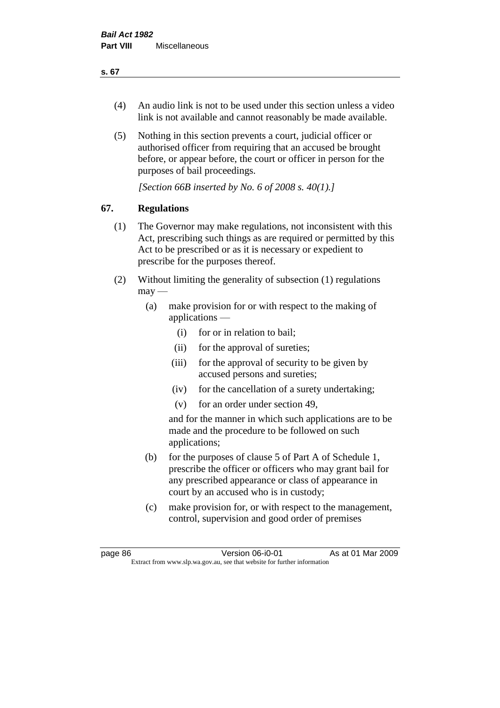# (4) An audio link is not to be used under this section unless a video link is not available and cannot reasonably be made available.

(5) Nothing in this section prevents a court, judicial officer or authorised officer from requiring that an accused be brought before, or appear before, the court or officer in person for the purposes of bail proceedings.

*[Section 66B inserted by No. 6 of 2008 s. 40(1).]*

# **67. Regulations**

- (1) The Governor may make regulations, not inconsistent with this Act, prescribing such things as are required or permitted by this Act to be prescribed or as it is necessary or expedient to prescribe for the purposes thereof.
- (2) Without limiting the generality of subsection (1) regulations  $\text{max}$ 
	- (a) make provision for or with respect to the making of applications —
		- (i) for or in relation to bail;
		- (ii) for the approval of sureties;
		- (iii) for the approval of security to be given by accused persons and sureties;
		- (iv) for the cancellation of a surety undertaking;
		- (v) for an order under section 49,

and for the manner in which such applications are to be made and the procedure to be followed on such applications;

- (b) for the purposes of clause 5 of Part A of Schedule 1, prescribe the officer or officers who may grant bail for any prescribed appearance or class of appearance in court by an accused who is in custody;
- (c) make provision for, or with respect to the management, control, supervision and good order of premises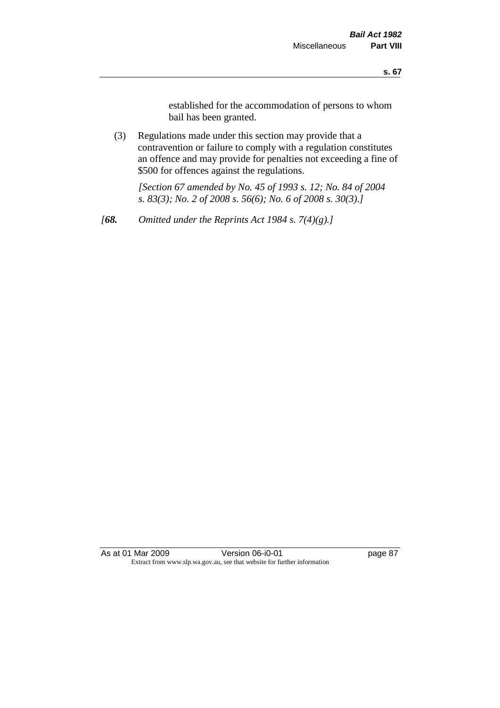established for the accommodation of persons to whom bail has been granted.

(3) Regulations made under this section may provide that a contravention or failure to comply with a regulation constitutes an offence and may provide for penalties not exceeding a fine of \$500 for offences against the regulations.

*[Section 67 amended by No. 45 of 1993 s. 12; No. 84 of 2004 s. 83(3); No. 2 of 2008 s. 56(6); No. 6 of 2008 s. 30(3).]* 

*[68. Omitted under the Reprints Act 1984 s. 7(4)(g).]*

As at 01 Mar 2009 **Version 06-i0-01 Dage 87** Extract from www.slp.wa.gov.au, see that website for further information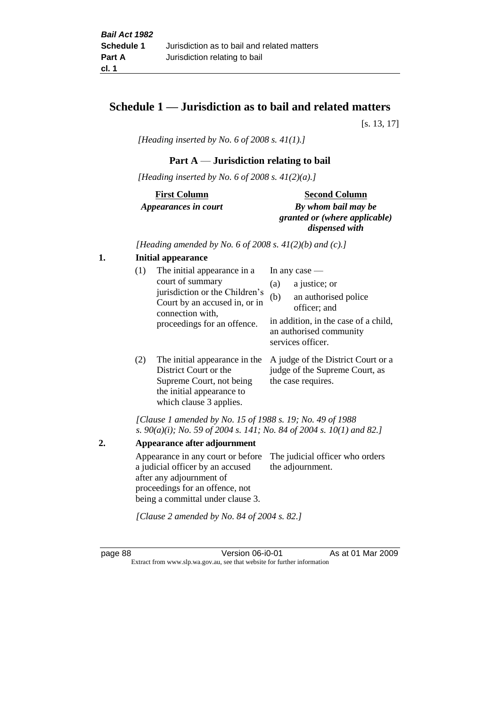# **Schedule 1 — Jurisdiction as to bail and related matters**

[s. 13, 17]

*[Heading inserted by No. 6 of 2008 s. 41(1).]*

# **Part A** — **Jurisdiction relating to bail**

*[Heading inserted by No. 6 of 2008 s. 41(2)(a).]*

| <b>First Column</b>         | <b>Second Column</b>      |
|-----------------------------|---------------------------|
| <i>Appearances in court</i> | By whom bail may be       |
|                             | granted or (where applica |

 $ere$  *applicable*) *dispensed with*

*[Heading amended by No. 6 of 2008 s. 41(2)(b) and (c).]*

#### **1. Initial appearance**

| (1) | The initial appearance in a                                                                                                            | In any case $-$                                                                                                                                             |
|-----|----------------------------------------------------------------------------------------------------------------------------------------|-------------------------------------------------------------------------------------------------------------------------------------------------------------|
|     | court of summary<br>jurisdiction or the Children's<br>Court by an accused in, or in<br>connection with,<br>proceedings for an offence. | a justice; or<br>(a)<br>an authorised police<br>(b)<br>officer; and<br>in addition, in the case of a child,<br>an authorised community<br>services officer. |
| (2) | The initial appearance in the<br>District Court or the                                                                                 | A judge of the District Court or a<br>judge of the Supreme Court, as                                                                                        |

*[Clause 1 amended by No. 15 of 1988 s. 19; No. 49 of 1988 s. 90(a)(i); No. 59 of 2004 s. 141; No. 84 of 2004 s. 10(1) and 82.]*

the case requires.

**2. Appearance after adjournment** Appearance in any court or before The judicial officer who orders a judicial officer by an accused after any adjournment of proceedings for an offence, not being a committal under clause 3. the adjournment. *[Clause 2 amended by No. 84 of 2004 s. 82.]*

Supreme Court, not being the initial appearance to which clause 3 applies.

page 88 Version 06-i0-01 As at 01 Mar 2009 Extract from www.slp.wa.gov.au, see that website for further information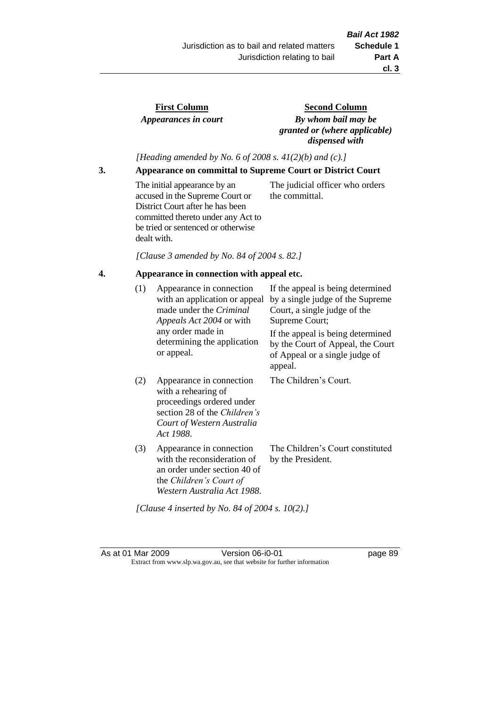# **First Column** *Appearances in court*

**Second Column** *By whom bail may be granted or (where applicable) dispensed with*

*[Heading amended by No. 6 of 2008 s. 41(2)(b) and (c).]*

**3. Appearance on committal to Supreme Court or District Court**

The initial appearance by an accused in the Supreme Court or District Court after he has been committed thereto under any Act to be tried or sentenced or otherwise dealt with.

The judicial officer who orders the committal.

*[Clause 3 amended by No. 84 of 2004 s. 82.]*

# **4. Appearance in connection with appeal etc.**

| (1) | Appearance in connection<br>with an application or appeal<br>made under the <i>Criminal</i><br>Appeals Act 2004 or with<br>any order made in<br>determining the application<br>or appeal. | If the appeal is being determined<br>by a single judge of the Supreme<br>Court, a single judge of the<br>Supreme Court;<br>If the appeal is being determined<br>by the Court of Appeal, the Court<br>of Appeal or a single judge of |
|-----|-------------------------------------------------------------------------------------------------------------------------------------------------------------------------------------------|-------------------------------------------------------------------------------------------------------------------------------------------------------------------------------------------------------------------------------------|
| (2) | Appearance in connection<br>with a rehearing of<br>proceedings ordered under<br>section 28 of the Children's<br>Court of Western Australia<br>Act 1988.                                   | appeal.<br>The Children's Court.                                                                                                                                                                                                    |
| (3) | Appearance in connection<br>with the reconsideration of<br>an order under section 40 of<br>the Children's Court of<br>Western Australia Act 1988.                                         | The Children's Court constituted<br>by the President.                                                                                                                                                                               |

*[Clause 4 inserted by No. 84 of 2004 s. 10(2).]*

As at 01 Mar 2009 **Version 06-i0-01 Dage 89** Extract from www.slp.wa.gov.au, see that website for further information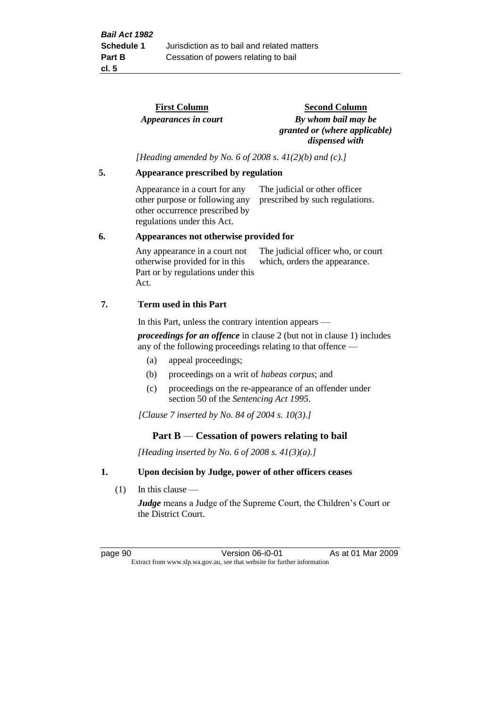**First Column** *Appearances in court*  **Second Column** *By whom bail may be granted or (where applicable) dispensed with*

*[Heading amended by No. 6 of 2008 s. 41(2)(b) and (c).]*

#### **5. Appearance prescribed by regulation**

Appearance in a court for any other purpose or following any other occurrence prescribed by regulations under this Act.

The judicial or other officer prescribed by such regulations.

#### **6. Appearances not otherwise provided for**

Any appearance in a court not otherwise provided for in this Part or by regulations under this Act. The judicial officer who, or court which, orders the appearance.

#### **7. Term used in this Part**

In this Part, unless the contrary intention appears —

*proceedings for an offence* in clause 2 (but not in clause 1) includes any of the following proceedings relating to that offence —

- (a) appeal proceedings;
- (b) proceedings on a writ of *habeas corpus*; and
- (c) proceedings on the re-appearance of an offender under section 50 of the *Sentencing Act 1995*.

*[Clause 7 inserted by No. 84 of 2004 s. 10(3).]*

#### **Part B** — **Cessation of powers relating to bail**

*[Heading inserted by No. 6 of 2008 s. 41(3)(a).]*

#### **1. Upon decision by Judge, power of other officers ceases**

(1) In this clause —

*Judge* means a Judge of the Supreme Court, the Children's Court or the District Court.

page 90 Version 06-i0-01 As at 01 Mar 2009 Extract from www.slp.wa.gov.au, see that website for further information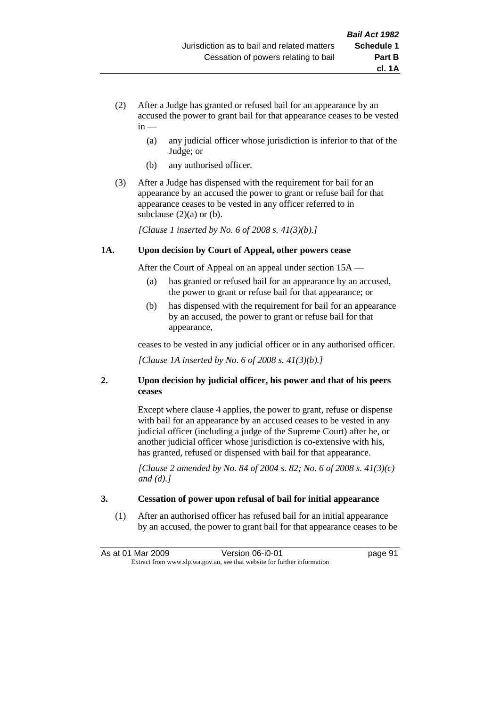- (2) After a Judge has granted or refused bail for an appearance by an accused the power to grant bail for that appearance ceases to be vested  $in -$ 
	- (a) any judicial officer whose jurisdiction is inferior to that of the Judge; or
	- (b) any authorised officer.
- (3) After a Judge has dispensed with the requirement for bail for an appearance by an accused the power to grant or refuse bail for that appearance ceases to be vested in any officer referred to in subclause  $(2)(a)$  or  $(b)$ .

*[Clause 1 inserted by No. 6 of 2008 s. 41(3)(b).]*

#### **1A. Upon decision by Court of Appeal, other powers cease**

After the Court of Appeal on an appeal under section 15A —

- (a) has granted or refused bail for an appearance by an accused, the power to grant or refuse bail for that appearance; or
- (b) has dispensed with the requirement for bail for an appearance by an accused, the power to grant or refuse bail for that appearance,

ceases to be vested in any judicial officer or in any authorised officer.

*[Clause 1A inserted by No. 6 of 2008 s. 41(3)(b).]*

# **2. Upon decision by judicial officer, his power and that of his peers ceases**

Except where clause 4 applies, the power to grant, refuse or dispense with bail for an appearance by an accused ceases to be vested in any judicial officer (including a judge of the Supreme Court) after he, or another judicial officer whose jurisdiction is co-extensive with his, has granted, refused or dispensed with bail for that appearance.

*[Clause 2 amended by No. 84 of 2004 s. 82; No. 6 of 2008 s. 41(3)(c) and (d).]*

# **3. Cessation of power upon refusal of bail for initial appearance**

(1) After an authorised officer has refused bail for an initial appearance by an accused, the power to grant bail for that appearance ceases to be

As at 01 Mar 2009 Version 06-i0-01 page 91 Extract from www.slp.wa.gov.au, see that website for further information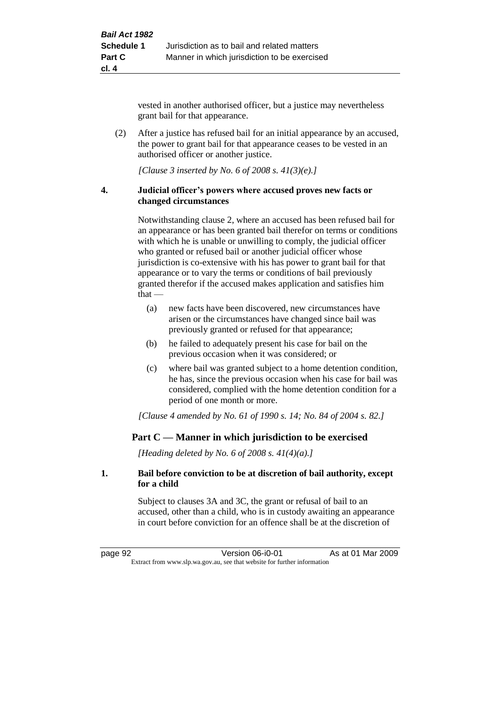vested in another authorised officer, but a justice may nevertheless grant bail for that appearance.

(2) After a justice has refused bail for an initial appearance by an accused, the power to grant bail for that appearance ceases to be vested in an authorised officer or another justice.

*[Clause 3 inserted by No. 6 of 2008 s. 41(3)(e).]*

#### **4. Judicial officer's powers where accused proves new facts or changed circumstances**

Notwithstanding clause 2, where an accused has been refused bail for an appearance or has been granted bail therefor on terms or conditions with which he is unable or unwilling to comply, the judicial officer who granted or refused bail or another judicial officer whose jurisdiction is co-extensive with his has power to grant bail for that appearance or to vary the terms or conditions of bail previously granted therefor if the accused makes application and satisfies him that —

- (a) new facts have been discovered, new circumstances have arisen or the circumstances have changed since bail was previously granted or refused for that appearance;
- (b) he failed to adequately present his case for bail on the previous occasion when it was considered; or
- (c) where bail was granted subject to a home detention condition, he has, since the previous occasion when his case for bail was considered, complied with the home detention condition for a period of one month or more.

*[Clause 4 amended by No. 61 of 1990 s. 14; No. 84 of 2004 s. 82.]*

# **Part C — Manner in which jurisdiction to be exercised**

*[Heading deleted by No. 6 of 2008 s. 41(4)(a).]*

#### **1. Bail before conviction to be at discretion of bail authority, except for a child**

Subject to clauses 3A and 3C, the grant or refusal of bail to an accused, other than a child, who is in custody awaiting an appearance in court before conviction for an offence shall be at the discretion of

page 92 Version 06-i0-01 As at 01 Mar 2009 Extract from www.slp.wa.gov.au, see that website for further information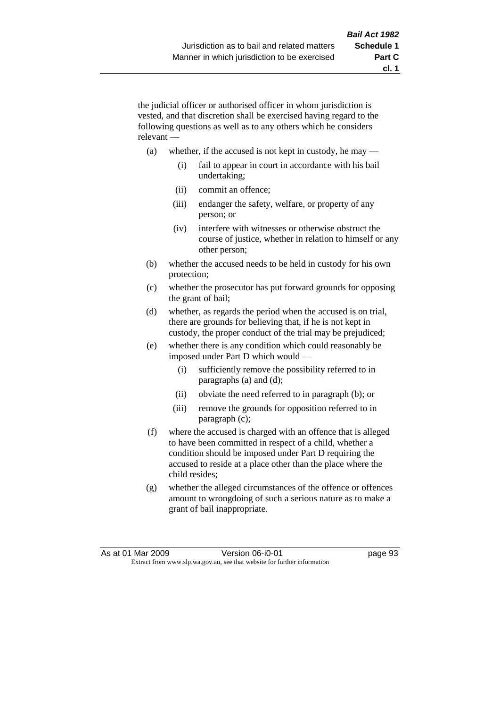the judicial officer or authorised officer in whom jurisdiction is vested, and that discretion shall be exercised having regard to the following questions as well as to any others which he considers relevant —

- (a) whether, if the accused is not kept in custody, he may
	- (i) fail to appear in court in accordance with his bail undertaking;
	- (ii) commit an offence;
	- (iii) endanger the safety, welfare, or property of any person; or
	- (iv) interfere with witnesses or otherwise obstruct the course of justice, whether in relation to himself or any other person;
- (b) whether the accused needs to be held in custody for his own protection;
- (c) whether the prosecutor has put forward grounds for opposing the grant of bail;
- (d) whether, as regards the period when the accused is on trial, there are grounds for believing that, if he is not kept in custody, the proper conduct of the trial may be prejudiced;
- (e) whether there is any condition which could reasonably be imposed under Part D which would —
	- (i) sufficiently remove the possibility referred to in paragraphs (a) and (d);
	- (ii) obviate the need referred to in paragraph (b); or
	- (iii) remove the grounds for opposition referred to in paragraph (c);
- (f) where the accused is charged with an offence that is alleged to have been committed in respect of a child, whether a condition should be imposed under Part D requiring the accused to reside at a place other than the place where the child resides;
- (g) whether the alleged circumstances of the offence or offences amount to wrongdoing of such a serious nature as to make a grant of bail inappropriate.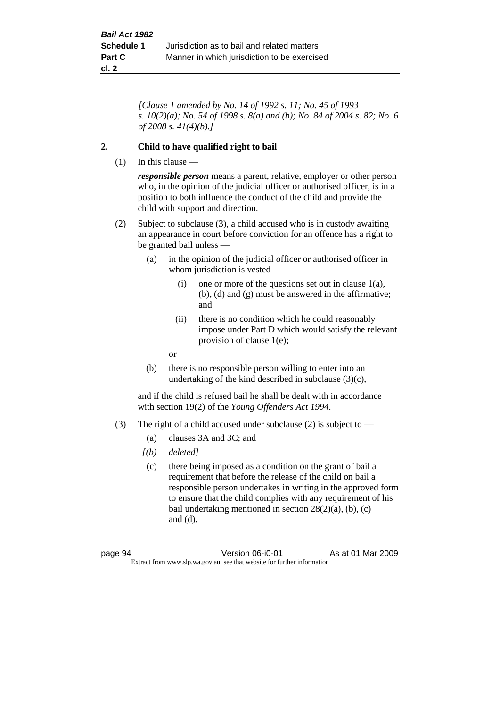*[Clause 1 amended by No. 14 of 1992 s. 11; No. 45 of 1993 s. 10(2)(a); No. 54 of 1998 s. 8(a) and (b); No. 84 of 2004 s. 82; No. 6 of 2008 s. 41(4)(b).]*

#### **2. Child to have qualified right to bail**

 $(1)$  In this clause —

*responsible person* means a parent, relative, employer or other person who, in the opinion of the judicial officer or authorised officer, is in a position to both influence the conduct of the child and provide the child with support and direction.

- (2) Subject to subclause (3), a child accused who is in custody awaiting an appearance in court before conviction for an offence has a right to be granted bail unless —
	- (a) in the opinion of the judicial officer or authorised officer in whom jurisdiction is vested —
		- (i) one or more of the questions set out in clause  $1(a)$ , (b), (d) and (g) must be answered in the affirmative; and
		- (ii) there is no condition which he could reasonably impose under Part D which would satisfy the relevant provision of clause 1(e);

or

(b) there is no responsible person willing to enter into an undertaking of the kind described in subclause (3)(c),

and if the child is refused bail he shall be dealt with in accordance with section 19(2) of the *Young Offenders Act 1994*.

- (3) The right of a child accused under subclause (2) is subject to  $-$ 
	- (a) clauses 3A and 3C; and
	- *[(b) deleted]*
	- (c) there being imposed as a condition on the grant of bail a requirement that before the release of the child on bail a responsible person undertakes in writing in the approved form to ensure that the child complies with any requirement of his bail undertaking mentioned in section 28(2)(a), (b), (c) and (d).

page 94 Version 06-i0-01 As at 01 Mar 2009 Extract from www.slp.wa.gov.au, see that website for further information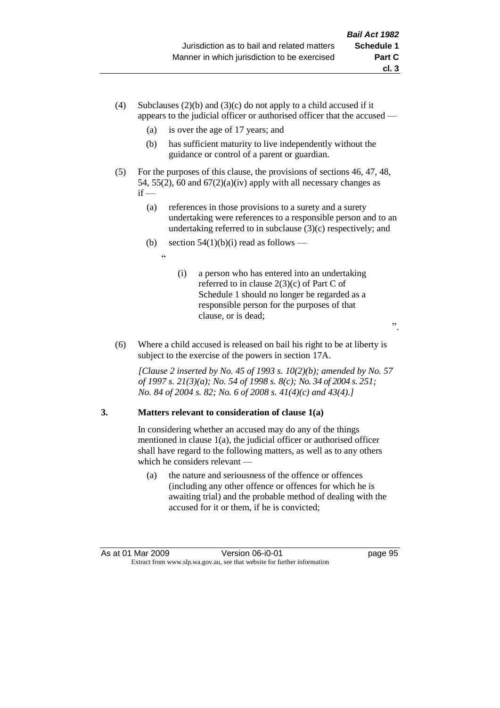- (4) Subclauses (2)(b) and (3)(c) do not apply to a child accused if it appears to the judicial officer or authorised officer that the accused —
	- (a) is over the age of 17 years; and
	- (b) has sufficient maturity to live independently without the guidance or control of a parent or guardian.
- (5) For the purposes of this clause, the provisions of sections 46, 47, 48, 54, 55(2), 60 and  $67(2)(a)(iv)$  apply with all necessary changes as  $if -$ 
	- (a) references in those provisions to a surety and a surety undertaking were references to a responsible person and to an undertaking referred to in subclause (3)(c) respectively; and
	- (b) section  $54(1)(b)(i)$  read as follows —

.<br>ده

- (i) a person who has entered into an undertaking referred to in clause 2(3)(c) of Part C of Schedule 1 should no longer be regarded as a responsible person for the purposes of that clause, or is dead;
- (6) Where a child accused is released on bail his right to be at liberty is subject to the exercise of the powers in section 17A.

*[Clause 2 inserted by No. 45 of 1993 s. 10(2)(b); amended by No. 57 of 1997 s. 21(3)(a); No. 54 of 1998 s. 8(c); No. 34 of 2004 s. 251; No. 84 of 2004 s. 82; No. 6 of 2008 s. 41(4)(c) and 43(4).]*

# **3. Matters relevant to consideration of clause 1(a)**

In considering whether an accused may do any of the things mentioned in clause 1(a), the judicial officer or authorised officer shall have regard to the following matters, as well as to any others which he considers relevant —

(a) the nature and seriousness of the offence or offences (including any other offence or offences for which he is awaiting trial) and the probable method of dealing with the accused for it or them, if he is convicted;

".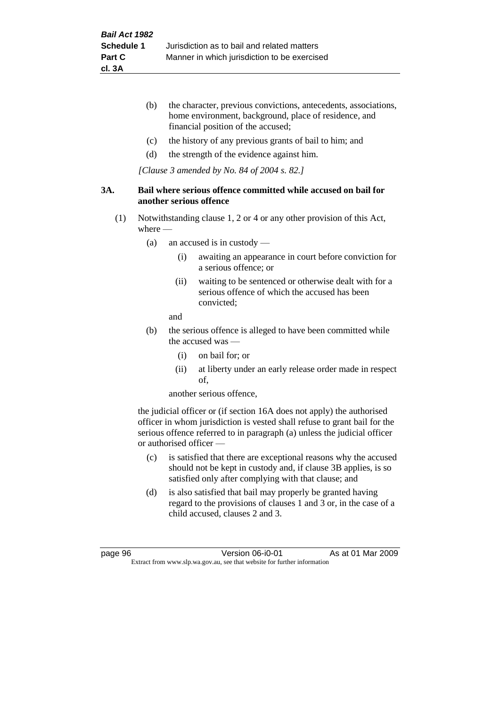- (b) the character, previous convictions, antecedents, associations, home environment, background, place of residence, and financial position of the accused;
- (c) the history of any previous grants of bail to him; and
- (d) the strength of the evidence against him.

*[Clause 3 amended by No. 84 of 2004 s. 82.]*

#### **3A. Bail where serious offence committed while accused on bail for another serious offence**

- (1) Notwithstanding clause 1, 2 or 4 or any other provision of this Act, where —
	- (a) an accused is in custody
		- (i) awaiting an appearance in court before conviction for a serious offence; or
		- (ii) waiting to be sentenced or otherwise dealt with for a serious offence of which the accused has been convicted;

and

- (b) the serious offence is alleged to have been committed while the accused was —
	- (i) on bail for; or
	- (ii) at liberty under an early release order made in respect of,

another serious offence,

the judicial officer or (if section 16A does not apply) the authorised officer in whom jurisdiction is vested shall refuse to grant bail for the serious offence referred to in paragraph (a) unless the judicial officer or authorised officer —

- (c) is satisfied that there are exceptional reasons why the accused should not be kept in custody and, if clause 3B applies, is so satisfied only after complying with that clause; and
- (d) is also satisfied that bail may properly be granted having regard to the provisions of clauses 1 and 3 or, in the case of a child accused, clauses 2 and 3.

page 96 Version 06-i0-01 As at 01 Mar 2009 Extract from www.slp.wa.gov.au, see that website for further information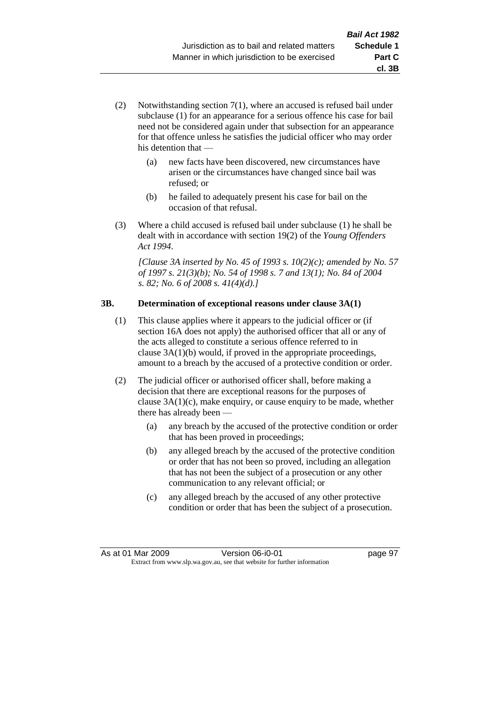- (2) Notwithstanding section 7(1), where an accused is refused bail under subclause (1) for an appearance for a serious offence his case for bail need not be considered again under that subsection for an appearance for that offence unless he satisfies the judicial officer who may order his detention that —
	- (a) new facts have been discovered, new circumstances have arisen or the circumstances have changed since bail was refused; or
	- (b) he failed to adequately present his case for bail on the occasion of that refusal.
- (3) Where a child accused is refused bail under subclause (1) he shall be dealt with in accordance with section 19(2) of the *Young Offenders Act 1994*.

*[Clause 3A inserted by No. 45 of 1993 s. 10(2)(c); amended by No. 57 of 1997 s. 21(3)(b); No. 54 of 1998 s. 7 and 13(1); No. 84 of 2004 s. 82; No. 6 of 2008 s. 41(4)(d).]*

#### **3B. Determination of exceptional reasons under clause 3A(1)**

- (1) This clause applies where it appears to the judicial officer or (if section 16A does not apply) the authorised officer that all or any of the acts alleged to constitute a serious offence referred to in clause 3A(1)(b) would, if proved in the appropriate proceedings, amount to a breach by the accused of a protective condition or order.
- (2) The judicial officer or authorised officer shall, before making a decision that there are exceptional reasons for the purposes of clause  $3A(1)(c)$ , make enquiry, or cause enquiry to be made, whether there has already been —
	- (a) any breach by the accused of the protective condition or order that has been proved in proceedings;
	- (b) any alleged breach by the accused of the protective condition or order that has not been so proved, including an allegation that has not been the subject of a prosecution or any other communication to any relevant official; or
	- (c) any alleged breach by the accused of any other protective condition or order that has been the subject of a prosecution.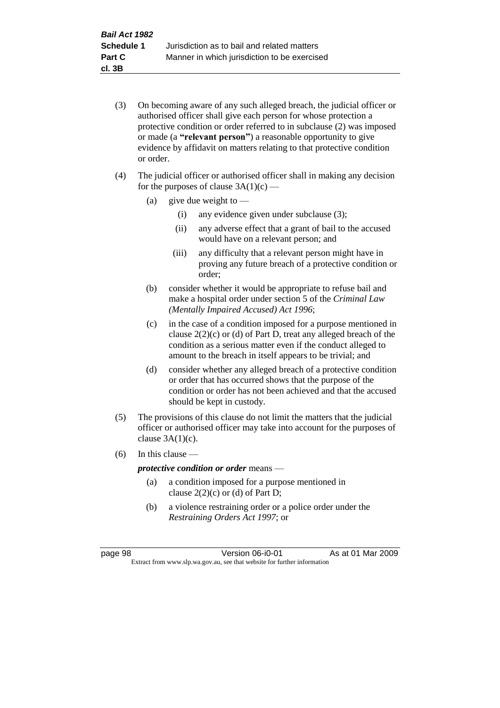- (3) On becoming aware of any such alleged breach, the judicial officer or authorised officer shall give each person for whose protection a protective condition or order referred to in subclause (2) was imposed or made (a **"relevant person"**) a reasonable opportunity to give evidence by affidavit on matters relating to that protective condition or order.
- (4) The judicial officer or authorised officer shall in making any decision for the purposes of clause  $3A(1)(c)$  —
	- (a) give due weight to  $-$ 
		- (i) any evidence given under subclause (3);
		- (ii) any adverse effect that a grant of bail to the accused would have on a relevant person; and
		- (iii) any difficulty that a relevant person might have in proving any future breach of a protective condition or order;
	- (b) consider whether it would be appropriate to refuse bail and make a hospital order under section 5 of the *Criminal Law (Mentally Impaired Accused) Act 1996*;
	- (c) in the case of a condition imposed for a purpose mentioned in clause 2(2)(c) or (d) of Part D, treat any alleged breach of the condition as a serious matter even if the conduct alleged to amount to the breach in itself appears to be trivial; and
	- (d) consider whether any alleged breach of a protective condition or order that has occurred shows that the purpose of the condition or order has not been achieved and that the accused should be kept in custody.
- (5) The provisions of this clause do not limit the matters that the judicial officer or authorised officer may take into account for the purposes of clause  $3A(1)(c)$ .
- (6) In this clause —

#### *protective condition or order* means —

- (a) a condition imposed for a purpose mentioned in clause  $2(2)(c)$  or (d) of Part D:
- (b) a violence restraining order or a police order under the *Restraining Orders Act 1997*; or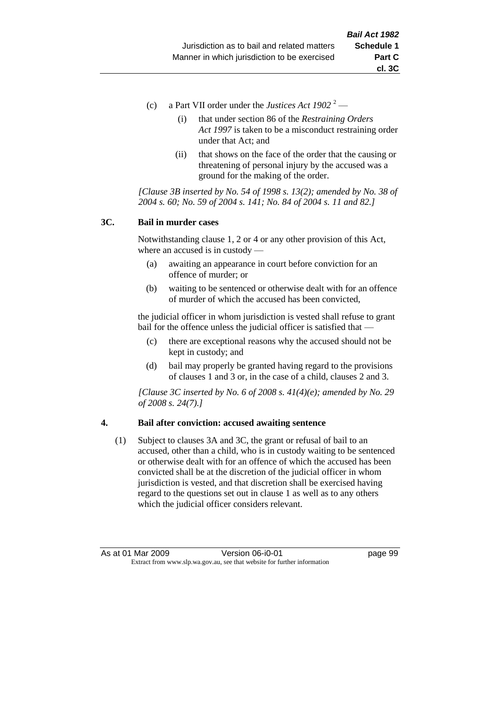- (c) a Part VII order under the *Justices Act 1902* <sup>2</sup>
	- (i) that under section 86 of the *Restraining Orders Act 1997* is taken to be a misconduct restraining order under that Act; and
	- (ii) that shows on the face of the order that the causing or threatening of personal injury by the accused was a ground for the making of the order.

*[Clause 3B inserted by No. 54 of 1998 s. 13(2); amended by No. 38 of 2004 s. 60; No. 59 of 2004 s. 141; No. 84 of 2004 s. 11 and 82.]*

#### **3C. Bail in murder cases**

Notwithstanding clause 1, 2 or 4 or any other provision of this Act, where an accused is in custody —

- (a) awaiting an appearance in court before conviction for an offence of murder; or
- (b) waiting to be sentenced or otherwise dealt with for an offence of murder of which the accused has been convicted,

the judicial officer in whom jurisdiction is vested shall refuse to grant bail for the offence unless the judicial officer is satisfied that —

- (c) there are exceptional reasons why the accused should not be kept in custody; and
- (d) bail may properly be granted having regard to the provisions of clauses 1 and 3 or, in the case of a child, clauses 2 and 3.

*[Clause 3C inserted by No. 6 of 2008 s. 41(4)(e); amended by No. 29 of 2008 s. 24(7).]*

#### **4. Bail after conviction: accused awaiting sentence**

(1) Subject to clauses 3A and 3C, the grant or refusal of bail to an accused, other than a child, who is in custody waiting to be sentenced or otherwise dealt with for an offence of which the accused has been convicted shall be at the discretion of the judicial officer in whom jurisdiction is vested, and that discretion shall be exercised having regard to the questions set out in clause 1 as well as to any others which the judicial officer considers relevant.

As at 01 Mar 2009 **Version 06-i0-01 Dage 99** Extract from www.slp.wa.gov.au, see that website for further information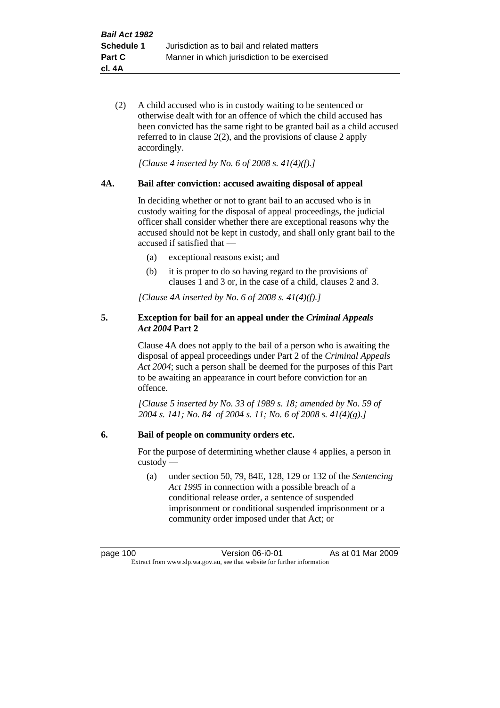(2) A child accused who is in custody waiting to be sentenced or otherwise dealt with for an offence of which the child accused has been convicted has the same right to be granted bail as a child accused referred to in clause 2(2), and the provisions of clause 2 apply accordingly.

*[Clause 4 inserted by No. 6 of 2008 s. 41(4)(f).]*

#### **4A. Bail after conviction: accused awaiting disposal of appeal**

In deciding whether or not to grant bail to an accused who is in custody waiting for the disposal of appeal proceedings, the judicial officer shall consider whether there are exceptional reasons why the accused should not be kept in custody, and shall only grant bail to the accused if satisfied that —

- (a) exceptional reasons exist; and
- (b) it is proper to do so having regard to the provisions of clauses 1 and 3 or, in the case of a child, clauses 2 and 3.

*[Clause 4A inserted by No. 6 of 2008 s. 41(4)(f).]*

#### **5. Exception for bail for an appeal under the** *Criminal Appeals Act 2004* **Part 2**

Clause 4A does not apply to the bail of a person who is awaiting the disposal of appeal proceedings under Part 2 of the *Criminal Appeals Act 2004*; such a person shall be deemed for the purposes of this Part to be awaiting an appearance in court before conviction for an offence.

*[Clause 5 inserted by No. 33 of 1989 s. 18; amended by No. 59 of 2004 s. 141; No. 84 of 2004 s. 11; No. 6 of 2008 s. 41(4)(g).]*

#### **6. Bail of people on community orders etc.**

For the purpose of determining whether clause 4 applies, a person in custody —

(a) under section 50, 79, 84E, 128, 129 or 132 of the *Sentencing Act 1995* in connection with a possible breach of a conditional release order, a sentence of suspended imprisonment or conditional suspended imprisonment or a community order imposed under that Act; or

page 100 Version 06-i0-01 As at 01 Mar 2009 Extract from www.slp.wa.gov.au, see that website for further information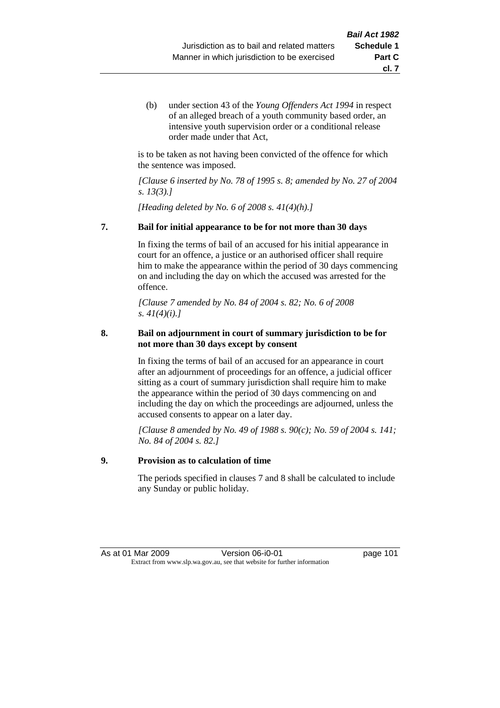(b) under section 43 of the *Young Offenders Act 1994* in respect of an alleged breach of a youth community based order, an intensive youth supervision order or a conditional release order made under that Act,

is to be taken as not having been convicted of the offence for which the sentence was imposed.

*[Clause 6 inserted by No. 78 of 1995 s. 8; amended by No. 27 of 2004 s. 13(3).]*

*[Heading deleted by No. 6 of 2008 s. 41(4)(h).]*

# **7. Bail for initial appearance to be for not more than 30 days**

In fixing the terms of bail of an accused for his initial appearance in court for an offence, a justice or an authorised officer shall require him to make the appearance within the period of 30 days commencing on and including the day on which the accused was arrested for the offence.

*[Clause 7 amended by No. 84 of 2004 s. 82; No. 6 of 2008 s. 41(4)(i).]*

# **8. Bail on adjournment in court of summary jurisdiction to be for not more than 30 days except by consent**

In fixing the terms of bail of an accused for an appearance in court after an adjournment of proceedings for an offence, a judicial officer sitting as a court of summary jurisdiction shall require him to make the appearance within the period of 30 days commencing on and including the day on which the proceedings are adjourned, unless the accused consents to appear on a later day.

*[Clause 8 amended by No. 49 of 1988 s. 90(c); No. 59 of 2004 s. 141; No. 84 of 2004 s. 82.]*

# **9. Provision as to calculation of time**

The periods specified in clauses 7 and 8 shall be calculated to include any Sunday or public holiday.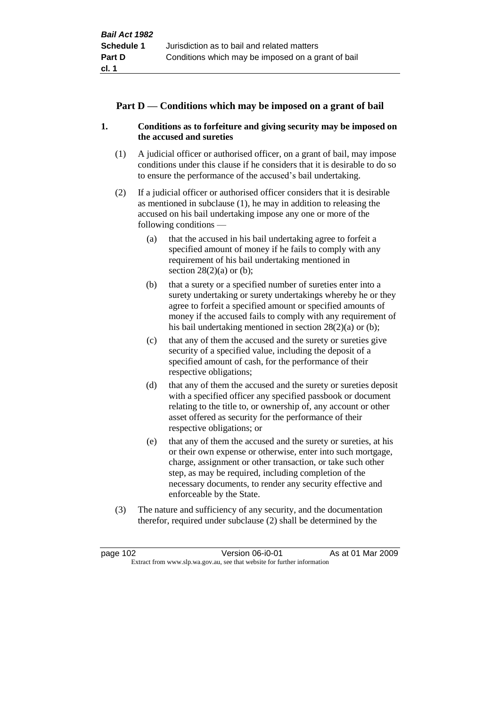# **Part D — Conditions which may be imposed on a grant of bail**

# **1. Conditions as to forfeiture and giving security may be imposed on the accused and sureties**

- (1) A judicial officer or authorised officer, on a grant of bail, may impose conditions under this clause if he considers that it is desirable to do so to ensure the performance of the accused's bail undertaking.
- (2) If a judicial officer or authorised officer considers that it is desirable as mentioned in subclause (1), he may in addition to releasing the accused on his bail undertaking impose any one or more of the following conditions —
	- (a) that the accused in his bail undertaking agree to forfeit a specified amount of money if he fails to comply with any requirement of his bail undertaking mentioned in section  $28(2)(a)$  or (b);
	- (b) that a surety or a specified number of sureties enter into a surety undertaking or surety undertakings whereby he or they agree to forfeit a specified amount or specified amounts of money if the accused fails to comply with any requirement of his bail undertaking mentioned in section 28(2)(a) or (b);
	- (c) that any of them the accused and the surety or sureties give security of a specified value, including the deposit of a specified amount of cash, for the performance of their respective obligations;
	- (d) that any of them the accused and the surety or sureties deposit with a specified officer any specified passbook or document relating to the title to, or ownership of, any account or other asset offered as security for the performance of their respective obligations; or
	- (e) that any of them the accused and the surety or sureties, at his or their own expense or otherwise, enter into such mortgage, charge, assignment or other transaction, or take such other step, as may be required, including completion of the necessary documents, to render any security effective and enforceable by the State.
- (3) The nature and sufficiency of any security, and the documentation therefor, required under subclause (2) shall be determined by the

page 102 Version 06-i0-01 As at 01 Mar 2009 Extract from www.slp.wa.gov.au, see that website for further information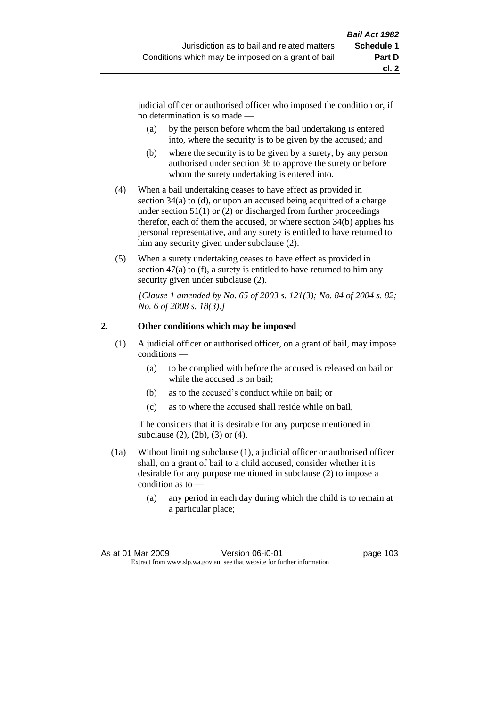judicial officer or authorised officer who imposed the condition or, if no determination is so made —

- (a) by the person before whom the bail undertaking is entered into, where the security is to be given by the accused; and
- (b) where the security is to be given by a surety, by any person authorised under section 36 to approve the surety or before whom the surety undertaking is entered into.
- (4) When a bail undertaking ceases to have effect as provided in section 34(a) to (d), or upon an accused being acquitted of a charge under section  $51(1)$  or (2) or discharged from further proceedings therefor, each of them the accused, or where section  $34(b)$  applies his personal representative, and any surety is entitled to have returned to him any security given under subclause (2).
- (5) When a surety undertaking ceases to have effect as provided in section 47(a) to (f), a surety is entitled to have returned to him any security given under subclause  $(2)$ .

*[Clause 1 amended by No. 65 of 2003 s. 121(3); No. 84 of 2004 s. 82; No. 6 of 2008 s. 18(3).]*

# **2. Other conditions which may be imposed**

- (1) A judicial officer or authorised officer, on a grant of bail, may impose conditions —
	- (a) to be complied with before the accused is released on bail or while the accused is on bail;
	- (b) as to the accused's conduct while on bail; or
	- (c) as to where the accused shall reside while on bail,

if he considers that it is desirable for any purpose mentioned in subclause (2), (2b), (3) or (4).

- (1a) Without limiting subclause (1), a judicial officer or authorised officer shall, on a grant of bail to a child accused, consider whether it is desirable for any purpose mentioned in subclause (2) to impose a condition as to —
	- (a) any period in each day during which the child is to remain at a particular place;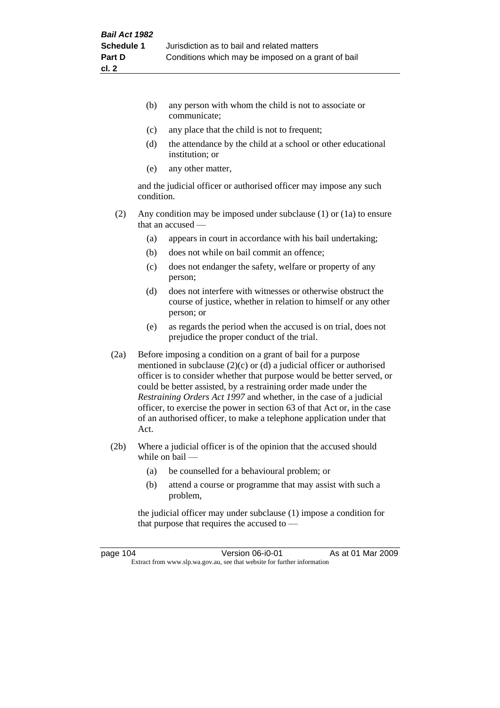- (b) any person with whom the child is not to associate or communicate;
- (c) any place that the child is not to frequent;
- (d) the attendance by the child at a school or other educational institution; or
- (e) any other matter,

and the judicial officer or authorised officer may impose any such condition.

- (2) Any condition may be imposed under subclause (1) or (1a) to ensure that an accused —
	- (a) appears in court in accordance with his bail undertaking;
	- (b) does not while on bail commit an offence;
	- (c) does not endanger the safety, welfare or property of any person;
	- (d) does not interfere with witnesses or otherwise obstruct the course of justice, whether in relation to himself or any other person; or
	- (e) as regards the period when the accused is on trial, does not prejudice the proper conduct of the trial.
- (2a) Before imposing a condition on a grant of bail for a purpose mentioned in subclause (2)(c) or (d) a judicial officer or authorised officer is to consider whether that purpose would be better served, or could be better assisted, by a restraining order made under the *Restraining Orders Act 1997* and whether, in the case of a judicial officer, to exercise the power in section 63 of that Act or, in the case of an authorised officer, to make a telephone application under that Act.
- (2b) Where a judicial officer is of the opinion that the accused should while on bail —
	- (a) be counselled for a behavioural problem; or
	- (b) attend a course or programme that may assist with such a problem,

the judicial officer may under subclause (1) impose a condition for that purpose that requires the accused to —

page 104 Version 06-i0-01 As at 01 Mar 2009 Extract from www.slp.wa.gov.au, see that website for further information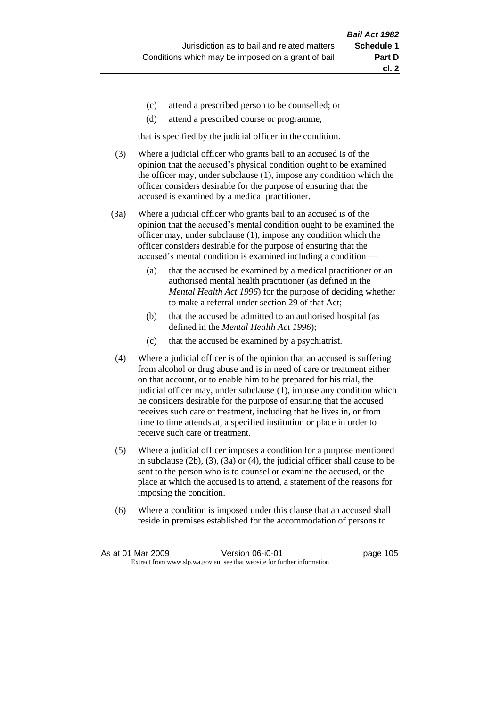- (c) attend a prescribed person to be counselled; or
- (d) attend a prescribed course or programme,

that is specified by the judicial officer in the condition.

- (3) Where a judicial officer who grants bail to an accused is of the opinion that the accused's physical condition ought to be examined the officer may, under subclause (1), impose any condition which the officer considers desirable for the purpose of ensuring that the accused is examined by a medical practitioner.
- (3a) Where a judicial officer who grants bail to an accused is of the opinion that the accused's mental condition ought to be examined the officer may, under subclause (1), impose any condition which the officer considers desirable for the purpose of ensuring that the accused's mental condition is examined including a condition —
	- (a) that the accused be examined by a medical practitioner or an authorised mental health practitioner (as defined in the *Mental Health Act 1996*) for the purpose of deciding whether to make a referral under section 29 of that Act;
	- (b) that the accused be admitted to an authorised hospital (as defined in the *Mental Health Act 1996*);
	- (c) that the accused be examined by a psychiatrist.
- (4) Where a judicial officer is of the opinion that an accused is suffering from alcohol or drug abuse and is in need of care or treatment either on that account, or to enable him to be prepared for his trial, the judicial officer may, under subclause (1), impose any condition which he considers desirable for the purpose of ensuring that the accused receives such care or treatment, including that he lives in, or from time to time attends at, a specified institution or place in order to receive such care or treatment.
- (5) Where a judicial officer imposes a condition for a purpose mentioned in subclause (2b), (3), (3a) or (4), the judicial officer shall cause to be sent to the person who is to counsel or examine the accused, or the place at which the accused is to attend, a statement of the reasons for imposing the condition.
- (6) Where a condition is imposed under this clause that an accused shall reside in premises established for the accommodation of persons to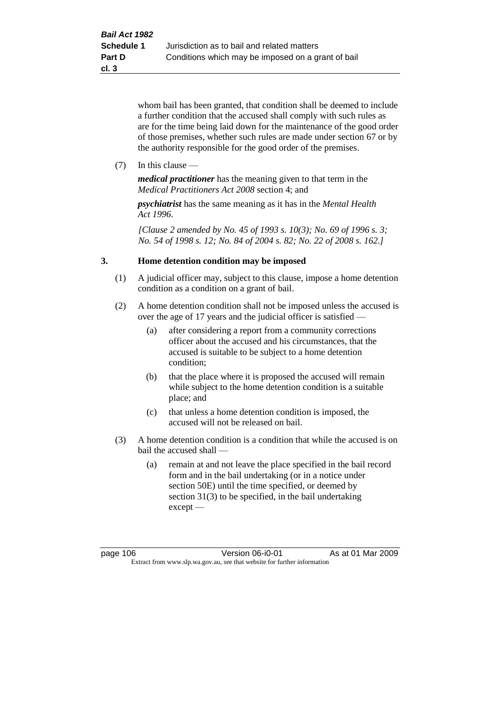whom bail has been granted, that condition shall be deemed to include a further condition that the accused shall comply with such rules as are for the time being laid down for the maintenance of the good order of those premises, whether such rules are made under section 67 or by the authority responsible for the good order of the premises.

(7) In this clause —

*medical practitioner* has the meaning given to that term in the *Medical Practitioners Act 2008* section 4; and

*psychiatrist* has the same meaning as it has in the *Mental Health Act 1996*.

*[Clause 2 amended by No. 45 of 1993 s. 10(3); No. 69 of 1996 s. 3; No. 54 of 1998 s. 12; No. 84 of 2004 s. 82; No. 22 of 2008 s. 162.]*

# **3. Home detention condition may be imposed**

- (1) A judicial officer may, subject to this clause, impose a home detention condition as a condition on a grant of bail.
- (2) A home detention condition shall not be imposed unless the accused is over the age of 17 years and the judicial officer is satisfied —
	- (a) after considering a report from a community corrections officer about the accused and his circumstances, that the accused is suitable to be subject to a home detention condition;
	- (b) that the place where it is proposed the accused will remain while subject to the home detention condition is a suitable place; and
	- (c) that unless a home detention condition is imposed, the accused will not be released on bail.
- (3) A home detention condition is a condition that while the accused is on bail the accused shall —
	- (a) remain at and not leave the place specified in the bail record form and in the bail undertaking (or in a notice under section 50E) until the time specified, or deemed by section 31(3) to be specified, in the bail undertaking except —

page 106 **Version 06-i0-01** As at 01 Mar 2009 Extract from www.slp.wa.gov.au, see that website for further information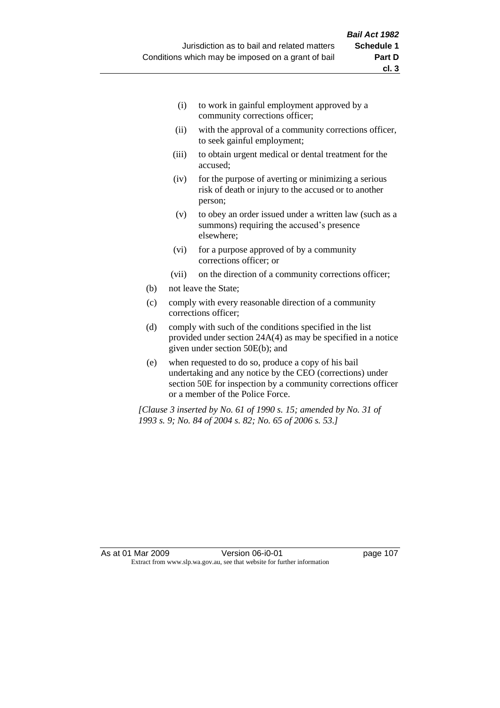- (i) to work in gainful employment approved by a community corrections officer;
- (ii) with the approval of a community corrections officer, to seek gainful employment;
- (iii) to obtain urgent medical or dental treatment for the accused;
- (iv) for the purpose of averting or minimizing a serious risk of death or injury to the accused or to another person;
- (v) to obey an order issued under a written law (such as a summons) requiring the accused's presence elsewhere;
- (vi) for a purpose approved of by a community corrections officer; or
- (vii) on the direction of a community corrections officer;
- (b) not leave the State;
- (c) comply with every reasonable direction of a community corrections officer;
- (d) comply with such of the conditions specified in the list provided under section 24A(4) as may be specified in a notice given under section 50E(b); and
- (e) when requested to do so, produce a copy of his bail undertaking and any notice by the CEO (corrections) under section 50E for inspection by a community corrections officer or a member of the Police Force.

*[Clause 3 inserted by No. 61 of 1990 s. 15; amended by No. 31 of 1993 s. 9; No. 84 of 2004 s. 82; No. 65 of 2006 s. 53.]*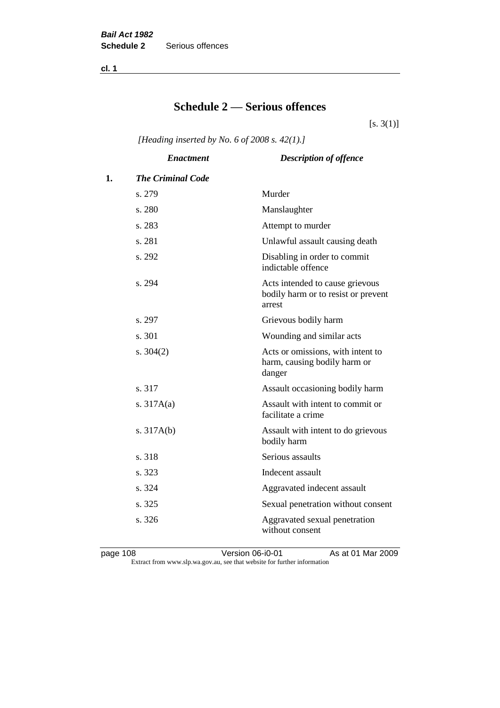**cl. 1**

# **Schedule 2 — Serious offences**

 $[s. 3(1)]$ 

*[Heading inserted by No. 6 of 2008 s. 42(1).]*

|    | <b>Enactment</b>         | <b>Description of offence</b>                                                    |
|----|--------------------------|----------------------------------------------------------------------------------|
| 1. | <b>The Criminal Code</b> |                                                                                  |
|    | s. 279                   | Murder                                                                           |
|    | s. 280                   | Manslaughter                                                                     |
|    | s. 283                   | Attempt to murder                                                                |
|    | s. 281                   | Unlawful assault causing death                                                   |
|    | s. 292                   | Disabling in order to commit<br>indictable offence                               |
|    | s. 294                   | Acts intended to cause grievous<br>bodily harm or to resist or prevent<br>arrest |
|    | s. 297                   | Grievous bodily harm                                                             |
|    | s.301                    | Wounding and similar acts                                                        |
|    | s. $304(2)$              | Acts or omissions, with intent to<br>harm, causing bodily harm or<br>danger      |
|    | s. 317                   | Assault occasioning bodily harm                                                  |
|    | s. $317A(a)$             | Assault with intent to commit or<br>facilitate a crime                           |
|    | s. $317A(b)$             | Assault with intent to do grievous<br>bodily harm                                |
|    | s. 318                   | Serious assaults                                                                 |
|    | s. 323                   | Indecent assault                                                                 |
|    | s. 324                   | Aggravated indecent assault                                                      |
|    | s. 325                   | Sexual penetration without consent                                               |
|    | s. 326                   | Aggravated sexual penetration<br>without consent                                 |

page 108 **Version 06-i0-01** As at 01 Mar 2009 Extract from www.slp.wa.gov.au, see that website for further information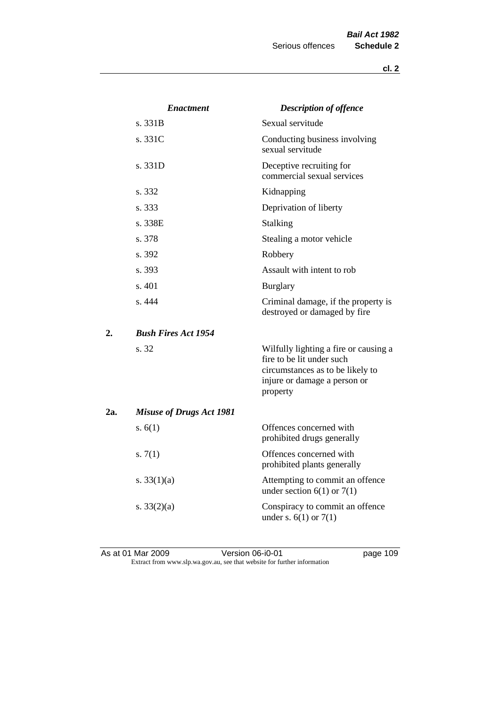|     | <i><b>Enactment</b></i>         | <b>Description of offence</b>                                                                                                                      |
|-----|---------------------------------|----------------------------------------------------------------------------------------------------------------------------------------------------|
|     | s. 331B                         | Sexual servitude                                                                                                                                   |
|     | s. 331C                         | Conducting business involving<br>sexual servitude                                                                                                  |
|     | s. 331D                         | Deceptive recruiting for<br>commercial sexual services                                                                                             |
|     | s. 332                          | Kidnapping                                                                                                                                         |
|     | s. 333                          | Deprivation of liberty                                                                                                                             |
|     | s. 338E                         | Stalking                                                                                                                                           |
|     | s. 378                          | Stealing a motor vehicle                                                                                                                           |
|     | s. 392                          | Robbery                                                                                                                                            |
|     | s. 393                          | Assault with intent to rob                                                                                                                         |
|     | s. 401                          | <b>Burglary</b>                                                                                                                                    |
|     | s. 444                          | Criminal damage, if the property is<br>destroyed or damaged by fire                                                                                |
| 2.  | <b>Bush Fires Act 1954</b>      |                                                                                                                                                    |
|     | s. 32                           | Wilfully lighting a fire or causing a<br>fire to be lit under such<br>circumstances as to be likely to<br>injure or damage a person or<br>property |
| 2a. | <b>Misuse of Drugs Act 1981</b> |                                                                                                                                                    |
|     | s. $6(1)$                       | Offences concerned with<br>prohibited drugs generally                                                                                              |
|     | s. $7(1)$                       | Offences concerned with<br>prohibited plants generally                                                                                             |
|     | s. $33(1)(a)$                   | Attempting to commit an offence<br>under section $6(1)$ or $7(1)$                                                                                  |
|     | s. $33(2)(a)$                   | Conspiracy to commit an offence<br>under s. $6(1)$ or $7(1)$                                                                                       |

As at 01 Mar 2009 **Version 06-i0-01 Page 109 page 109** Extract from www.slp.wa.gov.au, see that website for further information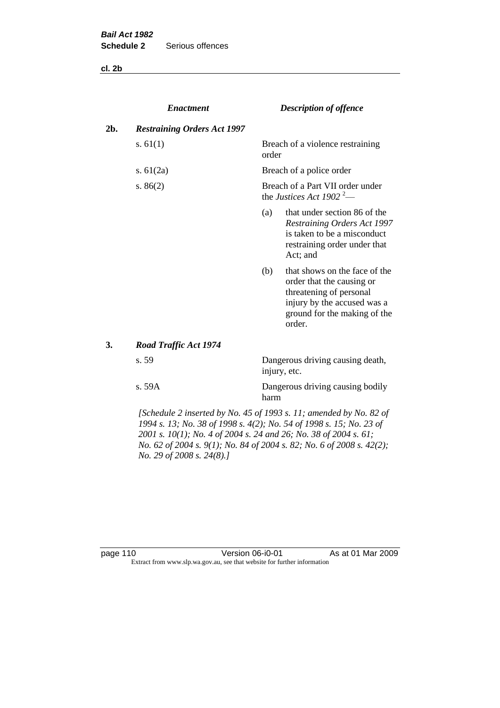**cl. 2b**

|     | <b>Enactment</b>                   | <b>Description of offence</b>                                            |                                                                                                                                                                |
|-----|------------------------------------|--------------------------------------------------------------------------|----------------------------------------------------------------------------------------------------------------------------------------------------------------|
| 2b. | <b>Restraining Orders Act 1997</b> |                                                                          |                                                                                                                                                                |
|     | s. $61(1)$                         | order                                                                    | Breach of a violence restraining                                                                                                                               |
|     | s. $61(2a)$                        |                                                                          | Breach of a police order                                                                                                                                       |
|     | s. $86(2)$                         | Breach of a Part VII order under<br>the Justices Act 1902 <sup>2</sup> — |                                                                                                                                                                |
|     |                                    | (a)                                                                      | that under section 86 of the<br><b>Restraining Orders Act 1997</b><br>is taken to be a misconduct<br>restraining order under that<br>Act; and                  |
|     |                                    | (b)                                                                      | that shows on the face of the<br>order that the causing or<br>threatening of personal<br>injury by the accused was a<br>ground for the making of the<br>order. |
| 3.  | <b>Road Traffic Act 1974</b>       |                                                                          |                                                                                                                                                                |
|     | s. 59                              |                                                                          | Dangerous driving causing death,<br>injury, etc.                                                                                                               |
|     | s. 59A                             | harm                                                                     | Dangerous driving causing bodily                                                                                                                               |

*[Schedule 2 inserted by No. 45 of 1993 s. 11; amended by No. 82 of 1994 s. 13; No. 38 of 1998 s. 4(2); No. 54 of 1998 s. 15; No. 23 of 2001 s. 10(1); No. 4 of 2004 s. 24 and 26; No. 38 of 2004 s. 61; No. 62 of 2004 s. 9(1); No. 84 of 2004 s. 82; No. 6 of 2008 s. 42(2); No. 29 of 2008 s. 24(8).]* 

page 110 **Version 06-i0-01** As at 01 Mar 2009 Extract from www.slp.wa.gov.au, see that website for further information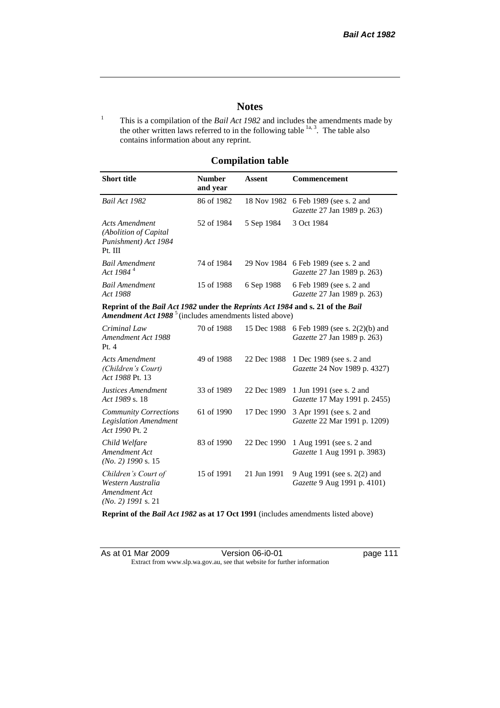# **Notes**

<sup>1</sup> This is a compilation of the *Bail Act 1982* and includes the amendments made by the other written laws referred to in the following table  $\frac{1}{a}$ , The table also contains information about any reprint.

# **Compilation table**

| <b>Short title</b>                                                                                                                                          | <b>Number</b><br>and year | Assent     | <b>Commencement</b>                                                           |
|-------------------------------------------------------------------------------------------------------------------------------------------------------------|---------------------------|------------|-------------------------------------------------------------------------------|
| Bail Act 1982                                                                                                                                               | 86 of 1982                |            | 18 Nov 1982 6 Feb 1989 (see s. 2 and<br><i>Gazette</i> 27 Jan 1989 p. 263)    |
| Acts Amendment<br>(Abolition of Capital)<br>Punishment) Act 1984<br>Pt. III                                                                                 | 52 of 1984                | 5 Sep 1984 | 3 Oct 1984                                                                    |
| <b>Bail Amendment</b><br>Act 1984 <sup>4</sup>                                                                                                              | 74 of 1984                |            | 29 Nov 1984 6 Feb 1989 (see s. 2 and<br><i>Gazette</i> 27 Jan 1989 p. 263)    |
| <b>Bail Amendment</b><br>Act 1988                                                                                                                           | 15 of 1988                | 6 Sep 1988 | 6 Feb 1989 (see s. 2 and<br><i>Gazette</i> 27 Jan 1989 p. 263)                |
| Reprint of the Bail Act 1982 under the Reprints Act 1984 and s. 21 of the Bail<br><b>Amendment Act 1988</b> <sup>5</sup> (includes amendments listed above) |                           |            |                                                                               |
| Criminal Law<br>Amondmont Act 1088                                                                                                                          | 70 of 1988                |            | 15 Dec 1988 6 Feb 1989 (see s. 2(2)(b) and<br>$Caz_{atto}$ 27 Ian 1080 n 263) |

| Criminal Law<br>Amendment Act 1988<br>Pt.4                                        | 70 of 1988 |             | 15 Dec 1988 6 Feb 1989 (see s. 2(2)(b) and<br>Gazette 27 Jan 1989 p. 263)   |
|-----------------------------------------------------------------------------------|------------|-------------|-----------------------------------------------------------------------------|
| <b>Acts Amendment</b><br>(Children's Court)<br>Act 1988 Pt. 13                    | 49 of 1988 |             | 22 Dec 1988 1 Dec 1989 (see s. 2 and<br><i>Gazette</i> 24 Nov 1989 p. 4327) |
| Justices Amendment<br>Act 1989 s. 18                                              | 33 of 1989 |             | 22 Dec 1989 1 Jun 1991 (see s. 2 and<br><i>Gazette</i> 17 May 1991 p. 2455) |
| <b>Community Corrections</b><br><b>Legislation Amendment</b><br>Act 1990 Pt. 2    | 61 of 1990 | 17 Dec 1990 | 3 Apr 1991 (see s. 2 and<br>Gazette 22 Mar 1991 p. 1209)                    |
| Child Welfare<br>Amendment Act<br>$(No. 2)$ 1990 s. 15                            | 83 of 1990 | 22 Dec 1990 | 1 Aug 1991 (see s. 2 and<br><i>Gazette</i> 1 Aug 1991 p. 3983)              |
| Children's Court of<br>Western Australia<br>Amendment Act<br>$(No. 2)$ 1991 s. 21 | 15 of 1991 | 21 Jun 1991 | 9 Aug 1991 (see s. 2(2) and<br>Gazette 9 Aug 1991 p. 4101)                  |

**Reprint of the** *Bail Act 1982* **as at 17 Oct 1991** (includes amendments listed above)

| As at 01 Mar 2009 | Version 06-i0-01                                                         |
|-------------------|--------------------------------------------------------------------------|
|                   | Extract from www.slp.wa.gov.au, see that website for further information |

page 111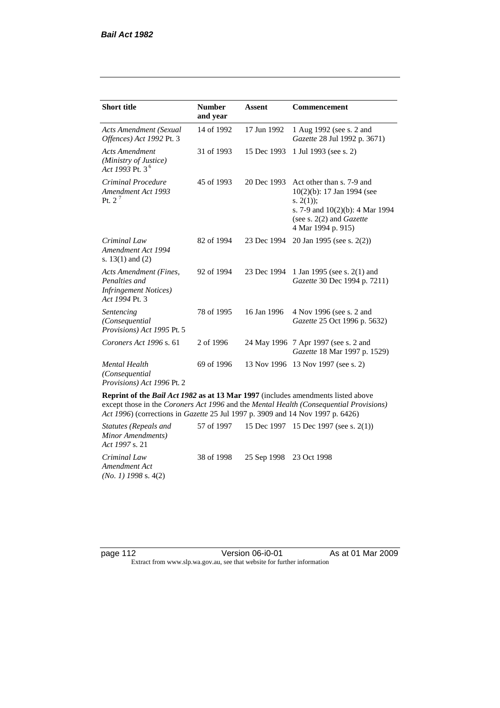| <b>Short title</b>                                                                         | <b>Number</b><br>and year | <b>Assent</b> | <b>Commencement</b>                                                                                                                                                        |  |
|--------------------------------------------------------------------------------------------|---------------------------|---------------|----------------------------------------------------------------------------------------------------------------------------------------------------------------------------|--|
| <b>Acts Amendment (Sexual</b><br>Offences) Act 1992 Pt. 3                                  | 14 of 1992                | 17 Jun 1992   | 1 Aug 1992 (see s. 2 and<br>Gazette 28 Jul 1992 p. 3671)                                                                                                                   |  |
| <b>Acts Amendment</b><br>(Ministry of Justice)<br>Act 1993 Pt. 3 <sup>6</sup>              | 31 of 1993                | 15 Dec 1993   | 1 Jul 1993 (see s. 2)                                                                                                                                                      |  |
| Criminal Procedure<br>Amendment Act 1993<br>Pt. $2^7$                                      | 45 of 1993                | 20 Dec 1993   | Act other than s. 7-9 and<br>$10(2)(b)$ : 17 Jan 1994 (see<br>s. $2(1)$ ;<br>s. 7-9 and $10(2)(b)$ : 4 Mar 1994<br>(see s. $2(2)$ and <i>Gazette</i><br>4 Mar 1994 p. 915) |  |
| Criminal Law<br>Amendment Act 1994<br>s. $13(1)$ and $(2)$                                 | 82 of 1994                | 23 Dec 1994   | 20 Jan 1995 (see s. 2(2))                                                                                                                                                  |  |
| Acts Amendment (Fines,<br>Penalties and<br><b>Infringement Notices</b> )<br>Act 1994 Pt. 3 | 92 of 1994                | 23 Dec 1994   | 1 Jan 1995 (see s. 2(1) and<br>Gazette 30 Dec 1994 p. 7211)                                                                                                                |  |
| Sentencing<br>(Consequential)<br>Provisions) Act 1995 Pt. 5                                | 78 of 1995                | 16 Jan 1996   | 4 Nov 1996 (see s. 2 and<br>Gazette 25 Oct 1996 p. 5632)                                                                                                                   |  |
| Coroners Act 1996 s. 61                                                                    | 2 of 1996                 |               | 24 May 1996 7 Apr 1997 (see s. 2 and<br>Gazette 18 Mar 1997 p. 1529)                                                                                                       |  |
| <b>Mental Health</b><br>(Consequential)<br>Provisions) Act 1996 Pt. 2                      | 69 of 1996                | 13 Nov 1996   | 13 Nov 1997 (see s. 2)                                                                                                                                                     |  |

**Reprint of the** *Bail Act 1982* **as at 13 Mar 1997** (includes amendments listed above except those in the *Coroners Act 1996* and the *Mental Health (Consequential Provisions) Act 1996*) (corrections in *Gazette* 25 Jul 1997 p. 3909 and 14 Nov 1997 p. 6426)

*Statutes (Repeals and Minor Amendments) Act 1997* s. 21 57 of 1997 15 Dec 1997 15 Dec 1997 (see s. 2(1)) *Criminal Law Amendment Act (No. 1) 1998* s. 4(2) 38 of 1998 25 Sep 1998 23 Oct 1998

| page 112 |  |  |
|----------|--|--|
|----------|--|--|

page 112 Version 06-i0-01 As at 01 Mar 2009 Extract from www.slp.wa.gov.au, see that website for further information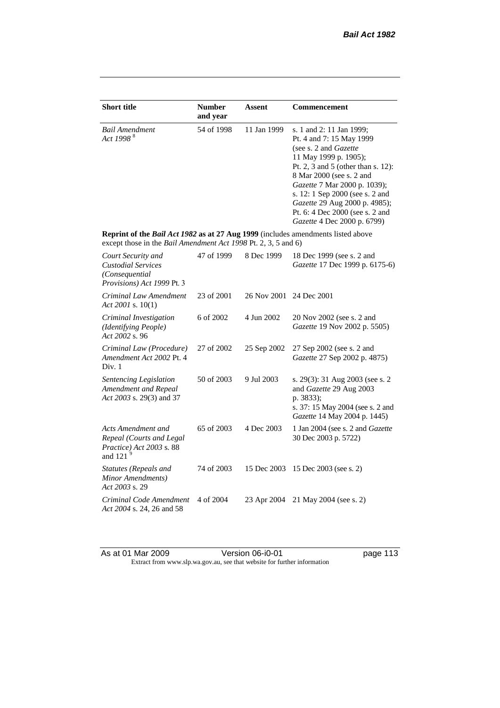| <b>Short title</b>                                                                                                                                        | <b>Number</b><br>and year | <b>Assent</b> | Commencement                                                                                                                                                                                                                                                                                                                                            |  |
|-----------------------------------------------------------------------------------------------------------------------------------------------------------|---------------------------|---------------|---------------------------------------------------------------------------------------------------------------------------------------------------------------------------------------------------------------------------------------------------------------------------------------------------------------------------------------------------------|--|
| 54 of 1998<br><b>Bail Amendment</b><br>Act 1998 <sup>8</sup>                                                                                              |                           | 11 Jan 1999   | s. 1 and 2: 11 Jan 1999;<br>Pt. 4 and 7: 15 May 1999<br>(see s. 2 and <i>Gazette</i> )<br>11 May 1999 p. 1905);<br>Pt. 2, 3 and 5 (other than s. 12):<br>8 Mar 2000 (see s. 2 and<br>Gazette 7 Mar 2000 p. 1039);<br>s. 12: 1 Sep 2000 (see s. 2 and<br>Gazette 29 Aug 2000 p. 4985);<br>Pt. 6: 4 Dec 2000 (see s. 2 and<br>Gazette 4 Dec 2000 p. 6799) |  |
| Reprint of the Bail Act 1982 as at 27 Aug 1999 (includes amendments listed above<br>except those in the <i>Bail Amendment Act 1998</i> Pt. 2, 3, 5 and 6) |                           |               |                                                                                                                                                                                                                                                                                                                                                         |  |
| Court Security and<br><b>Custodial Services</b><br>(Consequential<br>Provisions) Act 1999 Pt. 3                                                           | 47 of 1999                | 8 Dec 1999    | 18 Dec 1999 (see s. 2 and<br>Gazette 17 Dec 1999 p. 6175-6)                                                                                                                                                                                                                                                                                             |  |
| Criminal Law Amendment<br>Act 2001 s. $10(1)$                                                                                                             | 23 of 2001                | 26 Nov 2001   | 24 Dec 2001                                                                                                                                                                                                                                                                                                                                             |  |
| Criminal Investigation<br>(Identifying People)<br>Act 2002 s. 96                                                                                          | 6 of 2002                 | 4 Jun 2002    | 20 Nov 2002 (see s. 2 and<br>Gazette 19 Nov 2002 p. 5505)                                                                                                                                                                                                                                                                                               |  |
| Criminal Law (Procedure)<br>Amendment Act 2002 Pt. 4<br>Div. 1                                                                                            | 27 of 2002                | 25 Sep 2002   | 27 Sep 2002 (see s. 2 and<br>Gazette 27 Sep 2002 p. 4875)                                                                                                                                                                                                                                                                                               |  |
| Sentencing Legislation<br>Amendment and Repeal<br>Act 2003 s. 29(3) and 37                                                                                | 50 of 2003                | 9 Jul 2003    | s. 29(3): 31 Aug 2003 (see s. 2)<br>and Gazette 29 Aug 2003<br>p. 3833);<br>s. 37: 15 May 2004 (see s. 2 and<br>Gazette 14 May 2004 p. 1445)                                                                                                                                                                                                            |  |
| Acts Amendment and<br>Repeal (Courts and Legal<br>Practice) Act 2003 s. 88<br>and 121 $9$                                                                 | 65 of 2003                | 4 Dec 2003    | 1 Jan 2004 (see s. 2 and <i>Gazette</i><br>30 Dec 2003 p. 5722)                                                                                                                                                                                                                                                                                         |  |
| <b>Statutes (Repeals and</b><br>Minor Amendments)<br>Act 2003 s. 29                                                                                       | 74 of 2003                | 15 Dec 2003   | 15 Dec 2003 (see s. 2)                                                                                                                                                                                                                                                                                                                                  |  |
| Criminal Code Amendment<br>Act 2004 s. 24, 26 and 58                                                                                                      | 4 of 2004                 | 23 Apr 2004   | 21 May 2004 (see s. 2)                                                                                                                                                                                                                                                                                                                                  |  |

As at 01 Mar 2009 **Version 06-i0-01 Page 113** Extract from www.slp.wa.gov.au, see that website for further information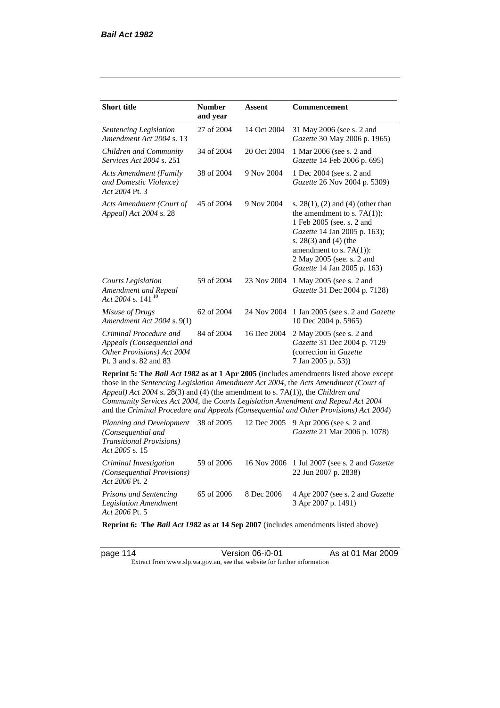| <b>Short title</b>                                                                                                                                                   | <b>Number</b><br>and year | Assent      | <b>Commencement</b>                                                                                                                                                                                                                                                     |
|----------------------------------------------------------------------------------------------------------------------------------------------------------------------|---------------------------|-------------|-------------------------------------------------------------------------------------------------------------------------------------------------------------------------------------------------------------------------------------------------------------------------|
| Sentencing Legislation<br>Amendment Act 2004 s. 13                                                                                                                   | 27 of 2004                | 14 Oct 2004 | 31 May 2006 (see s. 2 and<br>Gazette 30 May 2006 p. 1965)                                                                                                                                                                                                               |
| Children and Community<br>Services Act 2004 s. 251                                                                                                                   | 34 of 2004                | 20 Oct 2004 | 1 Mar 2006 (see s. 2 and<br>Gazette 14 Feb 2006 p. 695)                                                                                                                                                                                                                 |
| <b>Acts Amendment (Family</b><br>and Domestic Violence)<br>Act 2004 Pt. 3                                                                                            | 38 of 2004                | 9 Nov 2004  | 1 Dec 2004 (see s. 2 and<br>Gazette 26 Nov 2004 p. 5309)                                                                                                                                                                                                                |
| Acts Amendment (Court of<br>Appeal) Act 2004 s. 28                                                                                                                   | 45 of 2004                | 9 Nov 2004  | s. $28(1)$ , (2) and (4) (other than<br>the amendment to s. $7A(1)$ :<br>1 Feb 2005 (see. s. 2 and<br>Gazette 14 Jan 2005 p. 163);<br>s. $28(3)$ and $(4)$ (the<br>amendment to s. $7A(1)$ :<br>2 May 2005 (see, s. 2 and<br>Gazette 14 Jan 2005 p. 163)                |
| <b>Courts Legislation</b><br>Amendment and Repeal<br>Act 2004 s. 141 <sup>10</sup>                                                                                   | 59 of 2004                | 23 Nov 2004 | 1 May 2005 (see s. 2 and<br>Gazette 31 Dec 2004 p. 7128)                                                                                                                                                                                                                |
| Misuse of Drugs<br>Amendment Act 2004 s. 9(1)                                                                                                                        | 62 of 2004                | 24 Nov 2004 | 1 Jan 2005 (see s. 2 and Gazette<br>10 Dec 2004 p. 5965)                                                                                                                                                                                                                |
| Criminal Procedure and<br>Appeals (Consequential and<br>Other Provisions) Act 2004<br>Pt. 3 and s. 82 and 83                                                         | 84 of 2004                | 16 Dec 2004 | 2 May 2005 (see s. 2 and<br>Gazette 31 Dec 2004 p. 7129<br>(correction in Gazette<br>7 Jan 2005 p. 53))                                                                                                                                                                 |
| Appeal) Act 2004 s. 28(3) and (4) (the amendment to s. 7A(1)), the Children and<br>Community Services Act 2004, the Courts Legislation Amendment and Repeal Act 2004 |                           |             | Reprint 5: The Bail Act 1982 as at 1 Apr 2005 (includes amendments listed above except<br>those in the Sentencing Legislation Amendment Act 2004, the Acts Amendment (Court of<br>and the Criminal Procedure and Appeals (Consequential and Other Provisions) Act 2004) |
| Planning and Development<br>(Consequential and<br><b>Transitional Provisions</b> )<br>Act 2005 s. 15                                                                 | 38 of 2005                | 12 Dec 2005 | 9 Apr 2006 (see s. 2 and<br>Gazette 21 Mar 2006 p. 1078)                                                                                                                                                                                                                |
| Criminal Investigation                                                                                                                                               | 59 of 2006                |             | 16 Nov 2006 1 Jul 2007 (see s. 2 and <i>Gazette</i>                                                                                                                                                                                                                     |

*Act 2006* Pt. 2 *Prisons and Sentencing Legislation Amendment Act 2006* Pt. 5 65 of 2006 8 Dec 2006 4 Apr 2007 (see s. 2 and *Gazette* 3 Apr 2007 p. 1491)

22 Jun 2007 p. 2838)

**Reprint 6: The** *Bail Act 1982* **as at 14 Sep 2007** (includes amendments listed above)

*(Consequential Provisions)* 

page 114 Version 06-i0-01 As at 01 Mar 2009 Extract from www.slp.wa.gov.au, see that website for further information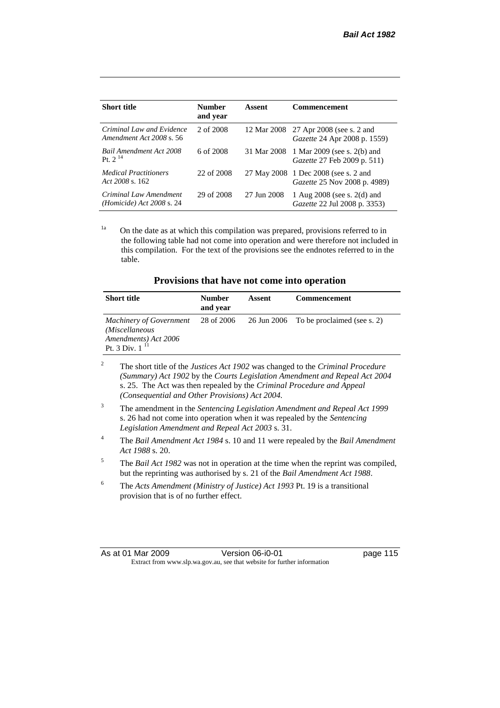| <b>Short title</b>                                             | <b>Number</b><br>and year | Assent      | <b>Commencement</b>                                                         |
|----------------------------------------------------------------|---------------------------|-------------|-----------------------------------------------------------------------------|
| Criminal Law and Evidence<br>Amendment Act 2008 s. 56          | 2 of 2008                 |             | 12 Mar 2008 27 Apr 2008 (see s. 2 and<br>Gazette 24 Apr 2008 p. 1559)       |
| <b>Bail Amendment Act 2008</b><br>Pt. $2^{14}$                 | 6 of 2008                 | 31 Mar 2008 | 1 Mar 2009 (see s. 2(b) and<br><i>Gazette</i> 27 Feb 2009 p. 511)           |
| <b>Medical Practitioners</b><br>Act $2008$ s. 162.             | 22 of 2008                |             | 27 May 2008 1 Dec 2008 (see s. 2 and<br><i>Gazette</i> 25 Nov 2008 p. 4989) |
| Criminal Law Amendment<br>( <i>Homicide</i> ) Act $2008$ s. 24 | 29 of 2008                | 27 Jun 2008 | 1 Aug $2008$ (see s. $2(d)$ and<br>Gazette 22 Jul 2008 p. 3353)             |

 $1a$  On the date as at which this compilation was prepared, provisions referred to in the following table had not come into operation and were therefore not included in this compilation. For the text of the provisions see the endnotes referred to in the table.

| Provisions that have not come into operation |  |  |
|----------------------------------------------|--|--|
|----------------------------------------------|--|--|

| <b>Short title</b>                                                                                     | <b>Number</b><br>and year | Assent | <b>Commencement</b>                     |
|--------------------------------------------------------------------------------------------------------|---------------------------|--------|-----------------------------------------|
| <b>Machinery of Government</b><br>(Miscellaneous<br>Amendments) Act 2006<br>Pt. 3 Div. 1 <sup>11</sup> | 28 of 2006                |        | 26 Jun 2006 To be proclaimed (see s. 2) |

- <sup>2</sup> The short title of the *Justices Act 1902* was changed to the *Criminal Procedure (Summary) Act 1902* by the *Courts Legislation Amendment and Repeal Act 2004*  s. 25. The Act was then repealed by the *Criminal Procedure and Appeal (Consequential and Other Provisions) Act 2004.*
- <sup>3</sup> The amendment in the *Sentencing Legislation Amendment and Repeal Act 1999* s. 26 had not come into operation when it was repealed by the *Sentencing Legislation Amendment and Repeal Act 2003* s. 31.
- <sup>4</sup> The *Bail Amendment Act 1984* s. 10 and 11 were repealed by the *Bail Amendment Act 1988* s. 20.
- <sup>5</sup> The *Bail Act 1982* was not in operation at the time when the reprint was compiled, but the reprinting was authorised by s. 21 of the *Bail Amendment Act 1988*.
- <sup>6</sup> The *Acts Amendment (Ministry of Justice) Act 1993* Pt. 19 is a transitional provision that is of no further effect.

| As at 01 Mar 2009 | Version 06-i0-01                                                         |
|-------------------|--------------------------------------------------------------------------|
|                   | Extract from www.slp.wa.gov.au, see that website for further information |

page 115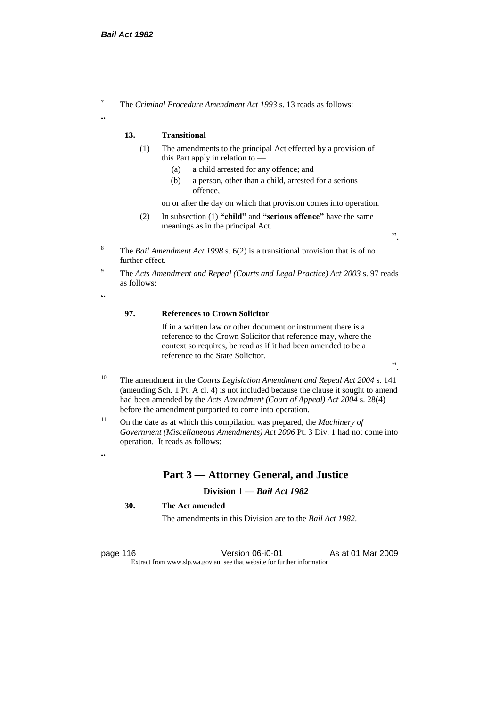<sup>7</sup> The *Criminal Procedure Amendment Act 1993* s. 13 reads as follows:

# **13. Transitional**

- (1) The amendments to the principal Act effected by a provision of this Part apply in relation to —
	- (a) a child arrested for any offence; and
	- (b) a person, other than a child, arrested for a serious offence,

on or after the day on which that provision comes into operation.

- (2) In subsection (1) **"child"** and **"serious offence"** have the same meanings as in the principal Act.
- <sup>8</sup> The *Bail Amendment Act 1998* s. 6(2) is a transitional provision that is of no further effect.
- <sup>9</sup> The *Acts Amendment and Repeal (Courts and Legal Practice) Act 2003* s. 97 reads as follows:

 $\epsilon$ 

 $\alpha$ 

#### **97. References to Crown Solicitor**

If in a written law or other document or instrument there is a reference to the Crown Solicitor that reference may, where the context so requires, be read as if it had been amended to be a reference to the State Solicitor.

".

".

- <sup>10</sup> The amendment in the *Courts Legislation Amendment and Repeal Act 2004* s. 141 (amending Sch. 1 Pt. A cl. 4) is not included because the clause it sought to amend had been amended by the *Acts Amendment (Court of Appeal) Act 2004* s. 28(4) before the amendment purported to come into operation.
- <sup>11</sup> On the date as at which this compilation was prepared, the *Machinery of Government (Miscellaneous Amendments) Act 2006* Pt. 3 Div. 1 had not come into operation. It reads as follows:

#### $\alpha$

# **Part 3 — Attorney General, and Justice**

# **Division 1 —** *Bail Act 1982*

# **30. The Act amended**

The amendments in this Division are to the *Bail Act 1982*.

page 116 Version 06-i0-01 As at 01 Mar 2009 Extract from www.slp.wa.gov.au, see that website for further information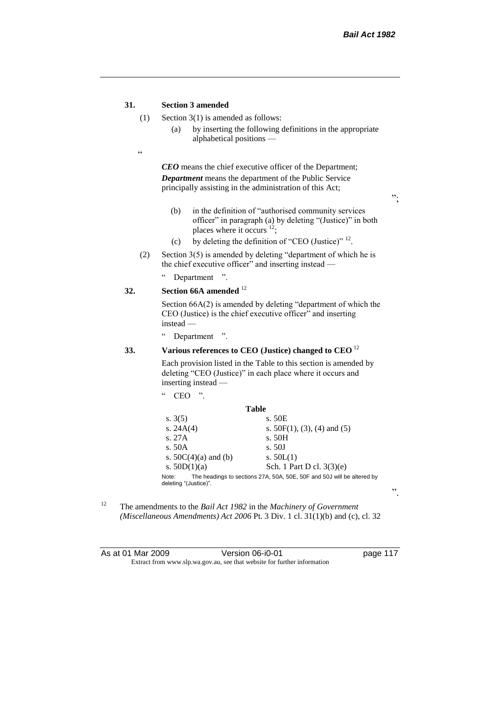";

".

## **31. Section 3 amended**

- (1) Section 3(1) is amended as follows:
	- (a) by inserting the following definitions in the appropriate alphabetical positions —
- $\epsilon$

*CEO* means the chief executive officer of the Department; *Department* means the department of the Public Service principally assisting in the administration of this Act;

(b) in the definition of "authorised community services officer" in paragraph (a) by deleting "(Justice)" in both places where it occurs <sup>12</sup>;

- (c) by deleting the definition of "CEO (Justice)"  $^{12}$ .
- (2) Section 3(5) is amended by deleting "department of which he is the chief executive officer" and inserting instead —
	- " Department ".

# **32. Section 66A amended** <sup>12</sup>

Section 66A(2) is amended by deleting "department of which the CEO (Justice) is the chief executive officer" and inserting instead —

" Department ".

 $CEO$  "

# **33. Various references to CEO (Justice) changed to CEO** <sup>12</sup>

Each provision listed in the Table to this section is amended by deleting "CEO (Justice)" in each place where it occurs and inserting instead —

| Table                                                                  |
|------------------------------------------------------------------------|
| s. 50E                                                                 |
| s. $50F(1)$ , (3), (4) and (5)                                         |
| s. 50H                                                                 |
| s.50J                                                                  |
| s. $50L(1)$                                                            |
| Sch. 1 Part D cl. 3(3)(e)                                              |
| The headings to sections 27A, 50A, 50E, 50F and 50J will be altered by |
|                                                                        |

<sup>12</sup> The amendments to the *Bail Act 1982* in the *Machinery of Government (Miscellaneous Amendments) Act 2006* Pt. 3 Div. 1 cl. 31(1)(b) and (c), cl. 32

| As at 01 Mar 2009 | Version 06-i0-01                                                         | page 117 |
|-------------------|--------------------------------------------------------------------------|----------|
|                   | Extract from www.slp.wa.gov.au, see that website for further information |          |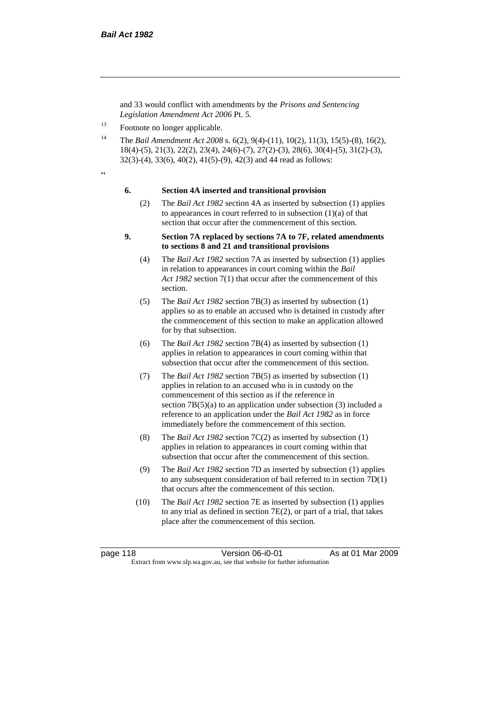and 33 would conflict with amendments by the *Prisons and Sentencing Legislation Amendment Act 2006* Pt. 5.

<sup>13</sup> Footnote no longer applicable.

<sup>14</sup> The *Bail Amendment Act 2008* s. 6(2), 9(4)-(11), 10(2), 11(3), 15(5)-(8), 16(2), 18(4)-(5), 21(3), 22(2), 23(4), 24(6)-(7), 27(2)-(3), 28(6), 30(4)-(5), 31(2)-(3), 32(3)-(4), 33(6), 40(2), 41(5)-(9), 42(3) and 44 read as follows:

 $\epsilon$ 

#### **6. Section 4A inserted and transitional provision**

(2) The *Bail Act 1982* section 4A as inserted by subsection (1) applies to appearances in court referred to in subsection  $(1)(a)$  of that section that occur after the commencement of this section.

### **9. Section 7A replaced by sections 7A to 7F, related amendments to sections 8 and 21 and transitional provisions**

- (4) The *Bail Act 1982* section 7A as inserted by subsection (1) applies in relation to appearances in court coming within the *Bail Act 1982* section 7(1) that occur after the commencement of this section.
- (5) The *Bail Act 1982* section 7B(3) as inserted by subsection (1) applies so as to enable an accused who is detained in custody after the commencement of this section to make an application allowed for by that subsection.
- (6) The *Bail Act 1982* section 7B(4) as inserted by subsection (1) applies in relation to appearances in court coming within that subsection that occur after the commencement of this section.
- (7) The *Bail Act 1982* section 7B(5) as inserted by subsection (1) applies in relation to an accused who is in custody on the commencement of this section as if the reference in section  $7B(5)(a)$  to an application under subsection (3) included a reference to an application under the *Bail Act 1982* as in force immediately before the commencement of this section.
- (8) The *Bail Act 1982* section 7C(2) as inserted by subsection (1) applies in relation to appearances in court coming within that subsection that occur after the commencement of this section.
- (9) The *Bail Act 1982* section 7D as inserted by subsection (1) applies to any subsequent consideration of bail referred to in section 7D(1) that occurs after the commencement of this section.
- (10) The *Bail Act 1982* section 7E as inserted by subsection (1) applies to any trial as defined in section 7E(2), or part of a trial, that takes place after the commencement of this section.

page 118 Version 06-i0-01 As at 01 Mar 2009 Extract from www.slp.wa.gov.au, see that website for further information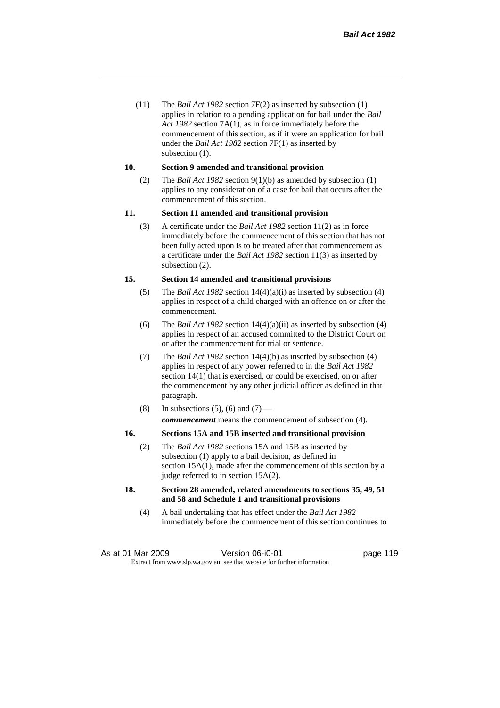(11) The *Bail Act 1982* section 7F(2) as inserted by subsection (1) applies in relation to a pending application for bail under the *Bail Act 1982* section 7A(1), as in force immediately before the commencement of this section, as if it were an application for bail under the *Bail Act 1982* section 7F(1) as inserted by subsection  $(1)$ .

#### **10. Section 9 amended and transitional provision**

(2) The *Bail Act 1982* section 9(1)(b) as amended by subsection (1) applies to any consideration of a case for bail that occurs after the commencement of this section.

## **11. Section 11 amended and transitional provision**

(3) A certificate under the *Bail Act 1982* section 11(2) as in force immediately before the commencement of this section that has not been fully acted upon is to be treated after that commencement as a certificate under the *Bail Act 1982* section 11(3) as inserted by subsection (2).

#### **15. Section 14 amended and transitional provisions**

- (5) The *Bail Act 1982* section 14(4)(a)(i) as inserted by subsection (4) applies in respect of a child charged with an offence on or after the commencement.
- (6) The *Bail Act 1982* section 14(4)(a)(ii) as inserted by subsection (4) applies in respect of an accused committed to the District Court on or after the commencement for trial or sentence.
- (7) The *Bail Act 1982* section 14(4)(b) as inserted by subsection (4) applies in respect of any power referred to in the *Bail Act 1982* section 14(1) that is exercised, or could be exercised, on or after the commencement by any other judicial officer as defined in that paragraph.
- (8) In subsections (5), (6) and (7) *commencement* means the commencement of subsection (4).

#### **16. Sections 15A and 15B inserted and transitional provision**

- (2) The *Bail Act 1982* sections 15A and 15B as inserted by subsection (1) apply to a bail decision, as defined in section 15A(1), made after the commencement of this section by a judge referred to in section 15A(2).
- **18. Section 28 amended, related amendments to sections 35, 49, 51 and 58 and Schedule 1 and transitional provisions**
	- (4) A bail undertaking that has effect under the *Bail Act 1982* immediately before the commencement of this section continues to

As at 01 Mar 2009 **Version 06-i0-01 Page 119 page 119** Extract from www.slp.wa.gov.au, see that website for further information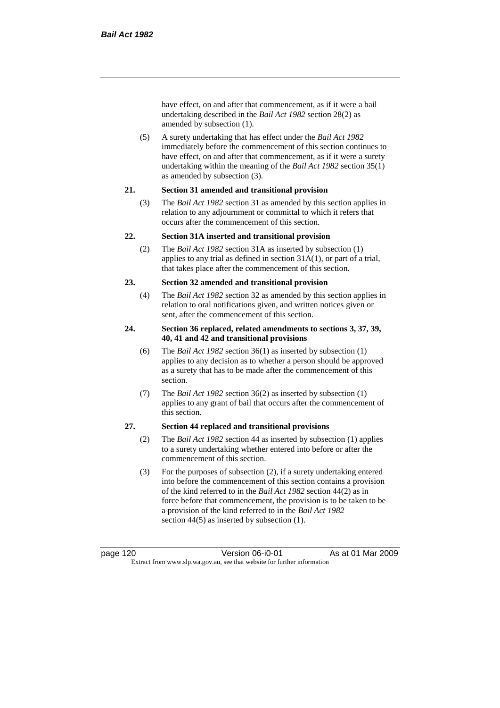have effect, on and after that commencement, as if it were a bail undertaking described in the *Bail Act 1982* section 28(2) as amended by subsection (1).

(5) A surety undertaking that has effect under the *Bail Act 1982* immediately before the commencement of this section continues to have effect, on and after that commencement, as if it were a surety undertaking within the meaning of the *Bail Act 1982* section 35(1) as amended by subsection (3).

### **21. Section 31 amended and transitional provision**

(3) The *Bail Act 1982* section 31 as amended by this section applies in relation to any adjournment or committal to which it refers that occurs after the commencement of this section.

## **22. Section 31A inserted and transitional provision**

(2) The *Bail Act 1982* section 31A as inserted by subsection (1) applies to any trial as defined in section 31A(1), or part of a trial, that takes place after the commencement of this section.

## **23. Section 32 amended and transitional provision**

(4) The *Bail Act 1982* section 32 as amended by this section applies in relation to oral notifications given, and written notices given or sent, after the commencement of this section.

## **24. Section 36 replaced, related amendments to sections 3, 37, 39, 40, 41 and 42 and transitional provisions**

- (6) The *Bail Act 1982* section 36(1) as inserted by subsection (1) applies to any decision as to whether a person should be approved as a surety that has to be made after the commencement of this section.
- (7) The *Bail Act 1982* section 36(2) as inserted by subsection (1) applies to any grant of bail that occurs after the commencement of this section.

# **27. Section 44 replaced and transitional provisions**

- (2) The *Bail Act 1982* section 44 as inserted by subsection (1) applies to a surety undertaking whether entered into before or after the commencement of this section.
- (3) For the purposes of subsection (2), if a surety undertaking entered into before the commencement of this section contains a provision of the kind referred to in the *Bail Act 1982* section 44(2) as in force before that commencement, the provision is to be taken to be a provision of the kind referred to in the *Bail Act 1982*  section 44(5) as inserted by subsection (1).

page 120 **Version 06-i0-01** As at 01 Mar 2009 Extract from www.slp.wa.gov.au, see that website for further information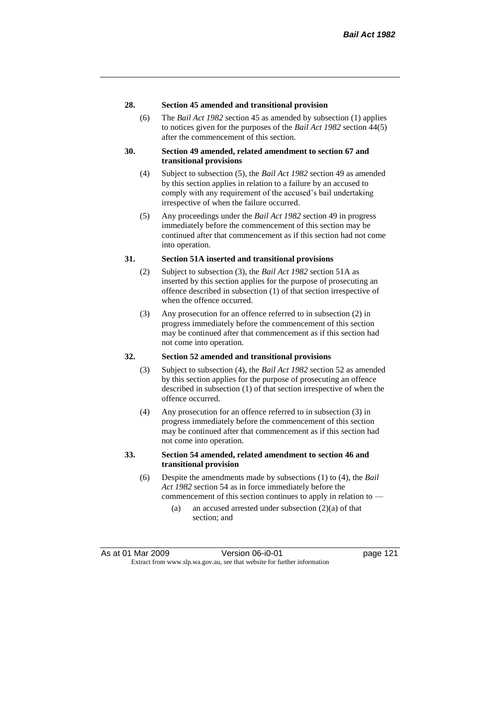## **28. Section 45 amended and transitional provision**

(6) The *Bail Act 1982* section 45 as amended by subsection (1) applies to notices given for the purposes of the *Bail Act 1982* section 44(5) after the commencement of this section.

### **30. Section 49 amended, related amendment to section 67 and transitional provisions**

- (4) Subject to subsection (5), the *Bail Act 1982* section 49 as amended by this section applies in relation to a failure by an accused to comply with any requirement of the accused's bail undertaking irrespective of when the failure occurred.
- (5) Any proceedings under the *Bail Act 1982* section 49 in progress immediately before the commencement of this section may be continued after that commencement as if this section had not come into operation.

## **31. Section 51A inserted and transitional provisions**

- (2) Subject to subsection (3), the *Bail Act 1982* section 51A as inserted by this section applies for the purpose of prosecuting an offence described in subsection (1) of that section irrespective of when the offence occurred.
- (3) Any prosecution for an offence referred to in subsection (2) in progress immediately before the commencement of this section may be continued after that commencement as if this section had not come into operation.

## **32. Section 52 amended and transitional provisions**

- (3) Subject to subsection (4), the *Bail Act 1982* section 52 as amended by this section applies for the purpose of prosecuting an offence described in subsection (1) of that section irrespective of when the offence occurred.
- (4) Any prosecution for an offence referred to in subsection (3) in progress immediately before the commencement of this section may be continued after that commencement as if this section had not come into operation.

## **33. Section 54 amended, related amendment to section 46 and transitional provision**

- (6) Despite the amendments made by subsections (1) to (4), the *Bail Act 1982* section 54 as in force immediately before the commencement of this section continues to apply in relation to —
	- (a) an accused arrested under subsection (2)(a) of that section; and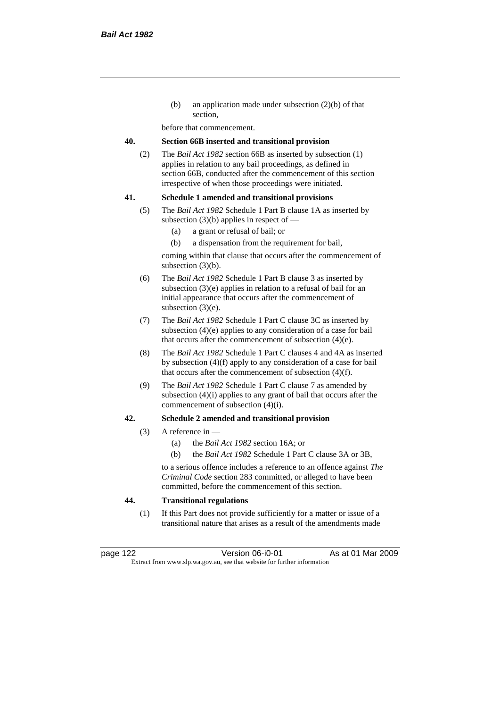(b) an application made under subsection (2)(b) of that section,

before that commencement.

## **40. Section 66B inserted and transitional provision**

(2) The *Bail Act 1982* section 66B as inserted by subsection (1) applies in relation to any bail proceedings, as defined in section 66B, conducted after the commencement of this section irrespective of when those proceedings were initiated.

### **41. Schedule 1 amended and transitional provisions**

- (5) The *Bail Act 1982* Schedule 1 Part B clause 1A as inserted by subsection  $(3)(b)$  applies in respect of —
	- (a) a grant or refusal of bail; or
	- (b) a dispensation from the requirement for bail,

coming within that clause that occurs after the commencement of subsection (3)(b).

- (6) The *Bail Act 1982* Schedule 1 Part B clause 3 as inserted by subsection (3)(e) applies in relation to a refusal of bail for an initial appearance that occurs after the commencement of subsection (3)(e).
- (7) The *Bail Act 1982* Schedule 1 Part C clause 3C as inserted by subsection (4)(e) applies to any consideration of a case for bail that occurs after the commencement of subsection (4)(e).
- (8) The *Bail Act 1982* Schedule 1 Part C clauses 4 and 4A as inserted by subsection (4)(f) apply to any consideration of a case for bail that occurs after the commencement of subsection (4)(f).
- (9) The *Bail Act 1982* Schedule 1 Part C clause 7 as amended by subsection (4)(i) applies to any grant of bail that occurs after the commencement of subsection (4)(i).

# **42. Schedule 2 amended and transitional provision**

- (3) A reference in
	- (a) the *Bail Act 1982* section 16A; or
	- (b) the *Bail Act 1982* Schedule 1 Part C clause 3A or 3B,

to a serious offence includes a reference to an offence against *The Criminal Code* section 283 committed, or alleged to have been committed, before the commencement of this section.

## **44. Transitional regulations**

(1) If this Part does not provide sufficiently for a matter or issue of a transitional nature that arises as a result of the amendments made

page 122 Version 06-i0-01 As at 01 Mar 2009 Extract from www.slp.wa.gov.au, see that website for further information